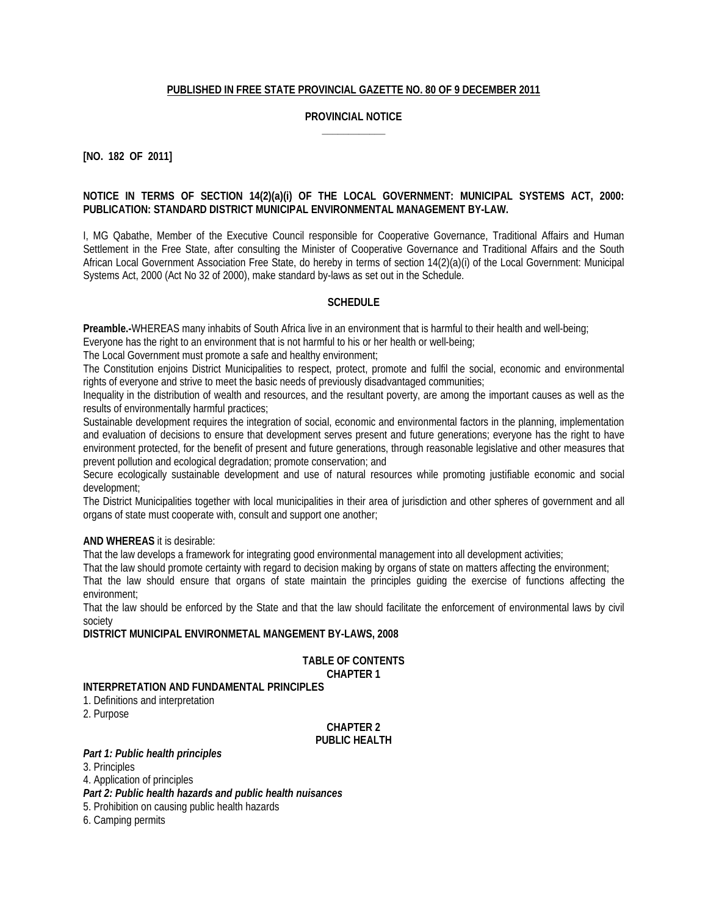### **PUBLISHED IN FREE STATE PROVINCIAL GAZETTE NO. 80 OF 9 DECEMBER 2011**

### **PROVINCIAL NOTICE \_\_\_\_\_\_\_\_\_\_\_\_**

**[NO. 182 OF 2011]**

### **NOTICE IN TERMS OF SECTION 14(2)(a)(i) OF THE LOCAL GOVERNMENT: MUNICIPAL SYSTEMS ACT, 2000: PUBLICATION: STANDARD DISTRICT MUNICIPAL ENVIRONMENTAL MANAGEMENT BY-LAW.**

I, MG Qabathe, Member of the Executive Council responsible for Cooperative Governance, Traditional Affairs and Human Settlement in the Free State, after consulting the Minister of Cooperative Governance and Traditional Affairs and the South African Local Government Association Free State, do hereby in terms of section 14(2)(a)(i) of the Local Government: Municipal Systems Act, 2000 (Act No 32 of 2000), make standard by-laws as set out in the Schedule.

### **SCHEDULE**

**Preamble.-**WHEREAS many inhabits of South Africa live in an environment that is harmful to their health and well-being;

Everyone has the right to an environment that is not harmful to his or her health or well-being;

The Local Government must promote a safe and healthy environment;

The Constitution enjoins District Municipalities to respect, protect, promote and fulfil the social, economic and environmental rights of everyone and strive to meet the basic needs of previously disadvantaged communities;

Inequality in the distribution of wealth and resources, and the resultant poverty, are among the important causes as well as the results of environmentally harmful practices;

Sustainable development requires the integration of social, economic and environmental factors in the planning, implementation and evaluation of decisions to ensure that development serves present and future generations; everyone has the right to have environment protected, for the benefit of present and future generations, through reasonable legislative and other measures that prevent pollution and ecological degradation; promote conservation; and

Secure ecologically sustainable development and use of natural resources while promoting justifiable economic and social development;

The District Municipalities together with local municipalities in their area of jurisdiction and other spheres of government and all organs of state must cooperate with, consult and support one another;

### **AND WHEREAS** it is desirable:

That the law develops a framework for integrating good environmental management into all development activities;

That the law should promote certainty with regard to decision making by organs of state on matters affecting the environment; That the law should ensure that organs of state maintain the principles guiding the exercise of functions affecting the environment;

That the law should be enforced by the State and that the law should facilitate the enforcement of environmental laws by civil society

### **DISTRICT MUNICIPAL ENVIRONMETAL MANGEMENT BY-LAWS, 2008**

### **TABLE OF CONTENTS CHAPTER 1**

### **INTERPRETATION AND FUNDAMENTAL PRINCIPLES**

1. Definitions and interpretation

2. Purpose

### **CHAPTER 2 PUBLIC HEALTH**

### *Part 1: Public health principles*

3. Principles 4. Application of principles *Part 2: Public health hazards and public health nuisances* 5. Prohibition on causing public health hazards 6. Camping permits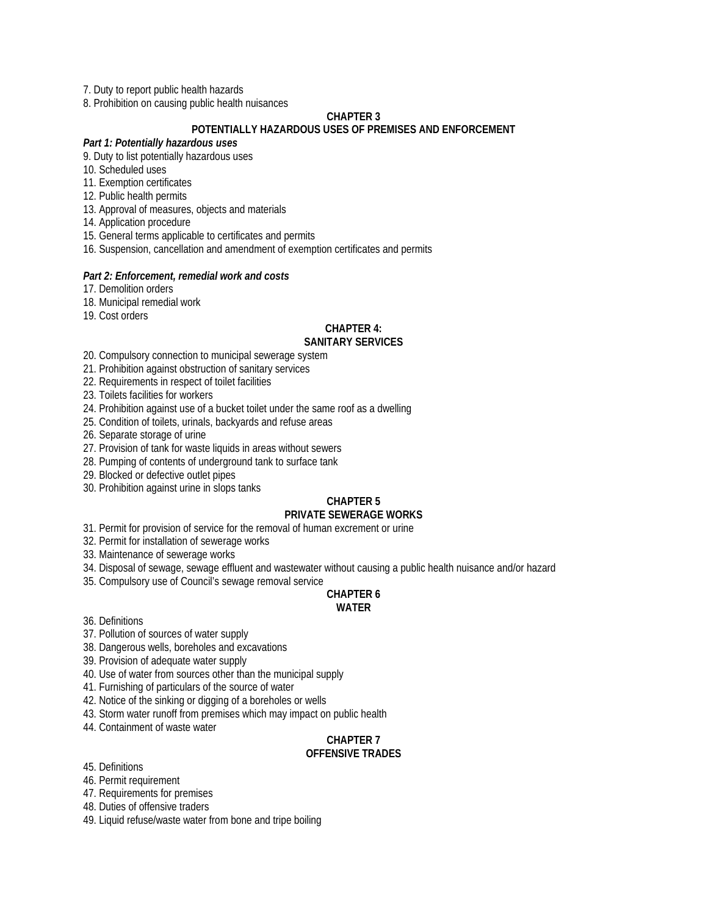7. Duty to report public health hazards

8. Prohibition on causing public health nuisances

## **CHAPTER 3**

# **POTENTIALLY HAZARDOUS USES OF PREMISES AND ENFORCEMENT**

### *Part 1: Potentially hazardous uses*

9. Duty to list potentially hazardous uses

- 10. Scheduled uses
- 11. Exemption certificates
- 12. Public health permits
- 13. Approval of measures, objects and materials
- 14. Application procedure
- 15. General terms applicable to certificates and permits
- 16. Suspension, cancellation and amendment of exemption certificates and permits

### *Part 2: Enforcement, remedial work and costs*

- 17. Demolition orders
- 18. Municipal remedial work
- 19. Cost orders

# **CHAPTER 4:**

# **SANITARY SERVICES**

- 20. Compulsory connection to municipal sewerage system
- 21. Prohibition against obstruction of sanitary services
- 22. Requirements in respect of toilet facilities

23. Toilets facilities for workers

24. Prohibition against use of a bucket toilet under the same roof as a dwelling

25. Condition of toilets, urinals, backyards and refuse areas

26. Separate storage of urine

27. Provision of tank for waste liquids in areas without sewers

28. Pumping of contents of underground tank to surface tank

29. Blocked or defective outlet pipes

30. Prohibition against urine in slops tanks

#### **CHAPTER 5 PRIVATE SEWERAGE WORKS**

31. Permit for provision of service for the removal of human excrement or urine

32. Permit for installation of sewerage works

33. Maintenance of sewerage works

34. Disposal of sewage, sewage effluent and wastewater without causing a public health nuisance and/or hazard

35. Compulsory use of Council's sewage removal service

#### **CHAPTER 6 WATER**

36. Definitions

37. Pollution of sources of water supply

38. Dangerous wells, boreholes and excavations

39. Provision of adequate water supply

40. Use of water from sources other than the municipal supply

41. Furnishing of particulars of the source of water

42. Notice of the sinking or digging of a boreholes or wells

43. Storm water runoff from premises which may impact on public health

44. Containment of waste water

### **CHAPTER 7 OFFENSIVE TRADES**

45. Definitions

46. Permit requirement

47. Requirements for premises

48. Duties of offensive traders

49. Liquid refuse/waste water from bone and tripe boiling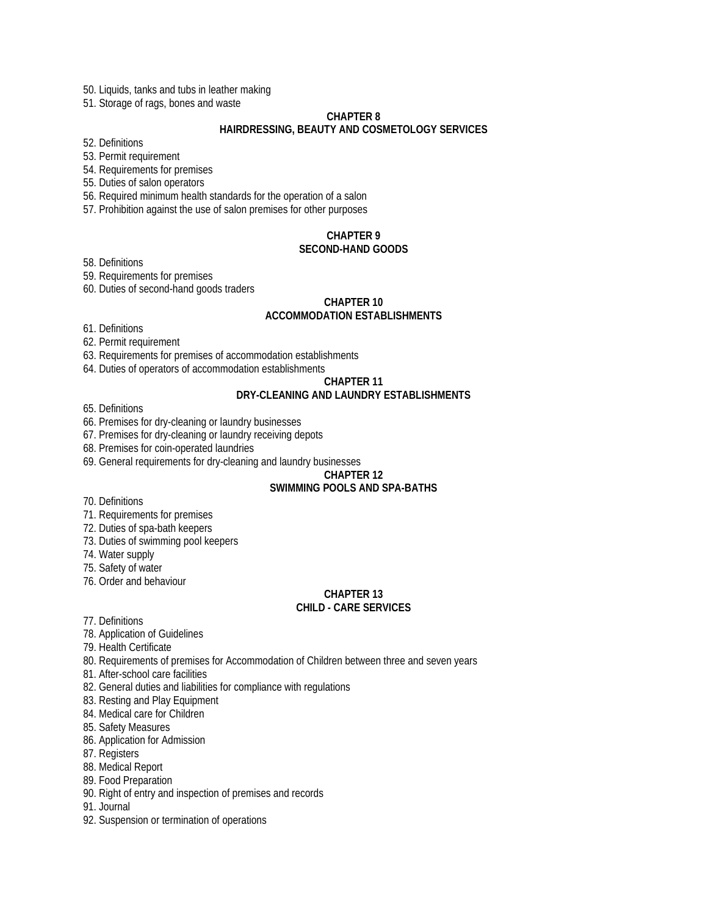50. Liquids, tanks and tubs in leather making

51. Storage of rags, bones and waste

### **CHAPTER 8 HAIRDRESSING, BEAUTY AND COSMETOLOGY SERVICES**

52. Definitions

53. Permit requirement

54. Requirements for premises

55. Duties of salon operators

56. Required minimum health standards for the operation of a salon

57. Prohibition against the use of salon premises for other purposes

# **CHAPTER 9**

# **SECOND-HAND GOODS**

58. Definitions

59. Requirements for premises

60. Duties of second-hand goods traders

# **CHAPTER 10**

## **ACCOMMODATION ESTABLISHMENTS**

61. Definitions

62. Permit requirement

63. Requirements for premises of accommodation establishments

64. Duties of operators of accommodation establishments

### **CHAPTER 11 DRY-CLEANING AND LAUNDRY ESTABLISHMENTS**

65. Definitions

66. Premises for dry-cleaning or laundry businesses

67. Premises for dry-cleaning or laundry receiving depots

68. Premises for coin-operated laundries

69. General requirements for dry-cleaning and laundry businesses

#### **CHAPTER 12 SWIMMING POOLS AND SPA-BATHS**

70. Definitions

- 71. Requirements for premises
- 72. Duties of spa-bath keepers
- 73. Duties of swimming pool keepers
- 74. Water supply

75. Safety of water

76. Order and behaviour

#### **CHAPTER 13 CHILD - CARE SERVICES**

- 77. Definitions
- 78. Application of Guidelines

79. Health Certificate

- 80. Requirements of premises for Accommodation of Children between three and seven years
- 81. After-school care facilities
- 82. General duties and liabilities for compliance with regulations
- 83. Resting and Play Equipment
- 84. Medical care for Children
- 85. Safety Measures
- 86. Application for Admission
- 87. Registers
- 88. Medical Report
- 89. Food Preparation
- 90. Right of entry and inspection of premises and records
- 91. Journal
- 92. Suspension or termination of operations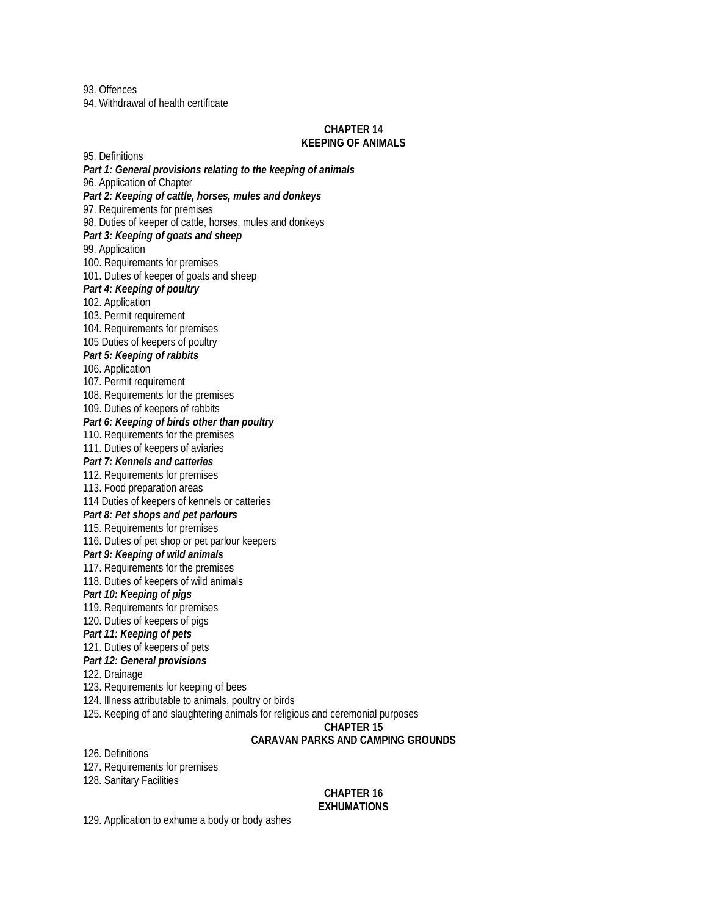93. Offences

94. Withdrawal of health certificate

### **CHAPTER 14 KEEPING OF ANIMALS**

95. Definitions

*Part 1: General provisions relating to the keeping of animals* 96. Application of Chapter *Part 2: Keeping of cattle, horses, mules and donkeys* 97. Requirements for premises 98. Duties of keeper of cattle, horses, mules and donkeys *Part 3: Keeping of goats and sheep* 99. Application 100. Requirements for premises 101. Duties of keeper of goats and sheep *Part 4: Keeping of poultry* 102. Application 103. Permit requirement 104. Requirements for premises 105 Duties of keepers of poultry *Part 5: Keeping of rabbits* 106. Application 107. Permit requirement 108. Requirements for the premises 109. Duties of keepers of rabbits *Part 6: Keeping of birds other than poultry* 110. Requirements for the premises 111. Duties of keepers of aviaries *Part 7: Kennels and catteries* 112. Requirements for premises 113. Food preparation areas 114 Duties of keepers of kennels or catteries *Part 8: Pet shops and pet parlours* 115. Requirements for premises 116. Duties of pet shop or pet parlour keepers *Part 9: Keeping of wild animals* 117. Requirements for the premises 118. Duties of keepers of wild animals *Part 10: Keeping of pigs* 119. Requirements for premises 120. Duties of keepers of pigs *Part 11: Keeping of pets* 121. Duties of keepers of pets *Part 12: General provisions* 122. Drainage 123. Requirements for keeping of bees 124. Illness attributable to animals, poultry or birds 125. Keeping of and slaughtering animals for religious and ceremonial purposes **CHAPTER 15 CARAVAN PARKS AND CAMPING GROUNDS** 126. Definitions 127. Requirements for premises 128. Sanitary Facilities

### **CHAPTER 16 EXHUMATIONS**

129. Application to exhume a body or body ashes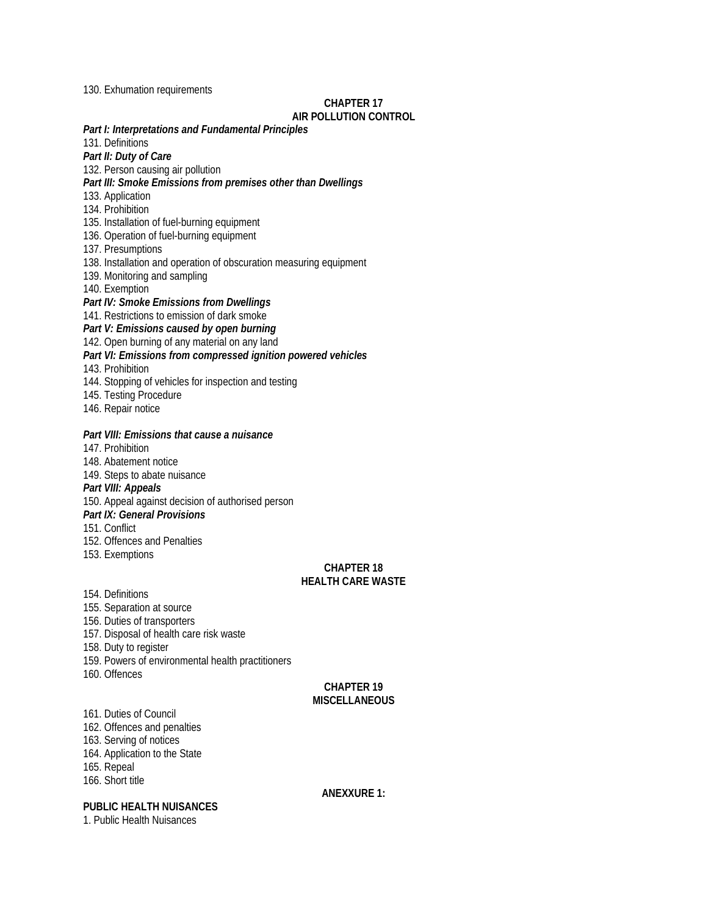130. Exhumation requirements

### **CHAPTER 17**

# **AIR POLLUTION CONTROL**

### *Part I: Interpretations and Fundamental Principles*

131. Definitions

#### *Part II: Duty of Care*

132. Person causing air pollution

### *Part III: Smoke Emissions from premises other than Dwellings*

- 133. Application
- 134. Prohibition
- 135. Installation of fuel-burning equipment
- 136. Operation of fuel-burning equipment
- 137. Presumptions
- 138. Installation and operation of obscuration measuring equipment
- 139. Monitoring and sampling
- 140. Exemption

### *Part IV: Smoke Emissions from Dwellings*

141. Restrictions to emission of dark smoke

*Part V: Emissions caused by open burning*

142. Open burning of any material on any land

### *Part VI: Emissions from compressed ignition powered vehicles*

- 143. Prohibition
- 144. Stopping of vehicles for inspection and testing
- 145. Testing Procedure
- 146. Repair notice

### *Part VIII: Emissions that cause a nuisance*

- 147. Prohibition
- 148. Abatement notice
- 149. Steps to abate nuisance
- *Part VIII: Appeals*
- 150. Appeal against decision of authorised person
- *Part IX: General Provisions*

# 151. Conflict

- 152. Offences and Penalties
- 153. Exemptions

### **CHAPTER 18 HEALTH CARE WASTE**

- 154. Definitions
- 155. Separation at source
- 156. Duties of transporters
- 157. Disposal of health care risk waste
- 158. Duty to register
- 159. Powers of environmental health practitioners
- 160. Offences

#### **CHAPTER 19 MISCELLANEOUS**

161. Duties of Council

- 162. Offences and penalties
- 163. Serving of notices
- 164. Application to the State
- 165. Repeal
- 166. Short title

### **ANEXXURE 1:**

### **PUBLIC HEALTH NUISANCES**

1. Public Health Nuisances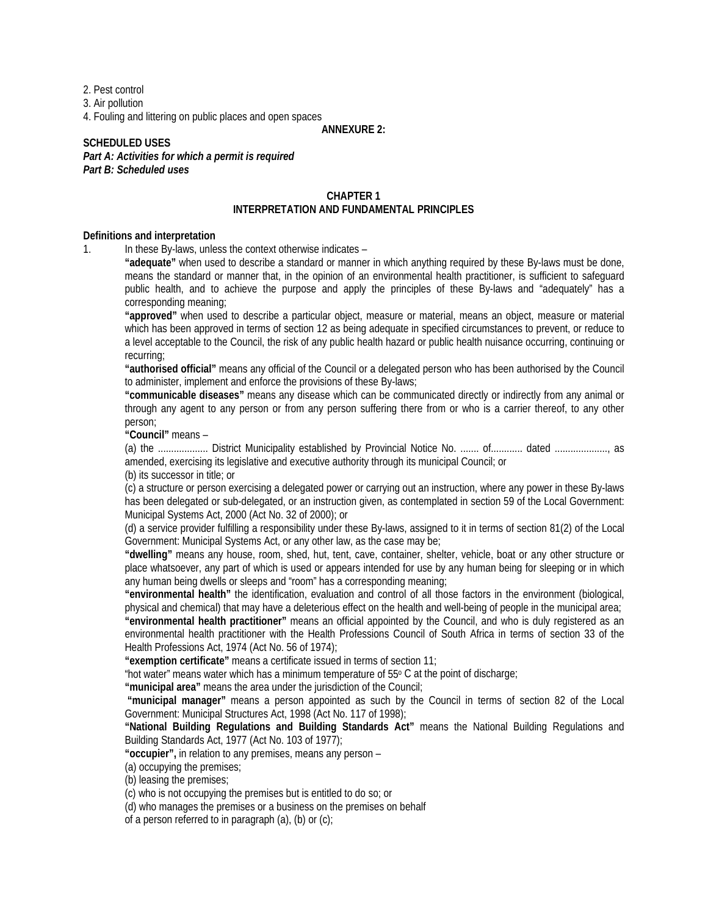2. Pest control 3. Air pollution 4. Fouling and littering on public places and open spaces

**ANNEXURE 2:**

**SCHEDULED USES** *Part A: Activities for which a permit is required Part B: Scheduled uses*

### **CHAPTER 1 INTERPRETATION AND FUNDAMENTAL PRINCIPLES**

### **Definitions and interpretation**

1. In these By-laws, unless the context otherwise indicates –

**"adequate"** when used to describe a standard or manner in which anything required by these By-laws must be done, means the standard or manner that, in the opinion of an environmental health practitioner, is sufficient to safeguard public health, and to achieve the purpose and apply the principles of these By-laws and "adequately" has a corresponding meaning;

**"approved"** when used to describe a particular object, measure or material, means an object, measure or material which has been approved in terms of section 12 as being adequate in specified circumstances to prevent, or reduce to a level acceptable to the Council, the risk of any public health hazard or public health nuisance occurring, continuing or recurring;

**"authorised official"** means any official of the Council or a delegated person who has been authorised by the Council to administer, implement and enforce the provisions of these By-laws;

**"communicable diseases"** means any disease which can be communicated directly or indirectly from any animal or through any agent to any person or from any person suffering there from or who is a carrier thereof, to any other person;

**"Council"** means –

(a) the ................... District Municipality established by Provincial Notice No. ....... of............ dated ...................., as amended, exercising its legislative and executive authority through its municipal Council; or (b) its successor in title; or

(c) a structure or person exercising a delegated power or carrying out an instruction, where any power in these By-laws has been delegated or sub-delegated, or an instruction given, as contemplated in section 59 of the Local Government: Municipal Systems Act, 2000 (Act No. 32 of 2000); or

(d) a service provider fulfilling a responsibility under these By-laws, assigned to it in terms of section 81(2) of the Local Government: Municipal Systems Act, or any other law, as the case may be;

**"dwelling"** means any house, room, shed, hut, tent, cave, container, shelter, vehicle, boat or any other structure or place whatsoever, any part of which is used or appears intended for use by any human being for sleeping or in which any human being dwells or sleeps and "room" has a corresponding meaning;

**"environmental health"** the identification, evaluation and control of all those factors in the environment (biological, physical and chemical) that may have a deleterious effect on the health and well-being of people in the municipal area; **"environmental health practitioner"** means an official appointed by the Council, and who is duly registered as an environmental health practitioner with the Health Professions Council of South Africa in terms of section 33 of the Health Professions Act, 1974 (Act No. 56 of 1974);

**"exemption certificate"** means a certificate issued in terms of section 11;

"hot water" means water which has a minimum temperature of  $55^{\circ}$  C at the point of discharge;

**"municipal area"** means the area under the jurisdiction of the Council;

**"municipal manager"** means a person appointed as such by the Council in terms of section 82 of the Local Government: Municipal Structures Act, 1998 (Act No. 117 of 1998);

**"National Building Regulations and Building Standards Act"** means the National Building Regulations and Building Standards Act, 1977 (Act No. 103 of 1977);

**"occupier",** in relation to any premises, means any person –

(a) occupying the premises;

(b) leasing the premises;

(c) who is not occupying the premises but is entitled to do so; or

(d) who manages the premises or a business on the premises on behalf

of a person referred to in paragraph (a), (b) or (c);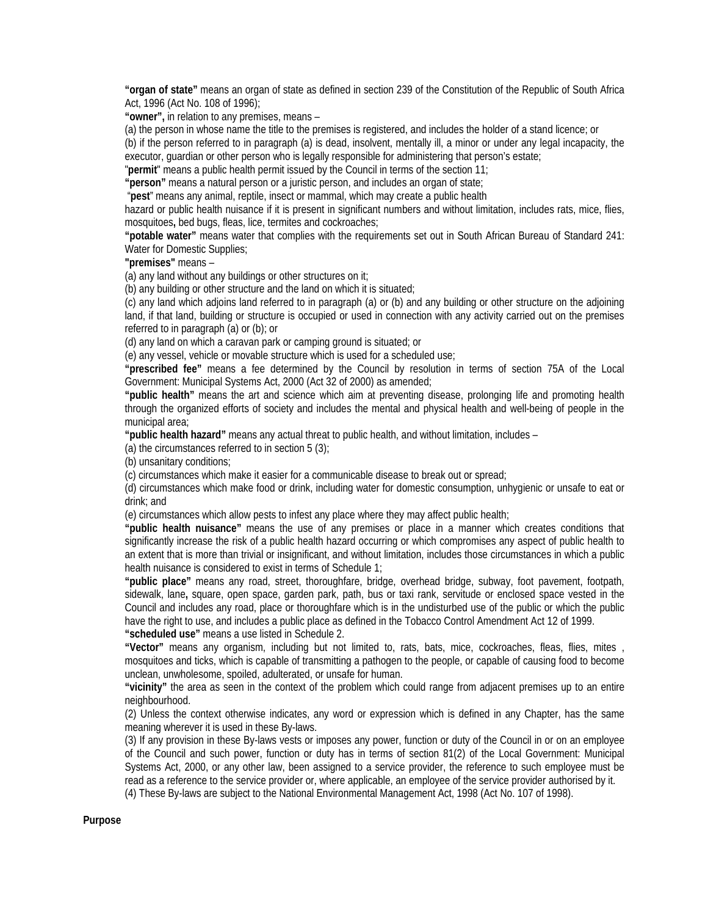**"organ of state"** means an organ of state as defined in section 239 of the Constitution of the Republic of South Africa Act, 1996 (Act No. 108 of 1996);

**"owner",** in relation to any premises, means –

(a) the person in whose name the title to the premises is registered, and includes the holder of a stand licence; or

(b) if the person referred to in paragraph (a) is dead, insolvent, mentally ill, a minor or under any legal incapacity, the executor, guardian or other person who is legally responsible for administering that person's estate;

"**permit**" means a public health permit issued by the Council in terms of the section 11;

**"person"** means a natural person or a juristic person, and includes an organ of state;

"**pest**" means any animal, reptile, insect or mammal, which may create a public health

hazard or public health nuisance if it is present in significant numbers and without limitation, includes rats, mice, flies, mosquitoes**,** bed bugs, fleas, lice, termites and cockroaches;

**"potable water"** means water that complies with the requirements set out in South African Bureau of Standard 241: Water for Domestic Supplies;

**"premises"** means –

(a) any land without any buildings or other structures on it;

(b) any building or other structure and the land on which it is situated;

(c) any land which adjoins land referred to in paragraph (a) or (b) and any building or other structure on the adjoining land, if that land, building or structure is occupied or used in connection with any activity carried out on the premises referred to in paragraph (a) or (b); or

(d) any land on which a caravan park or camping ground is situated; or

(e) any vessel, vehicle or movable structure which is used for a scheduled use;

**"prescribed fee"** means a fee determined by the Council by resolution in terms of section 75A of the Local Government: Municipal Systems Act, 2000 (Act 32 of 2000) as amended;

**"public health"** means the art and science which aim at preventing disease, prolonging life and promoting health through the organized efforts of society and includes the mental and physical health and well-being of people in the municipal area;

**"public health hazard"** means any actual threat to public health, and without limitation, includes –

(a) the circumstances referred to in section  $5(3)$ ;

(b) unsanitary conditions;

(c) circumstances which make it easier for a communicable disease to break out or spread;

(d) circumstances which make food or drink, including water for domestic consumption, unhygienic or unsafe to eat or drink; and

(e) circumstances which allow pests to infest any place where they may affect public health;

**"public health nuisance"** means the use of any premises or place in a manner which creates conditions that significantly increase the risk of a public health hazard occurring or which compromises any aspect of public health to an extent that is more than trivial or insignificant, and without limitation, includes those circumstances in which a public health nuisance is considered to exist in terms of Schedule 1;

**"public place"** means any road, street, thoroughfare, bridge, overhead bridge, subway, foot pavement, footpath, sidewalk, lane**,** square, open space, garden park, path, bus or taxi rank, servitude or enclosed space vested in the Council and includes any road, place or thoroughfare which is in the undisturbed use of the public or which the public have the right to use, and includes a public place as defined in the Tobacco Control Amendment Act 12 of 1999.

**"scheduled use"** means a use listed in Schedule 2.

**"Vector"** means any organism, including but not limited to, rats, bats, mice, cockroaches, fleas, flies, mites , mosquitoes and ticks, which is capable of transmitting a pathogen to the people, or capable of causing food to become unclean, unwholesome, spoiled, adulterated, or unsafe for human.

**"vicinity"** the area as seen in the context of the problem which could range from adjacent premises up to an entire neighbourhood.

(2) Unless the context otherwise indicates, any word or expression which is defined in any Chapter, has the same meaning wherever it is used in these By-laws.

(3) If any provision in these By-laws vests or imposes any power, function or duty of the Council in or on an employee of the Council and such power, function or duty has in terms of section 81(2) of the Local Government: Municipal Systems Act, 2000, or any other law, been assigned to a service provider, the reference to such employee must be read as a reference to the service provider or, where applicable, an employee of the service provider authorised by it. (4) These By-laws are subject to the National Environmental Management Act, 1998 (Act No. 107 of 1998).

### **Purpose**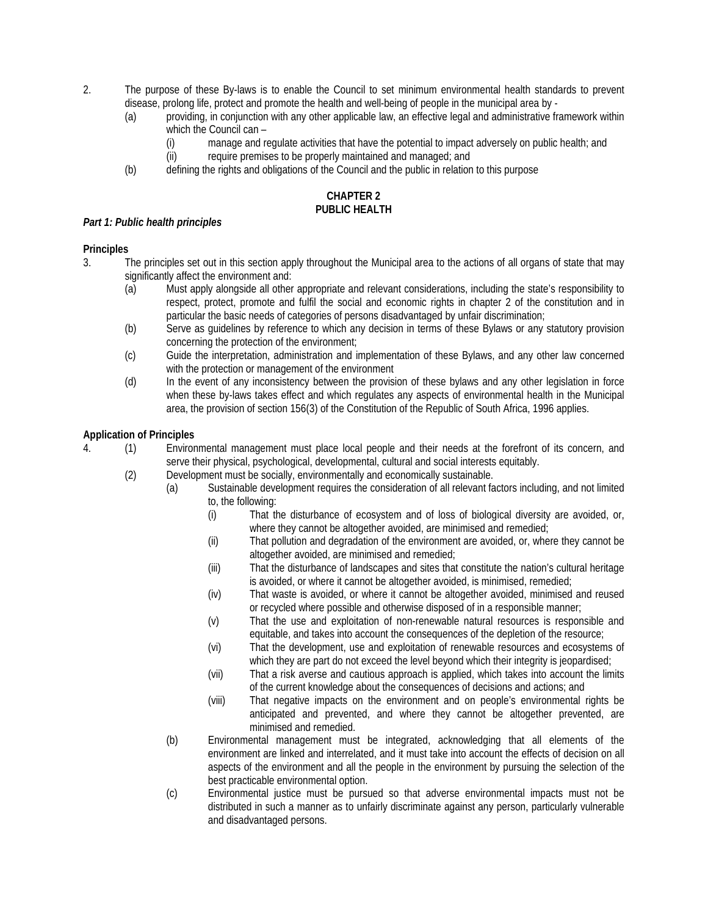- 2. The purpose of these By-laws is to enable the Council to set minimum environmental health standards to prevent disease, prolong life, protect and promote the health and well-being of people in the municipal area by -
	- (a) providing, in conjunction with any other applicable law, an effective legal and administrative framework within which the Council can –
		- (i) manage and regulate activities that have the potential to impact adversely on public health; and
		- (ii) require premises to be properly maintained and managed; and
	- (b) defining the rights and obligations of the Council and the public in relation to this purpose

## **CHAPTER 2 PUBLIC HEALTH**

### *Part 1: Public health principles*

## **Principles**

- 3. The principles set out in this section apply throughout the Municipal area to the actions of all organs of state that may significantly affect the environment and:
	- (a) Must apply alongside all other appropriate and relevant considerations, including the state's responsibility to respect, protect, promote and fulfil the social and economic rights in chapter 2 of the constitution and in particular the basic needs of categories of persons disadvantaged by unfair discrimination;
	- (b) Serve as guidelines by reference to which any decision in terms of these Bylaws or any statutory provision concerning the protection of the environment;
	- (c) Guide the interpretation, administration and implementation of these Bylaws, and any other law concerned with the protection or management of the environment
	- (d) In the event of any inconsistency between the provision of these bylaws and any other legislation in force when these by-laws takes effect and which regulates any aspects of environmental health in the Municipal area, the provision of section 156(3) of the Constitution of the Republic of South Africa, 1996 applies.

## **Application of Principles**

- 4. (1) Environmental management must place local people and their needs at the forefront of its concern, and serve their physical, psychological, developmental, cultural and social interests equitably.
	- (2) Development must be socially, environmentally and economically sustainable.
		- (a) Sustainable development requires the consideration of all relevant factors including, and not limited to, the following:
			- (i) That the disturbance of ecosystem and of loss of biological diversity are avoided, or, where they cannot be altogether avoided, are minimised and remedied;
			- (ii) That pollution and degradation of the environment are avoided, or, where they cannot be altogether avoided, are minimised and remedied;
			- (iii) That the disturbance of landscapes and sites that constitute the nation's cultural heritage is avoided, or where it cannot be altogether avoided, is minimised, remedied;
			- (iv) That waste is avoided, or where it cannot be altogether avoided, minimised and reused or recycled where possible and otherwise disposed of in a responsible manner;
			- (v) That the use and exploitation of non-renewable natural resources is responsible and equitable, and takes into account the consequences of the depletion of the resource;
			- (vi) That the development, use and exploitation of renewable resources and ecosystems of which they are part do not exceed the level beyond which their integrity is jeopardised;
			- (vii) That a risk averse and cautious approach is applied, which takes into account the limits of the current knowledge about the consequences of decisions and actions; and
			- (viii) That negative impacts on the environment and on people's environmental rights be anticipated and prevented, and where they cannot be altogether prevented, are minimised and remedied.
			- (b) Environmental management must be integrated, acknowledging that all elements of the environment are linked and interrelated, and it must take into account the effects of decision on all aspects of the environment and all the people in the environment by pursuing the selection of the best practicable environmental option.
			- (c) Environmental justice must be pursued so that adverse environmental impacts must not be distributed in such a manner as to unfairly discriminate against any person, particularly vulnerable and disadvantaged persons.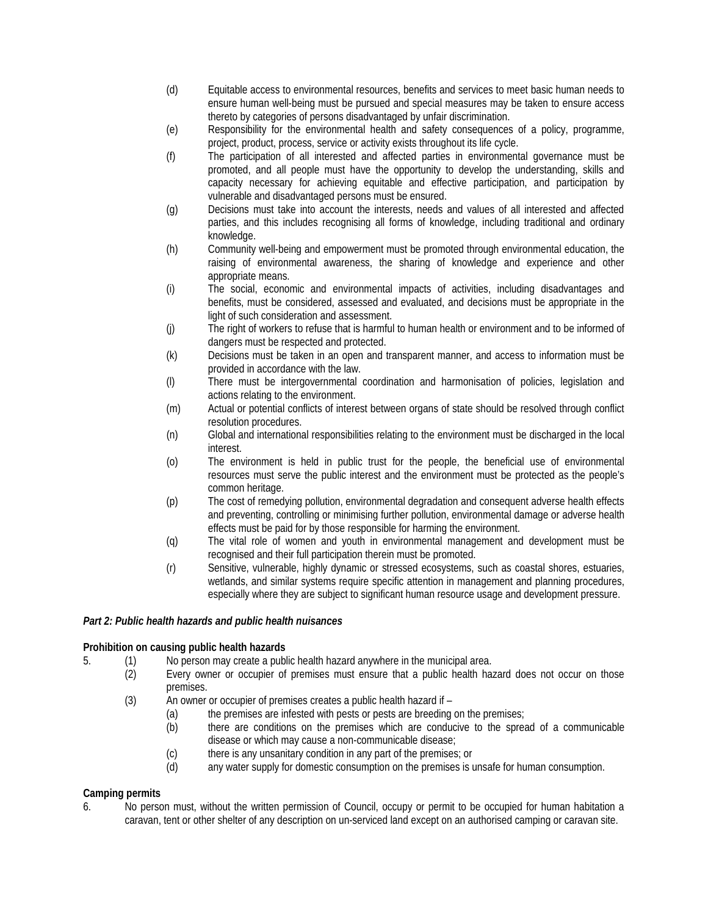- (d) Equitable access to environmental resources, benefits and services to meet basic human needs to ensure human well-being must be pursued and special measures may be taken to ensure access thereto by categories of persons disadvantaged by unfair discrimination.
- (e) Responsibility for the environmental health and safety consequences of a policy, programme, project, product, process, service or activity exists throughout its life cycle.
- (f) The participation of all interested and affected parties in environmental governance must be promoted, and all people must have the opportunity to develop the understanding, skills and capacity necessary for achieving equitable and effective participation, and participation by vulnerable and disadvantaged persons must be ensured.
- (g) Decisions must take into account the interests, needs and values of all interested and affected parties, and this includes recognising all forms of knowledge, including traditional and ordinary knowledge.
- (h) Community well-being and empowerment must be promoted through environmental education, the raising of environmental awareness, the sharing of knowledge and experience and other appropriate means.
- (i) The social, economic and environmental impacts of activities, including disadvantages and benefits, must be considered, assessed and evaluated, and decisions must be appropriate in the light of such consideration and assessment.
- (j) The right of workers to refuse that is harmful to human health or environment and to be informed of dangers must be respected and protected.
- (k) Decisions must be taken in an open and transparent manner, and access to information must be provided in accordance with the law.
- (l) There must be intergovernmental coordination and harmonisation of policies, legislation and actions relating to the environment.
- (m) Actual or potential conflicts of interest between organs of state should be resolved through conflict resolution procedures.
- (n) Global and international responsibilities relating to the environment must be discharged in the local interest.
- (o) The environment is held in public trust for the people, the beneficial use of environmental resources must serve the public interest and the environment must be protected as the people's common heritage.
- (p) The cost of remedying pollution, environmental degradation and consequent adverse health effects and preventing, controlling or minimising further pollution, environmental damage or adverse health effects must be paid for by those responsible for harming the environment.
- (q) The vital role of women and youth in environmental management and development must be recognised and their full participation therein must be promoted.
- (r) Sensitive, vulnerable, highly dynamic or stressed ecosystems, such as coastal shores, estuaries, wetlands, and similar systems require specific attention in management and planning procedures, especially where they are subject to significant human resource usage and development pressure.

### *Part 2: Public health hazards and public health nuisances*

### **Prohibition on causing public health hazards**

- 5. (1) No person may create a public health hazard anywhere in the municipal area.
	- (2) Every owner or occupier of premises must ensure that a public health hazard does not occur on those premises.
	- (3) An owner or occupier of premises creates a public health hazard if
		- (a) the premises are infested with pests or pests are breeding on the premises;
		- (b) there are conditions on the premises which are conducive to the spread of a communicable disease or which may cause a non-communicable disease;
		- (c) there is any unsanitary condition in any part of the premises; or
		- (d) any water supply for domestic consumption on the premises is unsafe for human consumption.

# **Camping permits**

6. No person must, without the written permission of Council, occupy or permit to be occupied for human habitation a caravan, tent or other shelter of any description on un-serviced land except on an authorised camping or caravan site.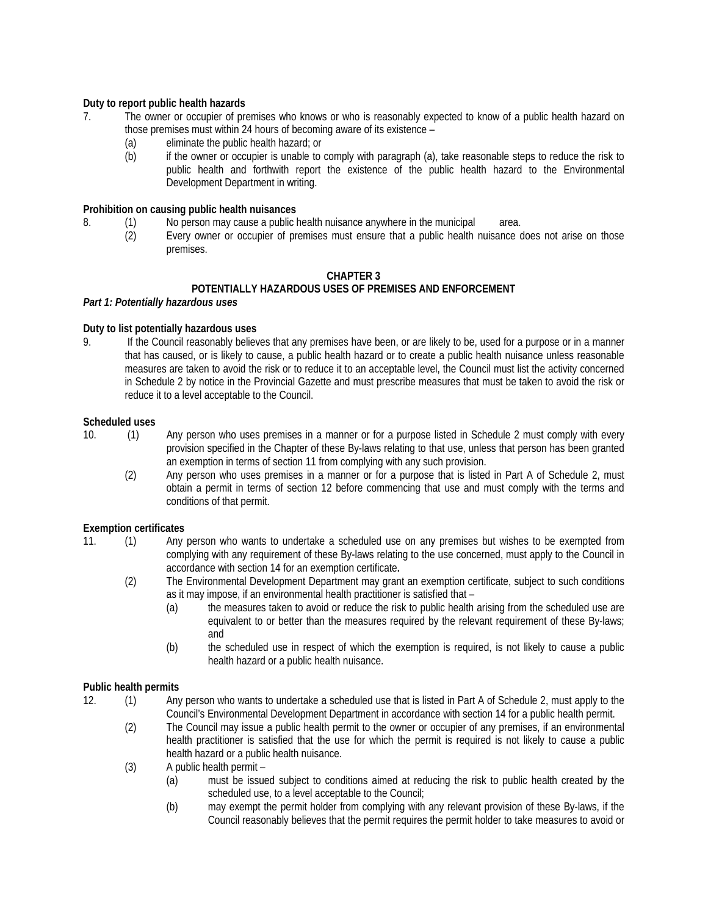### **Duty to report public health hazards**

- 7. The owner or occupier of premises who knows or who is reasonably expected to know of a public health hazard on those premises must within 24 hours of becoming aware of its existence –
	- (a) eliminate the public health hazard; or
	- (b) if the owner or occupier is unable to comply with paragraph (a), take reasonable steps to reduce the risk to public health and forthwith report the existence of the public health hazard to the Environmental Development Department in writing.

## **Prohibition on causing public health nuisances**

- 8. (1) No person may cause a public health nuisance anywhere in the municipal area.<br>(2) Every owner or occupier of premises must ensure that a public health nuisance of
	- Every owner or occupier of premises must ensure that a public health nuisance does not arise on those premises.

## **CHAPTER 3**

# **POTENTIALLY HAZARDOUS USES OF PREMISES AND ENFORCEMENT**

### *Part 1: Potentially hazardous uses*

## **Duty to list potentially hazardous uses**

9. If the Council reasonably believes that any premises have been, or are likely to be, used for a purpose or in a manner that has caused, or is likely to cause, a public health hazard or to create a public health nuisance unless reasonable measures are taken to avoid the risk or to reduce it to an acceptable level, the Council must list the activity concerned in Schedule 2 by notice in the Provincial Gazette and must prescribe measures that must be taken to avoid the risk or reduce it to a level acceptable to the Council.

### **Scheduled uses**

- 10. (1) Any person who uses premises in a manner or for a purpose listed in Schedule 2 must comply with every provision specified in the Chapter of these By-laws relating to that use, unless that person has been granted an exemption in terms of section 11 from complying with any such provision.
	- (2) Any person who uses premises in a manner or for a purpose that is listed in Part A of Schedule 2, must obtain a permit in terms of section 12 before commencing that use and must comply with the terms and conditions of that permit.

# Exemption certificates<br>11. (1) Any

- 11. (1) Any person who wants to undertake a scheduled use on any premises but wishes to be exempted from complying with any requirement of these By-laws relating to the use concerned, must apply to the Council in accordance with section 14 for an exemption certificate**.**
	- (2) The Environmental Development Department may grant an exemption certificate, subject to such conditions as it may impose, if an environmental health practitioner is satisfied that –
		- (a) the measures taken to avoid or reduce the risk to public health arising from the scheduled use are equivalent to or better than the measures required by the relevant requirement of these By-laws; and
		- (b) the scheduled use in respect of which the exemption is required, is not likely to cause a public health hazard or a public health nuisance.

### **Public health permits**

- 12. (1) Any person who wants to undertake a scheduled use that is listed in Part A of Schedule 2, must apply to the Council's Environmental Development Department in accordance with section 14 for a public health permit.
	- (2) The Council may issue a public health permit to the owner or occupier of any premises, if an environmental health practitioner is satisfied that the use for which the permit is required is not likely to cause a public health hazard or a public health nuisance.
	- (3) A public health permit
		- (a) must be issued subject to conditions aimed at reducing the risk to public health created by the scheduled use, to a level acceptable to the Council;
		- (b) may exempt the permit holder from complying with any relevant provision of these By-laws, if the Council reasonably believes that the permit requires the permit holder to take measures to avoid or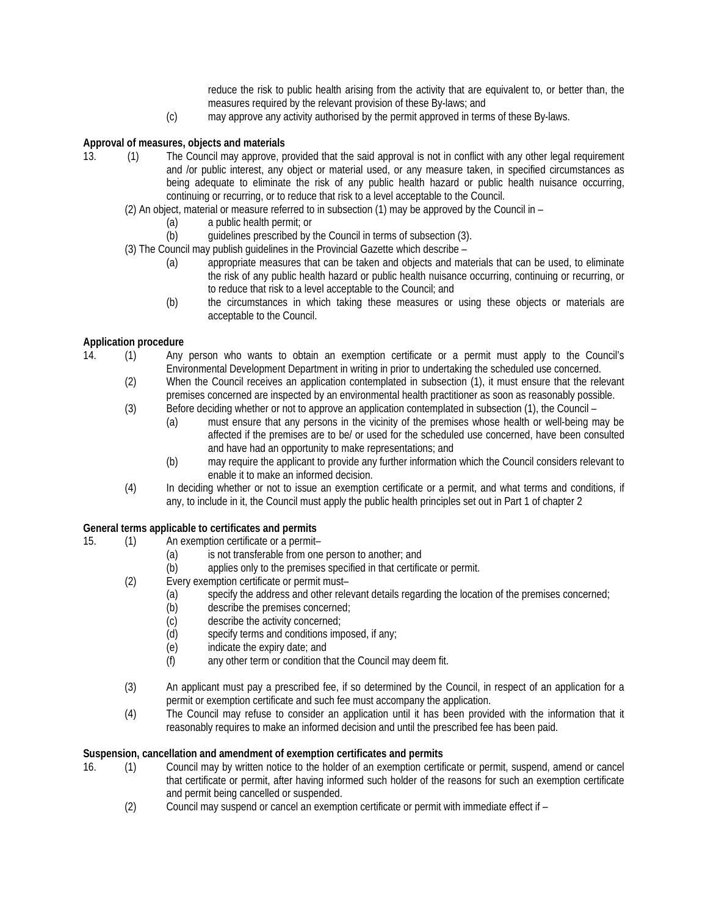reduce the risk to public health arising from the activity that are equivalent to, or better than, the measures required by the relevant provision of these By-laws; and

(c) may approve any activity authorised by the permit approved in terms of these By-laws.

## **Approval of measures, objects and materials**

- 13. (1) The Council may approve, provided that the said approval is not in conflict with any other legal requirement and /or public interest, any object or material used, or any measure taken, in specified circumstances as being adequate to eliminate the risk of any public health hazard or public health nuisance occurring, continuing or recurring, or to reduce that risk to a level acceptable to the Council.
	- (2) An object, material or measure referred to in subsection (1) may be approved by the Council in
		- (a) a public health permit; or
		- (b) guidelines prescribed by the Council in terms of subsection (3).
	- (3) The Council may publish guidelines in the Provincial Gazette which describe
		- (a) appropriate measures that can be taken and objects and materials that can be used, to eliminate the risk of any public health hazard or public health nuisance occurring, continuing or recurring, or to reduce that risk to a level acceptable to the Council; and
		- (b) the circumstances in which taking these measures or using these objects or materials are acceptable to the Council.

## **Application procedure**

- 14. (1) Any person who wants to obtain an exemption certificate or a permit must apply to the Council's Environmental Development Department in writing in prior to undertaking the scheduled use concerned.
	- (2) When the Council receives an application contemplated in subsection (1), it must ensure that the relevant premises concerned are inspected by an environmental health practitioner as soon as reasonably possible.
	- (3) Before deciding whether or not to approve an application contemplated in subsection (1), the Council
		- (a) must ensure that any persons in the vicinity of the premises whose health or well-being may be affected if the premises are to be/ or used for the scheduled use concerned, have been consulted and have had an opportunity to make representations; and
		- (b) may require the applicant to provide any further information which the Council considers relevant to enable it to make an informed decision.
	- (4) In deciding whether or not to issue an exemption certificate or a permit, and what terms and conditions, if any, to include in it, the Council must apply the public health principles set out in Part 1 of chapter 2

# **General terms applicable to certificates and permits**<br>15. (1) An exemption certificate or a permit-

- 15. (1) An exemption certificate or a permit–
	- (a) is not transferable from one person to another; and
	- (b) applies only to the premises specified in that certificate or permit.
	- (2) Every exemption certificate or permit must–
		- (a) specify the address and other relevant details regarding the location of the premises concerned;
		- (b) describe the premises concerned;
		- (c) describe the activity concerned;
		- (d) specify terms and conditions imposed, if any;
		- (e) indicate the expiry date; and
		- (f) any other term or condition that the Council may deem fit.
	- (3) An applicant must pay a prescribed fee, if so determined by the Council, in respect of an application for a permit or exemption certificate and such fee must accompany the application.
	- (4) The Council may refuse to consider an application until it has been provided with the information that it reasonably requires to make an informed decision and until the prescribed fee has been paid.

### **Suspension, cancellation and amendment of exemption certificates and permits**

- 16. (1) Council may by written notice to the holder of an exemption certificate or permit, suspend, amend or cancel that certificate or permit, after having informed such holder of the reasons for such an exemption certificate and permit being cancelled or suspended.
	- (2) Council may suspend or cancel an exemption certificate or permit with immediate effect if –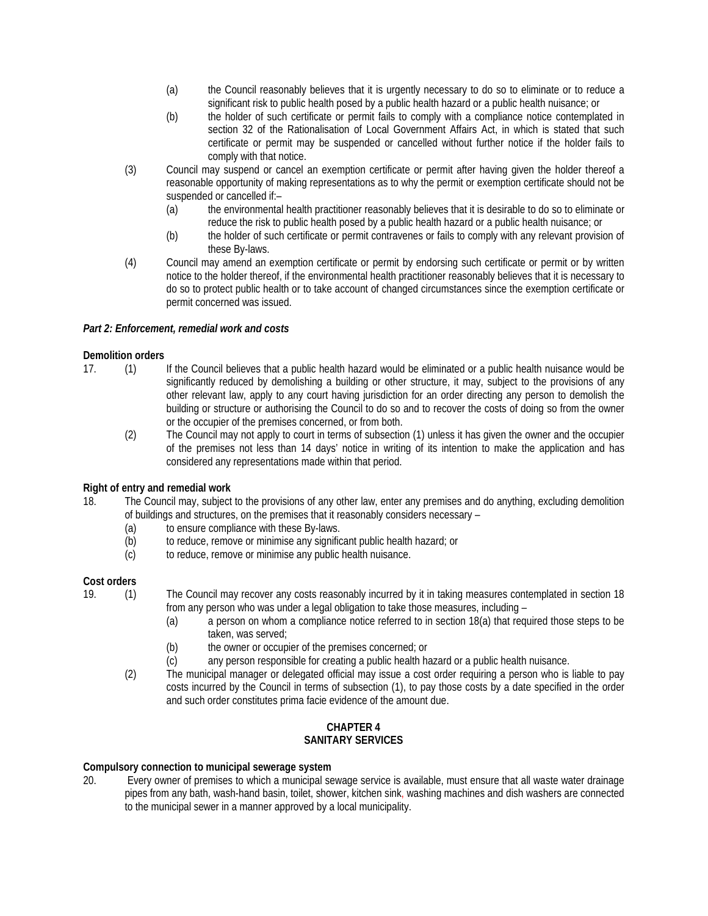- (a) the Council reasonably believes that it is urgently necessary to do so to eliminate or to reduce a significant risk to public health posed by a public health hazard or a public health nuisance; or
- (b) the holder of such certificate or permit fails to comply with a compliance notice contemplated in section 32 of the Rationalisation of Local Government Affairs Act, in which is stated that such certificate or permit may be suspended or cancelled without further notice if the holder fails to comply with that notice.
- (3) Council may suspend or cancel an exemption certificate or permit after having given the holder thereof a reasonable opportunity of making representations as to why the permit or exemption certificate should not be suspended or cancelled if:-
	- (a) the environmental health practitioner reasonably believes that it is desirable to do so to eliminate or reduce the risk to public health posed by a public health hazard or a public health nuisance; or
	- (b) the holder of such certificate or permit contravenes or fails to comply with any relevant provision of these By-laws.
- (4) Council may amend an exemption certificate or permit by endorsing such certificate or permit or by written notice to the holder thereof, if the environmental health practitioner reasonably believes that it is necessary to do so to protect public health or to take account of changed circumstances since the exemption certificate or permit concerned was issued.

## *Part 2: Enforcement, remedial work and costs*

## **Demolition orders**

- 17. (1) If the Council believes that a public health hazard would be eliminated or a public health nuisance would be significantly reduced by demolishing a building or other structure, it may, subject to the provisions of any other relevant law, apply to any court having jurisdiction for an order directing any person to demolish the building or structure or authorising the Council to do so and to recover the costs of doing so from the owner or the occupier of the premises concerned, or from both.
	- (2) The Council may not apply to court in terms of subsection (1) unless it has given the owner and the occupier of the premises not less than 14 days' notice in writing of its intention to make the application and has considered any representations made within that period.

# **Right of entry and remedial work**

- 18. The Council may, subject to the provisions of any other law, enter any premises and do anything, excluding demolition of buildings and structures, on the premises that it reasonably considers necessary –
	-
	- (a) to ensure compliance with these By-laws.<br>(b) to reduce, remove or minimise any signific to reduce, remove or minimise any significant public health hazard; or
	- (c) to reduce, remove or minimise any public health nuisance.

# **Cost orders**

- 19. (1) The Council may recover any costs reasonably incurred by it in taking measures contemplated in section 18 from any person who was under a legal obligation to take those measures, including –
	- (a) a person on whom a compliance notice referred to in section 18(a) that required those steps to be taken, was served;
	- (b) the owner or occupier of the premises concerned; or
	- (c) any person responsible for creating a public health hazard or a public health nuisance.
	- (2) The municipal manager or delegated official may issue a cost order requiring a person who is liable to pay costs incurred by the Council in terms of subsection (1), to pay those costs by a date specified in the order and such order constitutes prima facie evidence of the amount due.

## **CHAPTER 4 SANITARY SERVICES**

### **Compulsory connection to municipal sewerage system**

20. Every owner of premises to which a municipal sewage service is available, must ensure that all waste water drainage pipes from any bath, wash-hand basin, toilet, shower, kitchen sink, washing machines and dish washers are connected to the municipal sewer in a manner approved by a local municipality.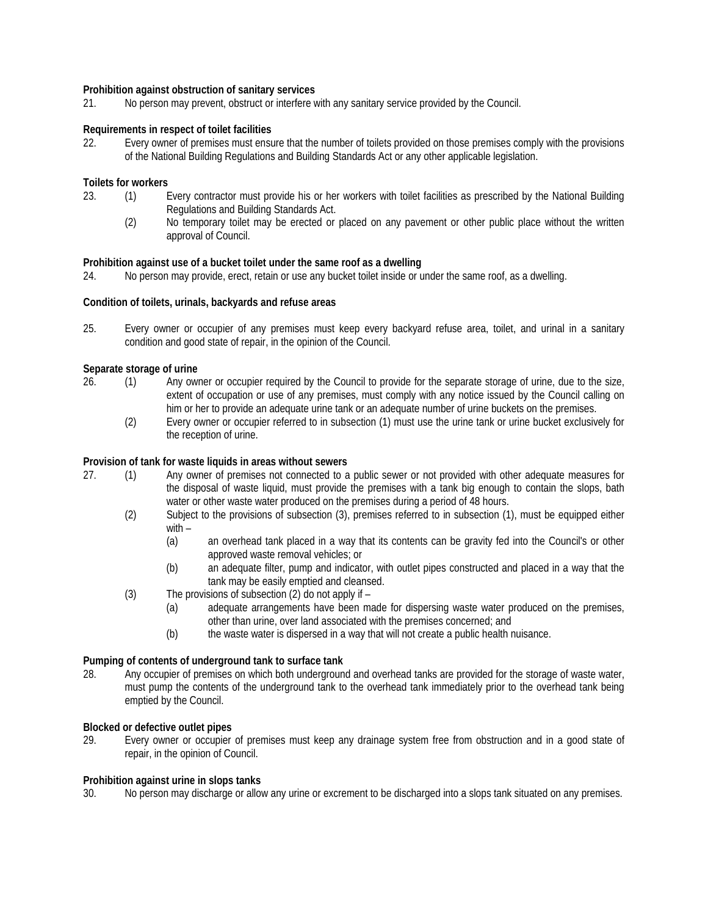### **Prohibition against obstruction of sanitary services**

21. No person may prevent, obstruct or interfere with any sanitary service provided by the Council.

## **Requirements in respect of toilet facilities**

22. Every owner of premises must ensure that the number of toilets provided on those premises comply with the provisions of the National Building Regulations and Building Standards Act or any other applicable legislation.

### **Toilets for workers**

- 23. (1) Every contractor must provide his or her workers with toilet facilities as prescribed by the National Building Regulations and Building Standards Act.
	- (2) No temporary toilet may be erected or placed on any pavement or other public place without the written approval of Council.

### **Prohibition against use of a bucket toilet under the same roof as a dwelling**

24. No person may provide, erect, retain or use any bucket toilet inside or under the same roof, as a dwelling.

### **Condition of toilets, urinals, backyards and refuse areas**

25. Every owner or occupier of any premises must keep every backyard refuse area, toilet, and urinal in a sanitary condition and good state of repair, in the opinion of the Council.

### **Separate storage of urine**

- 26. (1) Any owner or occupier required by the Council to provide for the separate storage of urine, due to the size, extent of occupation or use of any premises, must comply with any notice issued by the Council calling on him or her to provide an adequate urine tank or an adequate number of urine buckets on the premises.
	- (2) Every owner or occupier referred to in subsection (1) must use the urine tank or urine bucket exclusively for the reception of urine.

### **Provision of tank for waste liquids in areas without sewers**

- 27. (1) Any owner of premises not connected to a public sewer or not provided with other adequate measures for the disposal of waste liquid, must provide the premises with a tank big enough to contain the slops, bath water or other waste water produced on the premises during a period of 48 hours.
	- (2) Subject to the provisions of subsection (3), premises referred to in subsection (1), must be equipped either with –<br>(a)
		- an overhead tank placed in a way that its contents can be gravity fed into the Council's or other approved waste removal vehicles; or
		- (b) an adequate filter, pump and indicator, with outlet pipes constructed and placed in a way that the tank may be easily emptied and cleansed.
	- (3) The provisions of subsection (2) do not apply if
		- (a) adequate arrangements have been made for dispersing waste water produced on the premises, other than urine, over land associated with the premises concerned; and
		- (b) the waste water is dispersed in a way that will not create a public health nuisance.

### **Pumping of contents of underground tank to surface tank**

28. Any occupier of premises on which both underground and overhead tanks are provided for the storage of waste water, must pump the contents of the underground tank to the overhead tank immediately prior to the overhead tank being emptied by the Council.

### **Blocked or defective outlet pipes**

29. Every owner or occupier of premises must keep any drainage system free from obstruction and in a good state of repair, in the opinion of Council.

### **Prohibition against urine in slops tanks**

30. No person may discharge or allow any urine or excrement to be discharged into a slops tank situated on any premises.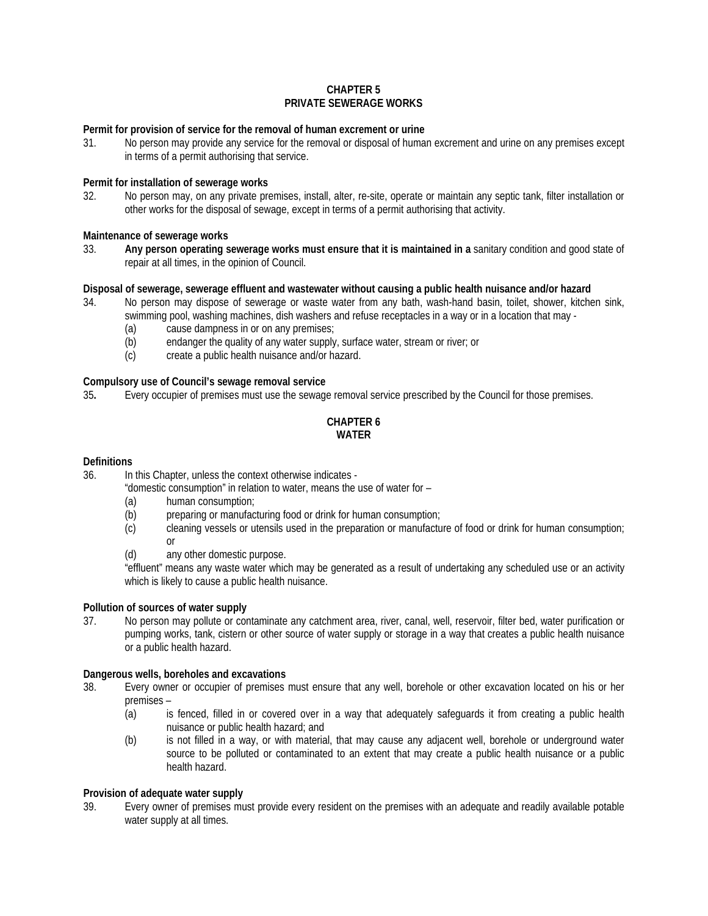## **CHAPTER 5 PRIVATE SEWERAGE WORKS**

### **Permit for provision of service for the removal of human excrement or urine**

31. No person may provide any service for the removal or disposal of human excrement and urine on any premises except in terms of a permit authorising that service.

### **Permit for installation of sewerage works**

32. No person may, on any private premises, install, alter, re-site, operate or maintain any septic tank, filter installation or other works for the disposal of sewage, except in terms of a permit authorising that activity.

### **Maintenance of sewerage works**

33. **Any person operating sewerage works must ensure that it is maintained in a** sanitary condition and good state of repair at all times, in the opinion of Council.

### **Disposal of sewerage, sewerage effluent and wastewater without causing a public health nuisance and/or hazard**

- 34. No person may dispose of sewerage or waste water from any bath, wash-hand basin, toilet, shower, kitchen sink, swimming pool, washing machines, dish washers and refuse receptacles in a way or in a location that may -
	- (a) cause dampness in or on any premises;
	- (b) endanger the quality of any water supply, surface water, stream or river; or
	- (c) create a public health nuisance and/or hazard.

### **Compulsory use of Council's sewage removal service**

35**.** Every occupier of premises must use the sewage removal service prescribed by the Council for those premises.

### **CHAPTER 6 WATER**

### **Definitions**

36. In this Chapter, unless the context otherwise indicates -

"domestic consumption" in relation to water, means the use of water for –

- (a) human consumption;
- (b) preparing or manufacturing food or drink for human consumption;
- (c) cleaning vessels or utensils used in the preparation or manufacture of food or drink for human consumption; or
- (d) any other domestic purpose.

"effluent" means any waste water which may be generated as a result of undertaking any scheduled use or an activity which is likely to cause a public health nuisance.

### **Pollution of sources of water supply**

37. No person may pollute or contaminate any catchment area, river, canal, well, reservoir, filter bed, water purification or pumping works, tank, cistern or other source of water supply or storage in a way that creates a public health nuisance or a public health hazard.

### **Dangerous wells, boreholes and excavations**

- 38. Every owner or occupier of premises must ensure that any well, borehole or other excavation located on his or her premises –<br>(a) is
	- is fenced, filled in or covered over in a way that adequately safeguards it from creating a public health nuisance or public health hazard; and
	- (b) is not filled in a way, or with material, that may cause any adjacent well, borehole or underground water source to be polluted or contaminated to an extent that may create a public health nuisance or a public health hazard.

### **Provision of adequate water supply**

39. Every owner of premises must provide every resident on the premises with an adequate and readily available potable water supply at all times.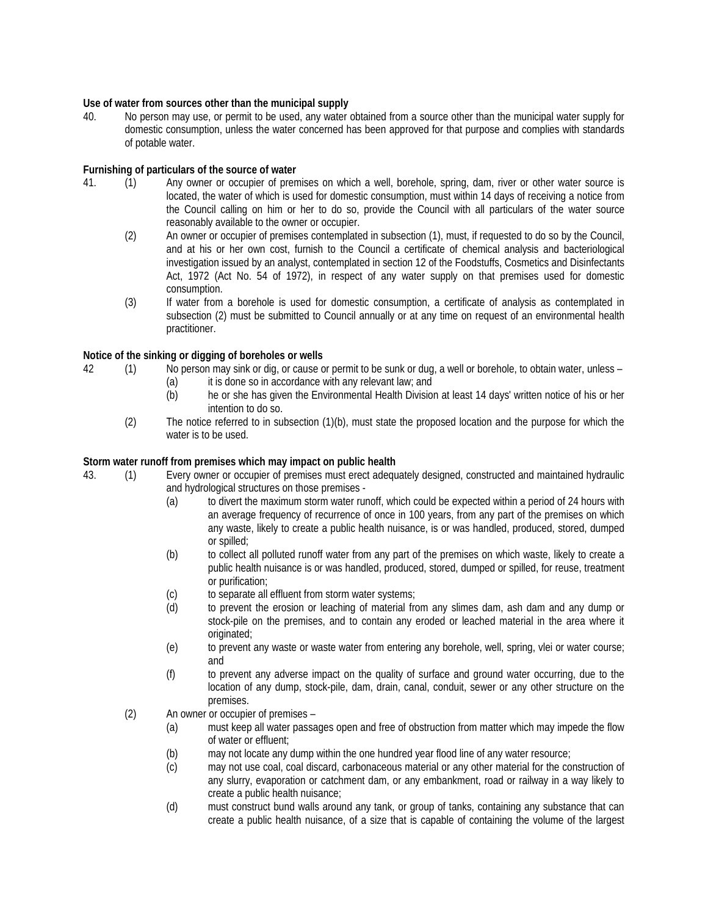### **Use of water from sources other than the municipal supply**

40. No person may use, or permit to be used, any water obtained from a source other than the municipal water supply for domestic consumption, unless the water concerned has been approved for that purpose and complies with standards of potable water.

## **Furnishing of particulars of the source of water**

- 41. (1) Any owner or occupier of premises on which a well, borehole, spring, dam, river or other water source is located, the water of which is used for domestic consumption, must within 14 days of receiving a notice from the Council calling on him or her to do so, provide the Council with all particulars of the water source reasonably available to the owner or occupier.
	- (2) An owner or occupier of premises contemplated in subsection (1), must, if requested to do so by the Council, and at his or her own cost, furnish to the Council a certificate of chemical analysis and bacteriological investigation issued by an analyst, contemplated in section 12 of the Foodstuffs, Cosmetics and Disinfectants Act, 1972 (Act No. 54 of 1972), in respect of any water supply on that premises used for domestic consumption.
	- (3) If water from a borehole is used for domestic consumption, a certificate of analysis as contemplated in subsection (2) must be submitted to Council annually or at any time on request of an environmental health practitioner.

## **Notice of the sinking or digging of boreholes or wells**

- 42 (1) No person may sink or dig, or cause or permit to be sunk or dug, a well or borehole, to obtain water, unless
	- (a) it is done so in accordance with any relevant law; and
	- (b) he or she has given the Environmental Health Division at least 14 days' written notice of his or her intention to do so.
	- (2) The notice referred to in subsection (1)(b), must state the proposed location and the purpose for which the water is to be used.

### **Storm water runoff from premises which may impact on public health**

- 43. (1) Every owner or occupier of premises must erect adequately designed, constructed and maintained hydraulic and hydrological structures on those premises -
	- (a) to divert the maximum storm water runoff, which could be expected within a period of 24 hours with an average frequency of recurrence of once in 100 years, from any part of the premises on which any waste, likely to create a public health nuisance, is or was handled, produced, stored, dumped or spilled;
	- (b) to collect all polluted runoff water from any part of the premises on which waste, likely to create a public health nuisance is or was handled, produced, stored, dumped or spilled, for reuse, treatment or purification;
	- (c) to separate all effluent from storm water systems;
	- (d) to prevent the erosion or leaching of material from any slimes dam, ash dam and any dump or stock-pile on the premises, and to contain any eroded or leached material in the area where it originated;
	- (e) to prevent any waste or waste water from entering any borehole, well, spring, vlei or water course; and
	- (f) to prevent any adverse impact on the quality of surface and ground water occurring, due to the location of any dump, stock-pile, dam, drain, canal, conduit, sewer or any other structure on the premises.
	- (2) An owner or occupier of premises
		- (a) must keep all water passages open and free of obstruction from matter which may impede the flow of water or effluent;
		- (b) may not locate any dump within the one hundred year flood line of any water resource;
		- (c) may not use coal, coal discard, carbonaceous material or any other material for the construction of any slurry, evaporation or catchment dam, or any embankment, road or railway in a way likely to create a public health nuisance;
		- (d) must construct bund walls around any tank, or group of tanks, containing any substance that can create a public health nuisance, of a size that is capable of containing the volume of the largest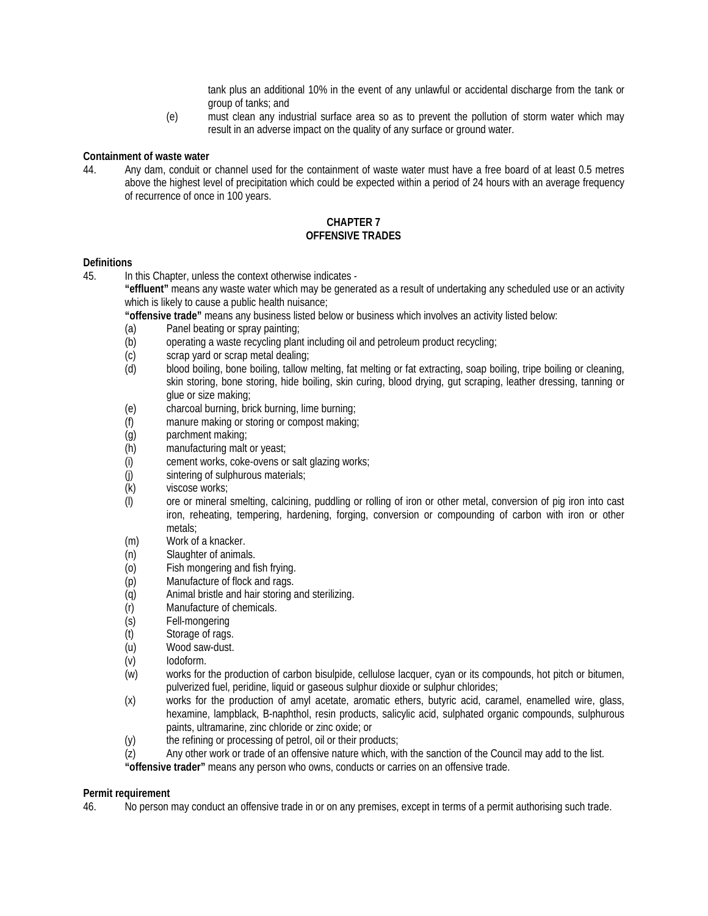tank plus an additional 10% in the event of any unlawful or accidental discharge from the tank or group of tanks; and

(e) must clean any industrial surface area so as to prevent the pollution of storm water which may result in an adverse impact on the quality of any surface or ground water.

### **Containment of waste water**

44. Any dam, conduit or channel used for the containment of waste water must have a free board of at least 0.5 metres above the highest level of precipitation which could be expected within a period of 24 hours with an average frequency of recurrence of once in 100 years.

# **CHAPTER 7 OFFENSIVE TRADES**

### **Definitions**

45. In this Chapter, unless the context otherwise indicates -

**"effluent"** means any waste water which may be generated as a result of undertaking any scheduled use or an activity which is likely to cause a public health nuisance;

**"offensive trade"** means any business listed below or business which involves an activity listed below:

- (a) Panel beating or spray painting;
- (b) operating a waste recycling plant including oil and petroleum product recycling;
- (c) scrap yard or scrap metal dealing;
- (d) blood boiling, bone boiling, tallow melting, fat melting or fat extracting, soap boiling, tripe boiling or cleaning, skin storing, bone storing, hide boiling, skin curing, blood drying, gut scraping, leather dressing, tanning or glue or size making;
- (e) charcoal burning, brick burning, lime burning;
- (f) manure making or storing or compost making;
- (g) parchment making;
- (h) manufacturing malt or yeast;
- (i) cement works, coke-ovens or salt glazing works;
- (j) sintering of sulphurous materials;
- (k) viscose works;
- (l) ore or mineral smelting, calcining, puddling or rolling of iron or other metal, conversion of pig iron into cast iron, reheating, tempering, hardening, forging, conversion or compounding of carbon with iron or other metals;
- (m) Work of a knacker.
- (n) Slaughter of animals.
- (o) Fish mongering and fish frying.
- (p) Manufacture of flock and rags.
- (q) Animal bristle and hair storing and sterilizing.
- (r) Manufacture of chemicals.
- (s) Fell-mongering
- (t) Storage of rags.
- (u) Wood saw-dust.
- (v) Iodoform.
- (w) works for the production of carbon bisulpide, cellulose lacquer, cyan or its compounds, hot pitch or bitumen, pulverized fuel, peridine, liquid or gaseous sulphur dioxide or sulphur chlorides;
- (x) works for the production of amyl acetate, aromatic ethers, butyric acid, caramel, enamelled wire, glass, hexamine, lampblack, B-naphthol, resin products, salicylic acid, sulphated organic compounds, sulphurous paints, ultramarine, zinc chloride or zinc oxide; or
- (y) the refining or processing of petrol, oil or their products;
- (z) Any other work or trade of an offensive nature which, with the sanction of the Council may add to the list.

**"offensive trader"** means any person who owns, conducts or carries on an offensive trade.

### **Permit requirement**

46. No person may conduct an offensive trade in or on any premises, except in terms of a permit authorising such trade.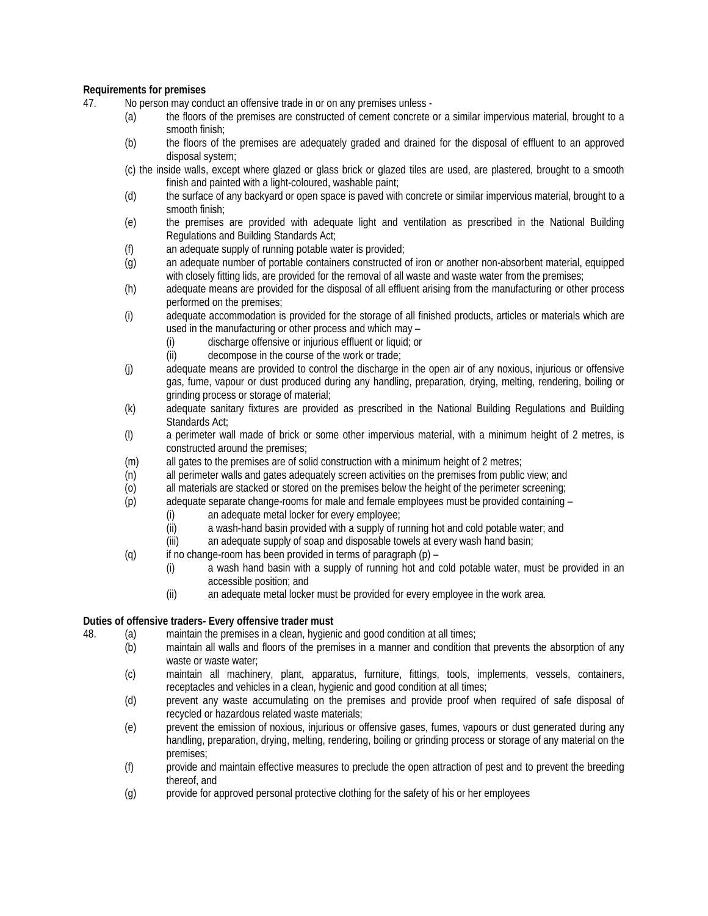### **Requirements for premises**

- 47. No person may conduct an offensive trade in or on any premises unless
	- (a) the floors of the premises are constructed of cement concrete or a similar impervious material, brought to a smooth finish;
	- (b) the floors of the premises are adequately graded and drained for the disposal of effluent to an approved disposal system;
	- (c) the inside walls, except where glazed or glass brick or glazed tiles are used, are plastered, brought to a smooth finish and painted with a light-coloured, washable paint;
	- (d) the surface of any backyard or open space is paved with concrete or similar impervious material, brought to a smooth finish;
	- (e) the premises are provided with adequate light and ventilation as prescribed in the National Building Regulations and Building Standards Act;
	- (f) an adequate supply of running potable water is provided;
	- (g) an adequate number of portable containers constructed of iron or another non-absorbent material, equipped with closely fitting lids, are provided for the removal of all waste and waste water from the premises;
	- (h) adequate means are provided for the disposal of all effluent arising from the manufacturing or other process performed on the premises;
	- (i) adequate accommodation is provided for the storage of all finished products, articles or materials which are used in the manufacturing or other process and which may –
		- (i) discharge offensive or injurious effluent or liquid; or
		- (ii) decompose in the course of the work or trade;
	- (j) adequate means are provided to control the discharge in the open air of any noxious, injurious or offensive gas, fume, vapour or dust produced during any handling, preparation, drying, melting, rendering, boiling or grinding process or storage of material;
	- (k) adequate sanitary fixtures are provided as prescribed in the National Building Regulations and Building Standards Act:
	- (l) a perimeter wall made of brick or some other impervious material, with a minimum height of 2 metres, is constructed around the premises;
	- (m) all gates to the premises are of solid construction with a minimum height of 2 metres;
	- (n) all perimeter walls and gates adequately screen activities on the premises from public view; and
	- (o) all materials are stacked or stored on the premises below the height of the perimeter screening;
	- (p) adequate separate change-rooms for male and female employees must be provided containing
		- (i) an adequate metal locker for every employee;
		- (ii) a wash-hand basin provided with a supply of running hot and cold potable water; and
		- (iii) an adequate supply of soap and disposable towels at every wash hand basin;
	- (q) if no change-room has been provided in terms of paragraph  $(p)$ 
		- (i) a wash hand basin with a supply of running hot and cold potable water, must be provided in an accessible position; and
		- (ii) an adequate metal locker must be provided for every employee in the work area.

### **Duties of offensive traders- Every offensive trader must**

- 48. (a) maintain the premises in a clean, hygienic and good condition at all times;
	- (b) maintain all walls and floors of the premises in a manner and condition that prevents the absorption of any waste or waste water;
	- (c) maintain all machinery, plant, apparatus, furniture, fittings, tools, implements, vessels, containers, receptacles and vehicles in a clean, hygienic and good condition at all times;
	- (d) prevent any waste accumulating on the premises and provide proof when required of safe disposal of recycled or hazardous related waste materials;
	- (e) prevent the emission of noxious, injurious or offensive gases, fumes, vapours or dust generated during any handling, preparation, drying, melting, rendering, boiling or grinding process or storage of any material on the premises;
	- (f) provide and maintain effective measures to preclude the open attraction of pest and to prevent the breeding thereof, and
	- (g) provide for approved personal protective clothing for the safety of his or her employees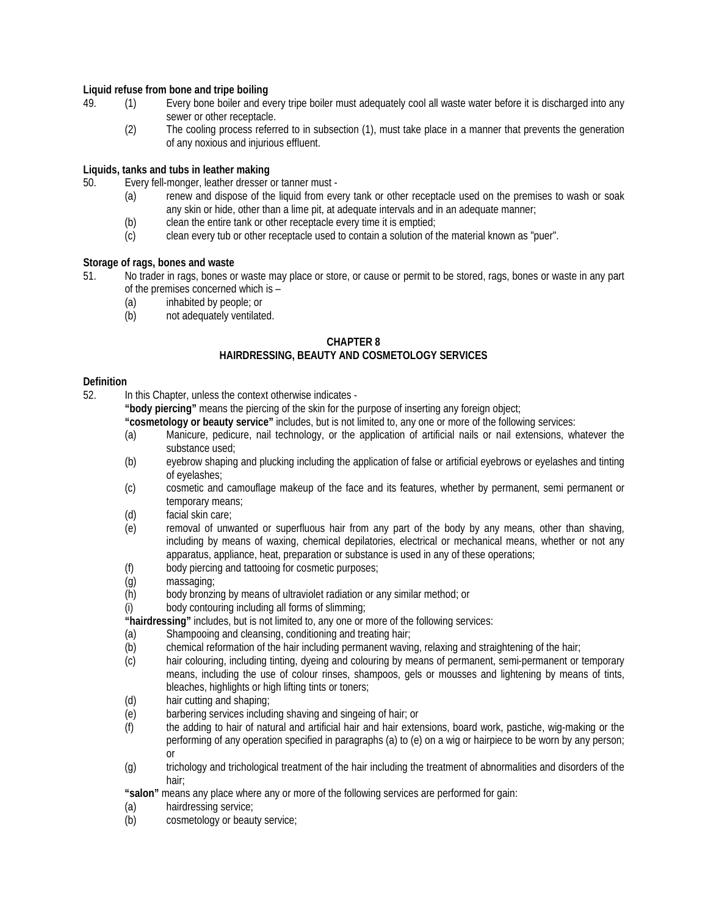## **Liquid refuse from bone and tripe boiling**

- 49. (1) Every bone boiler and every tripe boiler must adequately cool all waste water before it is discharged into any sewer or other receptacle.
	- (2) The cooling process referred to in subsection (1), must take place in a manner that prevents the generation of any noxious and injurious effluent.

### **Liquids, tanks and tubs in leather making**

- 50. Every fell-monger, leather dresser or tanner must
	- (a) renew and dispose of the liquid from every tank or other receptacle used on the premises to wash or soak any skin or hide, other than a lime pit, at adequate intervals and in an adequate manner;
	- (b) clean the entire tank or other receptacle every time it is emptied;
	- (c) clean every tub or other receptacle used to contain a solution of the material known as "puer".

### **Storage of rags, bones and waste**

- 51. No trader in rags, bones or waste may place or store, or cause or permit to be stored, rags, bones or waste in any part of the premises concerned which is –
	- (a) inhabited by people; or
	- (b) not adequately ventilated.

## **CHAPTER 8**

# **HAIRDRESSING, BEAUTY AND COSMETOLOGY SERVICES**

### **Definition**

52. In this Chapter, unless the context otherwise indicates -

**"body piercing"** means the piercing of the skin for the purpose of inserting any foreign object;

**"cosmetology or beauty service"** includes, but is not limited to, any one or more of the following services:

- (a) Manicure, pedicure, nail technology, or the application of artificial nails or nail extensions, whatever the substance used;
- (b) eyebrow shaping and plucking including the application of false or artificial eyebrows or eyelashes and tinting of eyelashes;
- (c) cosmetic and camouflage makeup of the face and its features, whether by permanent, semi permanent or temporary means;
- (d) facial skin care;
- (e) removal of unwanted or superfluous hair from any part of the body by any means, other than shaving, including by means of waxing, chemical depilatories, electrical or mechanical means, whether or not any apparatus, appliance, heat, preparation or substance is used in any of these operations;
- (f) body piercing and tattooing for cosmetic purposes;
- (g) massaging;
- (h) body bronzing by means of ultraviolet radiation or any similar method; or

(i) body contouring including all forms of slimming;

**"hairdressing"** includes, but is not limited to, any one or more of the following services:

- (a) Shampooing and cleansing, conditioning and treating hair;
- (b) chemical reformation of the hair including permanent waving, relaxing and straightening of the hair;
- (c) hair colouring, including tinting, dyeing and colouring by means of permanent, semi-permanent or temporary means, including the use of colour rinses, shampoos, gels or mousses and lightening by means of tints, bleaches, highlights or high lifting tints or toners;
- (d) hair cutting and shaping;<br>(e) barbering services includ
- barbering services including shaving and singeing of hair; or
- (f) the adding to hair of natural and artificial hair and hair extensions, board work, pastiche, wig-making or the performing of any operation specified in paragraphs (a) to (e) on a wig or hairpiece to be worn by any person; or
- (g) trichology and trichological treatment of the hair including the treatment of abnormalities and disorders of the hair;

**"salon"** means any place where any or more of the following services are performed for gain:

- (a) hairdressing service;
- (b) cosmetology or beauty service;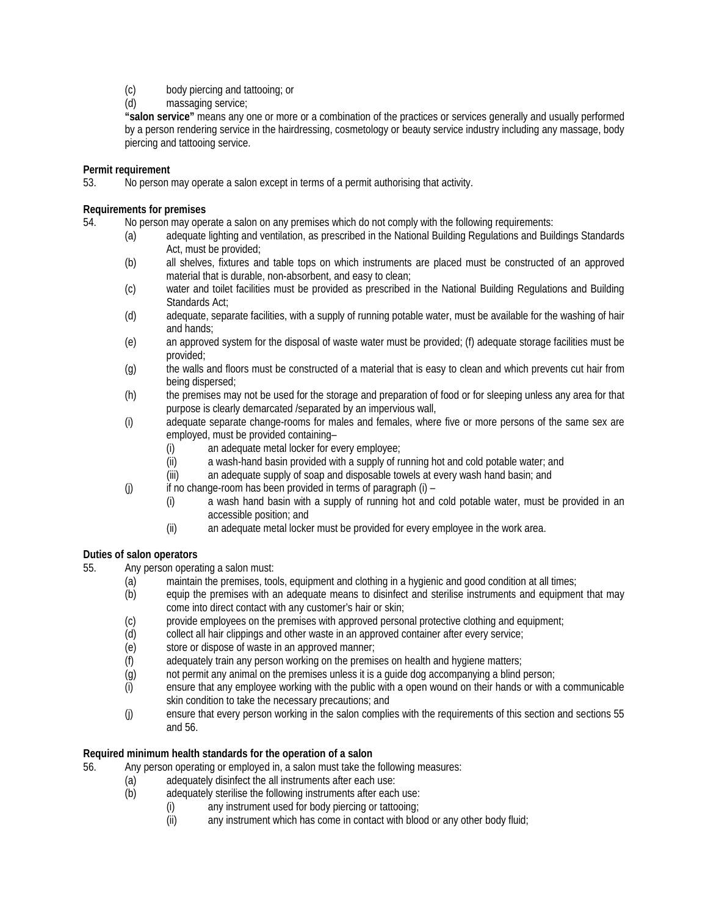- (c) body piercing and tattooing; or<br>(d) massaging service;
- massaging service;

**"salon service"** means any one or more or a combination of the practices or services generally and usually performed by a person rendering service in the hairdressing, cosmetology or beauty service industry including any massage, body piercing and tattooing service.

## **Permit requirement**

53. No person may operate a salon except in terms of a permit authorising that activity.

## **Requirements for premises**

- 54. No person may operate a salon on any premises which do not comply with the following requirements:
	- (a) adequate lighting and ventilation, as prescribed in the National Building Regulations and Buildings Standards Act, must be provided;
	- (b) all shelves, fixtures and table tops on which instruments are placed must be constructed of an approved material that is durable, non-absorbent, and easy to clean;
	- (c) water and toilet facilities must be provided as prescribed in the National Building Regulations and Building Standards Act;
	- (d) adequate, separate facilities, with a supply of running potable water, must be available for the washing of hair and hands;
	- (e) an approved system for the disposal of waste water must be provided; (f) adequate storage facilities must be provided;
	- (g) the walls and floors must be constructed of a material that is easy to clean and which prevents cut hair from being dispersed;
	- (h) the premises may not be used for the storage and preparation of food or for sleeping unless any area for that purpose is clearly demarcated /separated by an impervious wall,
	- (i) adequate separate change-rooms for males and females, where five or more persons of the same sex are employed, must be provided containing–
		- (i) an adequate metal locker for every employee;
		- (ii) a wash-hand basin provided with a supply of running hot and cold potable water; and
		- (iii) an adequate supply of soap and disposable towels at every wash hand basin; and
	- $(i)$  if no change-room has been provided in terms of paragraph  $(i)$ 
		- (i) a wash hand basin with a supply of running hot and cold potable water, must be provided in an accessible position; and
		- (ii) an adequate metal locker must be provided for every employee in the work area.

# **Duties of salon operators**

55. Any person operating a salon must:

- (a) maintain the premises, tools, equipment and clothing in a hygienic and good condition at all times;
- (b) equip the premises with an adequate means to disinfect and sterilise instruments and equipment that may come into direct contact with any customer's hair or skin;
- (c) provide employees on the premises with approved personal protective clothing and equipment;<br>(d) collect all hair clippings and other waste in an approved container after every service;
- collect all hair clippings and other waste in an approved container after every service;
- (e) store or dispose of waste in an approved manner;
- (f) adequately train any person working on the premises on health and hygiene matters;
- (g) not permit any animal on the premises unless it is a guide dog accompanying a blind person;
- (i) ensure that any employee working with the public with a open wound on their hands or with a communicable skin condition to take the necessary precautions; and
- (j) ensure that every person working in the salon complies with the requirements of this section and sections 55 and 56.

# **Required minimum health standards for the operation of a salon**

- 56. Any person operating or employed in, a salon must take the following measures:
	- (a) adequately disinfect the all instruments after each use:<br>(b) adequately sterilise the following instruments after each
		- adequately sterilise the following instruments after each use:
			- (i) any instrument used for body piercing or tattooing;<br>(ii) any instrument which has come in contact with blo
			- any instrument which has come in contact with blood or any other body fluid;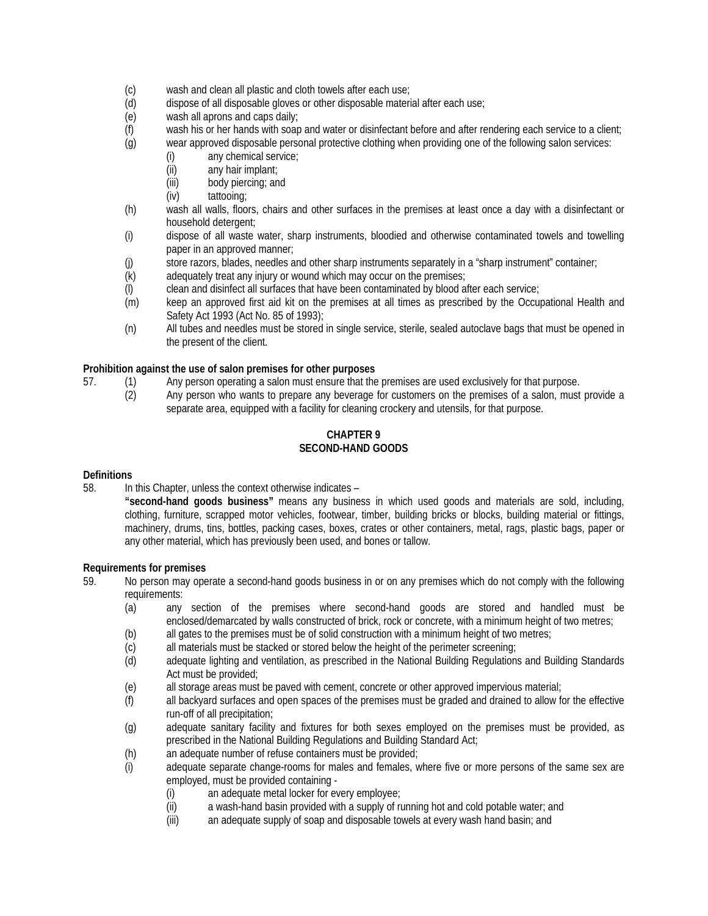- (c) wash and clean all plastic and cloth towels after each use;<br>(d) dispose of all disposable gloves or other disposable materi
- (d) dispose of all disposable gloves or other disposable material after each use;<br>(e) wash all aprons and caps daily;
- wash all aprons and caps daily;
- (f) wash his or her hands with soap and water or disinfectant before and after rendering each service to a client;<br>(g) wear approved disposable personal protective clothing when providing one of the following salon service
- wear approved disposable personal protective clothing when providing one of the following salon services:
	- (i) any chemical service;
	- (ii) any hair implant;
	- (iii) body piercing; and
	- (iv) tattooing;
- (h) wash all walls, floors, chairs and other surfaces in the premises at least once a day with a disinfectant or household detergent;
- (i) dispose of all waste water, sharp instruments, bloodied and otherwise contaminated towels and towelling paper in an approved manner;
- (j) store razors, blades, needles and other sharp instruments separately in a "sharp instrument" container;<br>(k) adequately treat any injury or wound which may occur on the premises;
- adequately treat any injury or wound which may occur on the premises;
- (l) clean and disinfect all surfaces that have been contaminated by blood after each service;
- (m) keep an approved first aid kit on the premises at all times as prescribed by the Occupational Health and Safety Act 1993 (Act No. 85 of 1993);
- (n) All tubes and needles must be stored in single service, sterile, sealed autoclave bags that must be opened in the present of the client.

## **Prohibition against the use of salon premises for other purposes**

- 57. (1) Any person operating a salon must ensure that the premises are used exclusively for that purpose.<br>(2) Any person who wants to prepare any beverage for customers on the premises of a salon, must
	- Any person who wants to prepare any beverage for customers on the premises of a salon, must provide a separate area, equipped with a facility for cleaning crockery and utensils, for that purpose.

### **CHAPTER 9 SECOND-HAND GOODS**

### **Definitions**

58. In this Chapter, unless the context otherwise indicates –

**"second-hand goods business"** means any business in which used goods and materials are sold, including, clothing, furniture, scrapped motor vehicles, footwear, timber, building bricks or blocks, building material or fittings, machinery, drums, tins, bottles, packing cases, boxes, crates or other containers, metal, rags, plastic bags, paper or any other material, which has previously been used, and bones or tallow.

### **Requirements for premises**

- 59. No person may operate a second-hand goods business in or on any premises which do not comply with the following requirements:
	- (a) any section of the premises where second-hand goods are stored and handled must be enclosed/demarcated by walls constructed of brick, rock or concrete, with a minimum height of two metres;
	- (b) all gates to the premises must be of solid construction with a minimum height of two metres;
	- (c) all materials must be stacked or stored below the height of the perimeter screening;
	- (d) adequate lighting and ventilation, as prescribed in the National Building Regulations and Building Standards Act must be provided;
	- (e) all storage areas must be paved with cement, concrete or other approved impervious material;
	- (f) all backyard surfaces and open spaces of the premises must be graded and drained to allow for the effective run-off of all precipitation;
	- (g) adequate sanitary facility and fixtures for both sexes employed on the premises must be provided, as prescribed in the National Building Regulations and Building Standard Act;
	- (h) an adequate number of refuse containers must be provided;
	- (i) adequate separate change-rooms for males and females, where five or more persons of the same sex are employed, must be provided containing -
		- (i) an adequate metal locker for every employee;
		- (ii) a wash-hand basin provided with a supply of running hot and cold potable water; and
		- (iii) an adequate supply of soap and disposable towels at every wash hand basin; and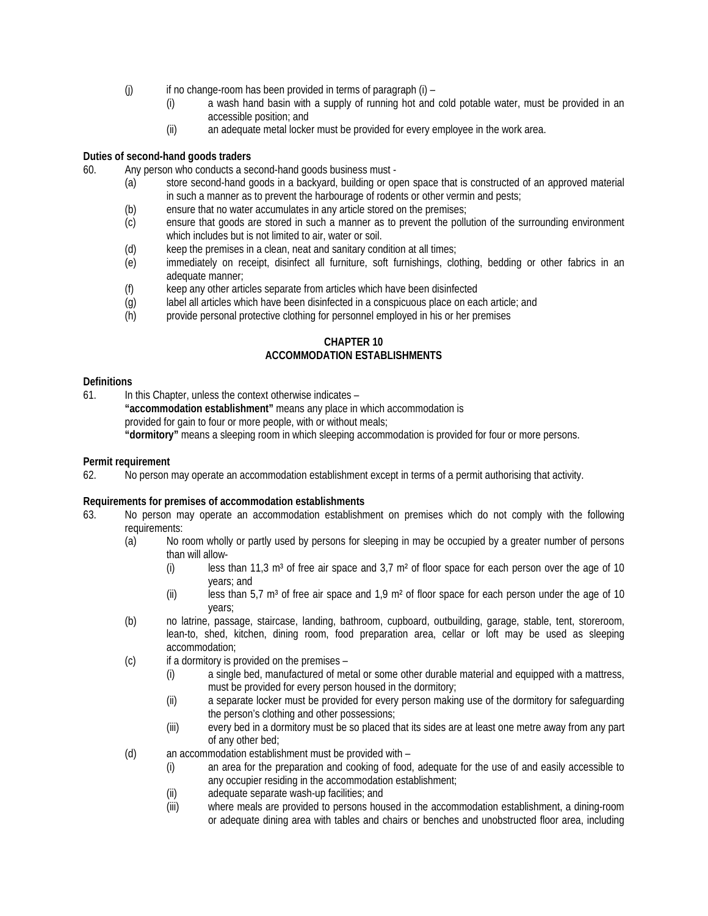- (j) if no change-room has been provided in terms of paragraph (i)
	- (i) a wash hand basin with a supply of running hot and cold potable water, must be provided in an accessible position; and
	- (ii) an adequate metal locker must be provided for every employee in the work area.

## **Duties of second-hand goods traders**

60. Any person who conducts a second-hand goods business must -

- (a) store second-hand goods in a backyard, building or open space that is constructed of an approved material in such a manner as to prevent the harbourage of rodents or other vermin and pests;
- (b) ensure that no water accumulates in any article stored on the premises;
- (c) ensure that goods are stored in such a manner as to prevent the pollution of the surrounding environment which includes but is not limited to air, water or soil.
- (d) keep the premises in a clean, neat and sanitary condition at all times;
- (e) immediately on receipt, disinfect all furniture, soft furnishings, clothing, bedding or other fabrics in an adequate manner;
- (f) keep any other articles separate from articles which have been disinfected
- (g) label all articles which have been disinfected in a conspicuous place on each article; and
- (h) provide personal protective clothing for personnel employed in his or her premises

## **CHAPTER 10 ACCOMMODATION ESTABLISHMENTS**

## **Definitions**

- 61. In this Chapter, unless the context otherwise indicates
	- **"accommodation establishment"** means any place in which accommodation is

provided for gain to four or more people, with or without meals;

**"dormitory"** means a sleeping room in which sleeping accommodation is provided for four or more persons.

### **Permit requirement**

62. No person may operate an accommodation establishment except in terms of a permit authorising that activity.

# **Requirements for premises of accommodation establishments**

- 63. No person may operate an accommodation establishment on premises which do not comply with the following requirements:
	- (a) No room wholly or partly used by persons for sleeping in may be occupied by a greater number of persons than will allow-
		- (i) less than 11,3 m<sup>3</sup> of free air space and 3,7 m<sup>2</sup> of floor space for each person over the age of 10 years; and
		- (ii) less than  $5.7 \text{ m}^3$  of free air space and  $1.9 \text{ m}^2$  of floor space for each person under the age of 10 years;
	- (b) no latrine, passage, staircase, landing, bathroom, cupboard, outbuilding, garage, stable, tent, storeroom, lean-to, shed, kitchen, dining room, food preparation area, cellar or loft may be used as sleeping accommodation;
	- (c) if a dormitory is provided on the premises
		- (i) a single bed, manufactured of metal or some other durable material and equipped with a mattress, must be provided for every person housed in the dormitory;
		- (ii) a separate locker must be provided for every person making use of the dormitory for safeguarding the person's clothing and other possessions;
		- (iii) every bed in a dormitory must be so placed that its sides are at least one metre away from any part of any other bed;
	- (d) an accommodation establishment must be provided with
		- (i) an area for the preparation and cooking of food, adequate for the use of and easily accessible to any occupier residing in the accommodation establishment;
		- (ii) adequate separate wash-up facilities; and
		- (iii) where meals are provided to persons housed in the accommodation establishment, a dining-room or adequate dining area with tables and chairs or benches and unobstructed floor area, including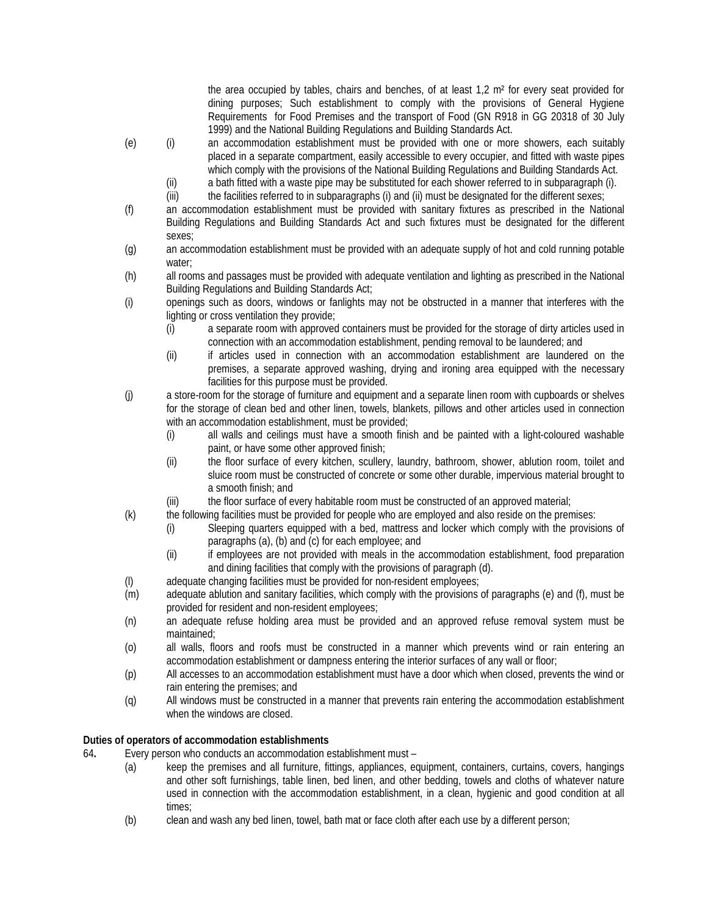the area occupied by tables, chairs and benches, of at least 1,2 m² for every seat provided for dining purposes; Such establishment to comply with the provisions of General Hygiene Requirements for Food Premises and the transport of Food (GN R918 in GG 20318 of 30 July 1999) and the National Building Regulations and Building Standards Act.

- (e) (i) an accommodation establishment must be provided with one or more showers, each suitably placed in a separate compartment, easily accessible to every occupier, and fitted with waste pipes which comply with the provisions of the National Building Regulations and Building Standards Act.
	- (ii) a bath fitted with a waste pipe may be substituted for each shower referred to in subparagraph (i).
	- (iii) the facilities referred to in subparagraphs (i) and (ii) must be designated for the different sexes;
- (f) an accommodation establishment must be provided with sanitary fixtures as prescribed in the National Building Regulations and Building Standards Act and such fixtures must be designated for the different sexes;
- (g) an accommodation establishment must be provided with an adequate supply of hot and cold running potable water;
- (h) all rooms and passages must be provided with adequate ventilation and lighting as prescribed in the National Building Regulations and Building Standards Act;
- (i) openings such as doors, windows or fanlights may not be obstructed in a manner that interferes with the lighting or cross ventilation they provide;
	- (i) a separate room with approved containers must be provided for the storage of dirty articles used in connection with an accommodation establishment, pending removal to be laundered; and
	- (ii) if articles used in connection with an accommodation establishment are laundered on the premises, a separate approved washing, drying and ironing area equipped with the necessary facilities for this purpose must be provided.
- (j) a store-room for the storage of furniture and equipment and a separate linen room with cupboards or shelves for the storage of clean bed and other linen, towels, blankets, pillows and other articles used in connection with an accommodation establishment, must be provided:
	- (i) all walls and ceilings must have a smooth finish and be painted with a light-coloured washable paint, or have some other approved finish;
	- (ii) the floor surface of every kitchen, scullery, laundry, bathroom, shower, ablution room, toilet and sluice room must be constructed of concrete or some other durable, impervious material brought to a smooth finish; and
	- (iii) the floor surface of every habitable room must be constructed of an approved material;
- (k) the following facilities must be provided for people who are employed and also reside on the premises:
	- (i) Sleeping quarters equipped with a bed, mattress and locker which comply with the provisions of paragraphs (a), (b) and (c) for each employee; and
	- (ii) if employees are not provided with meals in the accommodation establishment, food preparation and dining facilities that comply with the provisions of paragraph (d).
- (l) adequate changing facilities must be provided for non-resident employees;
- (m) adequate ablution and sanitary facilities, which comply with the provisions of paragraphs (e) and (f), must be provided for resident and non-resident employees;
- (n) an adequate refuse holding area must be provided and an approved refuse removal system must be maintained;
- (o) all walls, floors and roofs must be constructed in a manner which prevents wind or rain entering an accommodation establishment or dampness entering the interior surfaces of any wall or floor;
- (p) All accesses to an accommodation establishment must have a door which when closed, prevents the wind or rain entering the premises; and
- (q) All windows must be constructed in a manner that prevents rain entering the accommodation establishment when the windows are closed.

# **Duties of operators of accommodation establishments**

- 64**.** Every person who conducts an accommodation establishment must
	- (a) keep the premises and all furniture, fittings, appliances, equipment, containers, curtains, covers, hangings and other soft furnishings, table linen, bed linen, and other bedding, towels and cloths of whatever nature used in connection with the accommodation establishment, in a clean, hygienic and good condition at all times;
	- (b) clean and wash any bed linen, towel, bath mat or face cloth after each use by a different person;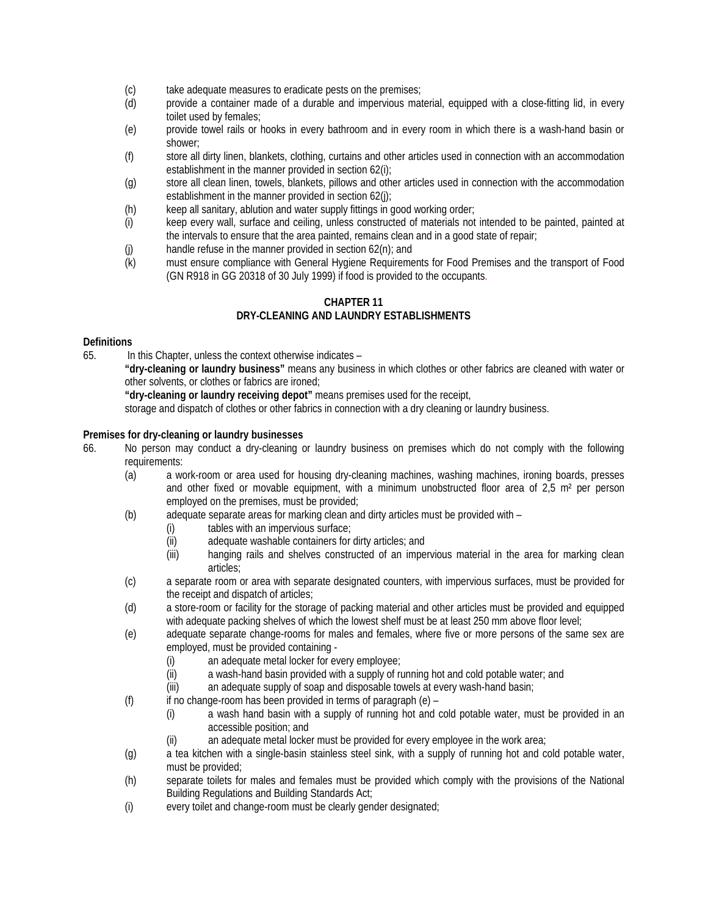- (c) take adequate measures to eradicate pests on the premises;<br>(d) provide a container made of a durable and impervious mat
- provide a container made of a durable and impervious material, equipped with a close-fitting lid, in every toilet used by females;
- (e) provide towel rails or hooks in every bathroom and in every room in which there is a wash-hand basin or shower;
- (f) store all dirty linen, blankets, clothing, curtains and other articles used in connection with an accommodation establishment in the manner provided in section 62(i);
- (g) store all clean linen, towels, blankets, pillows and other articles used in connection with the accommodation establishment in the manner provided in section 62(j);
- (h) keep all sanitary, ablution and water supply fittings in good working order;
- (i) keep every wall, surface and ceiling, unless constructed of materials not intended to be painted, painted at the intervals to ensure that the area painted, remains clean and in a good state of repair;
- (j) handle refuse in the manner provided in section 62(n); and
- (k) must ensure compliance with General Hygiene Requirements for Food Premises and the transport of Food (GN R918 in GG 20318 of 30 July 1999) if food is provided to the occupants.

# **CHAPTER 11 DRY-CLEANING AND LAUNDRY ESTABLISHMENTS**

## **Definitions**

65. In this Chapter, unless the context otherwise indicates –

**"dry-cleaning or laundry business"** means any business in which clothes or other fabrics are cleaned with water or other solvents, or clothes or fabrics are ironed;

**"dry-cleaning or laundry receiving depot"** means premises used for the receipt,

storage and dispatch of clothes or other fabrics in connection with a dry cleaning or laundry business.

## **Premises for dry-cleaning or laundry businesses**

- 66. No person may conduct a dry-cleaning or laundry business on premises which do not comply with the following requirements:
	- (a) a work-room or area used for housing dry-cleaning machines, washing machines, ironing boards, presses and other fixed or movable equipment, with a minimum unobstructed floor area of  $2.5 \text{ m}^2$  per person employed on the premises, must be provided;

(b) adequate separate areas for marking clean and dirty articles must be provided with –

- (i) tables with an impervious surface;<br>(ii) adequate washable containers for
- adequate washable containers for dirty articles; and
- (iii) hanging rails and shelves constructed of an impervious material in the area for marking clean articles;
- (c) a separate room or area with separate designated counters, with impervious surfaces, must be provided for the receipt and dispatch of articles;
- (d) a store-room or facility for the storage of packing material and other articles must be provided and equipped with adequate packing shelves of which the lowest shelf must be at least 250 mm above floor level;
- (e) adequate separate change-rooms for males and females, where five or more persons of the same sex are employed, must be provided containing -
	- (i) an adequate metal locker for every employee;
	- (ii) a wash-hand basin provided with a supply of running hot and cold potable water; and
	- (iii) an adequate supply of soap and disposable towels at every wash-hand basin;
- (f) if no change-room has been provided in terms of paragraph  $(e)$ 
	- (i) a wash hand basin with a supply of running hot and cold potable water, must be provided in an accessible position; and
	- (ii) an adequate metal locker must be provided for every employee in the work area;
- (g) a tea kitchen with a single-basin stainless steel sink, with a supply of running hot and cold potable water, must be provided;
- (h) separate toilets for males and females must be provided which comply with the provisions of the National Building Regulations and Building Standards Act;
- (i) every toilet and change-room must be clearly gender designated;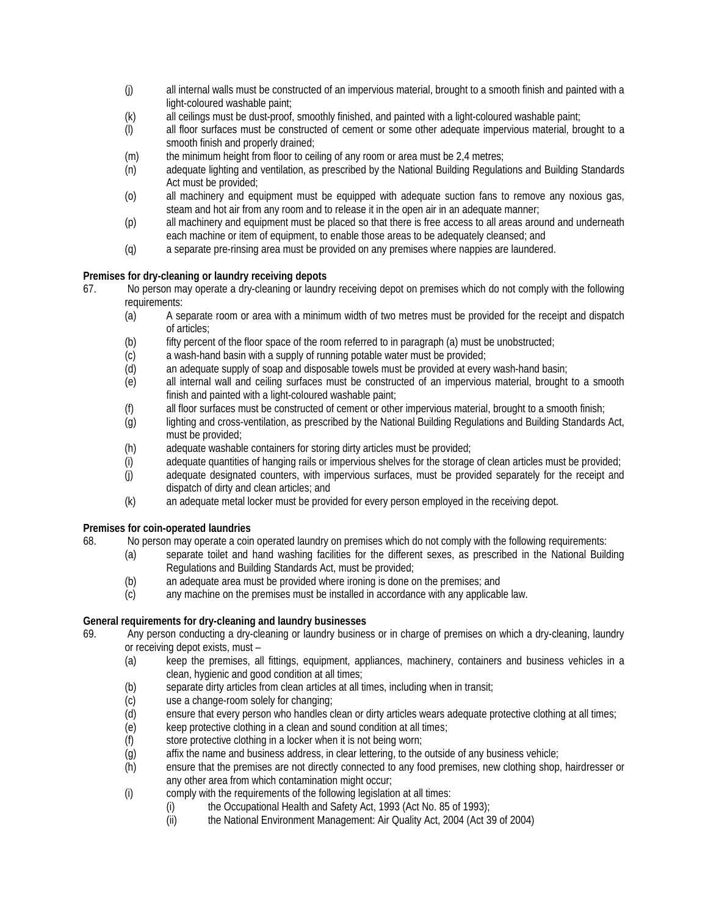- (j) all internal walls must be constructed of an impervious material, brought to a smooth finish and painted with a light-coloured washable paint;
- (k) all ceilings must be dust-proof, smoothly finished, and painted with a light-coloured washable paint;
- (l) all floor surfaces must be constructed of cement or some other adequate impervious material, brought to a smooth finish and properly drained;
- (m) the minimum height from floor to ceiling of any room or area must be 2,4 metres;
- (n) adequate lighting and ventilation, as prescribed by the National Building Regulations and Building Standards Act must be provided;
- (o) all machinery and equipment must be equipped with adequate suction fans to remove any noxious gas, steam and hot air from any room and to release it in the open air in an adequate manner;
- (p) all machinery and equipment must be placed so that there is free access to all areas around and underneath each machine or item of equipment, to enable those areas to be adequately cleansed; and
- (q) a separate pre-rinsing area must be provided on any premises where nappies are laundered.

# **Premises for dry-cleaning or laundry receiving depots**

- 67. No person may operate a dry-cleaning or laundry receiving depot on premises which do not comply with the following requirements:
	- (a) A separate room or area with a minimum width of two metres must be provided for the receipt and dispatch of articles;
	- (b) fifty percent of the floor space of the room referred to in paragraph (a) must be unobstructed;
	- (c) a wash-hand basin with a supply of running potable water must be provided;
	- (d) an adequate supply of soap and disposable towels must be provided at every wash-hand basin;
	- (e) all internal wall and ceiling surfaces must be constructed of an impervious material, brought to a smooth finish and painted with a light-coloured washable paint;
	- (f) all floor surfaces must be constructed of cement or other impervious material, brought to a smooth finish;
	- (g) lighting and cross-ventilation, as prescribed by the National Building Regulations and Building Standards Act, must be provided;
	- (h) adequate washable containers for storing dirty articles must be provided;
	- (i) adequate quantities of hanging rails or impervious shelves for the storage of clean articles must be provided;
	- (j) adequate designated counters, with impervious surfaces, must be provided separately for the receipt and dispatch of dirty and clean articles; and
	- (k) an adequate metal locker must be provided for every person employed in the receiving depot.

# **Premises for coin-operated laundries**<br>68. No person may operate a coin

- No person may operate a coin operated laundry on premises which do not comply with the following requirements:
	- (a) separate toilet and hand washing facilities for the different sexes, as prescribed in the National Building Regulations and Building Standards Act, must be provided;
	- (b) an adequate area must be provided where ironing is done on the premises; and
	- (c) any machine on the premises must be installed in accordance with any applicable law.

# **General requirements for dry-cleaning and laundry businesses**

- 69. Any person conducting a dry-cleaning or laundry business or in charge of premises on which a dry-cleaning, laundry or receiving depot exists, must –
	- (a) keep the premises, all fittings, equipment, appliances, machinery, containers and business vehicles in a clean, hygienic and good condition at all times;
	- (b) separate dirty articles from clean articles at all times, including when in transit;
	- (c) use a change-room solely for changing;<br>(d) ensure that every person who handles c
	- ensure that every person who handles clean or dirty articles wears adequate protective clothing at all times;
	- (e) keep protective clothing in a clean and sound condition at all times;
	- (f) store protective clothing in a locker when it is not being worn;
	- (g) affix the name and business address, in clear lettering, to the outside of any business vehicle;
	- (h) ensure that the premises are not directly connected to any food premises, new clothing shop, hairdresser or any other area from which contamination might occur;
	- (i) comply with the requirements of the following legislation at all times:
		- (i) the Occupational Health and Safety Act, 1993 (Act No. 85 of 1993);<br>(ii) the National Environment Management: Air Quality Act, 2004 (Act 3)
		- the National Environment Management: Air Quality Act, 2004 (Act 39 of 2004)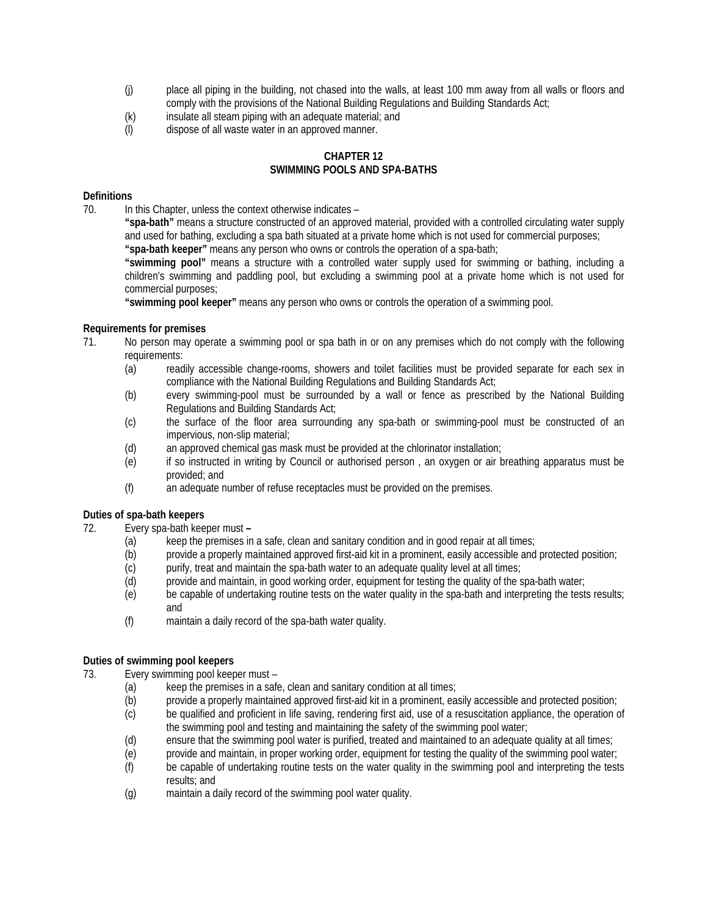- (j) place all piping in the building, not chased into the walls, at least 100 mm away from all walls or floors and comply with the provisions of the National Building Regulations and Building Standards Act;
- (k) insulate all steam piping with an adequate material; and
- (l) dispose of all waste water in an approved manner.

## **CHAPTER 12 SWIMMING POOLS AND SPA-BATHS**

### **Definitions**

70. In this Chapter, unless the context otherwise indicates –

**"spa-bath"** means a structure constructed of an approved material, provided with a controlled circulating water supply and used for bathing, excluding a spa bath situated at a private home which is not used for commercial purposes;

**"spa-bath keeper"** means any person who owns or controls the operation of a spa-bath;

**"swimming pool"** means a structure with a controlled water supply used for swimming or bathing, including a children's swimming and paddling pool, but excluding a swimming pool at a private home which is not used for commercial purposes;

**"swimming pool keeper"** means any person who owns or controls the operation of a swimming pool.

## **Requirements for premises**

- 71. No person may operate a swimming pool or spa bath in or on any premises which do not comply with the following requirements:
	- (a) readily accessible change-rooms, showers and toilet facilities must be provided separate for each sex in compliance with the National Building Regulations and Building Standards Act;
	- (b) every swimming-pool must be surrounded by a wall or fence as prescribed by the National Building Regulations and Building Standards Act;
	- (c) the surface of the floor area surrounding any spa-bath or swimming-pool must be constructed of an impervious, non-slip material;
	- (d) an approved chemical gas mask must be provided at the chlorinator installation;
	- (e) if so instructed in writing by Council or authorised person , an oxygen or air breathing apparatus must be provided; and
	- (f) an adequate number of refuse receptacles must be provided on the premises.

# **Duties of spa-bath keepers**

72. Every spa-bath keeper must **–**

- (a) keep the premises in a safe, clean and sanitary condition and in good repair at all times;
- (b) provide a properly maintained approved first-aid kit in a prominent, easily accessible and protected position;
- (c) purify, treat and maintain the spa-bath water to an adequate quality level at all times;
- (d) provide and maintain, in good working order, equipment for testing the quality of the spa-bath water;
- (e) be capable of undertaking routine tests on the water quality in the spa-bath and interpreting the tests results; and
- (f) maintain a daily record of the spa-bath water quality.

# **Duties of swimming pool keepers**

73. Every swimming pool keeper must –

- (a) keep the premises in a safe, clean and sanitary condition at all times;
- (b) provide a properly maintained approved first-aid kit in a prominent, easily accessible and protected position;<br>(c) be qualified and proficient in life saving, rendering first aid, use of a resuscitation appliance, the
- be qualified and proficient in life saving, rendering first aid, use of a resuscitation appliance, the operation of the swimming pool and testing and maintaining the safety of the swimming pool water;
- (d) ensure that the swimming pool water is purified, treated and maintained to an adequate quality at all times;
- (e) provide and maintain, in proper working order, equipment for testing the quality of the swimming pool water;
- (f) be capable of undertaking routine tests on the water quality in the swimming pool and interpreting the tests results; and
- (g) maintain a daily record of the swimming pool water quality.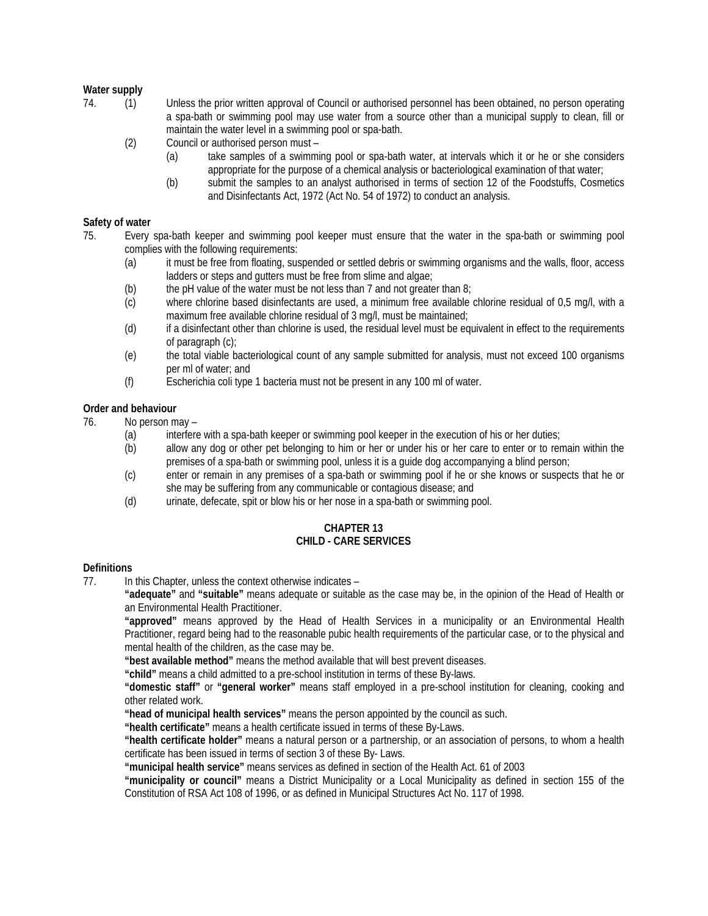### **Water supply**

74. (1) Unless the prior written approval of Council or authorised personnel has been obtained, no person operating a spa-bath or swimming pool may use water from a source other than a municipal supply to clean, fill or maintain the water level in a swimming pool or spa-bath.

- (2) Council or authorised person must
	- (a) take samples of a swimming pool or spa-bath water, at intervals which it or he or she considers appropriate for the purpose of a chemical analysis or bacteriological examination of that water;
	- (b) submit the samples to an analyst authorised in terms of section 12 of the Foodstuffs, Cosmetics and Disinfectants Act, 1972 (Act No. 54 of 1972) to conduct an analysis.

### **Safety of water**

75. Every spa-bath keeper and swimming pool keeper must ensure that the water in the spa-bath or swimming pool complies with the following requirements:

- (a) it must be free from floating, suspended or settled debris or swimming organisms and the walls, floor, access ladders or steps and gutters must be free from slime and algae;
- (b) the pH value of the water must be not less than 7 and not greater than  $8$ ;
- (c) where chlorine based disinfectants are used, a minimum free available chlorine residual of 0,5 mg/l, with a maximum free available chlorine residual of 3 mg/l, must be maintained;
- (d) if a disinfectant other than chlorine is used, the residual level must be equivalent in effect to the requirements of paragraph (c);
- (e) the total viable bacteriological count of any sample submitted for analysis, must not exceed 100 organisms per ml of water; and
- (f) Escherichia coli type 1 bacteria must not be present in any 100 ml of water.

## **Order and behaviour**

76. No person may –

- (a) interfere with a spa-bath keeper or swimming pool keeper in the execution of his or her duties;
- (b) allow any dog or other pet belonging to him or her or under his or her care to enter or to remain within the premises of a spa-bath or swimming pool, unless it is a guide dog accompanying a blind person;
- (c) enter or remain in any premises of a spa-bath or swimming pool if he or she knows or suspects that he or she may be suffering from any communicable or contagious disease; and
- (d) urinate, defecate, spit or blow his or her nose in a spa-bath or swimming pool.

#### **CHAPTER 13 CHILD - CARE SERVICES**

### **Definitions**

77. In this Chapter, unless the context otherwise indicates –

**"adequate"** and **"suitable"** means adequate or suitable as the case may be, in the opinion of the Head of Health or an Environmental Health Practitioner.

**"approved"** means approved by the Head of Health Services in a municipality or an Environmental Health Practitioner, regard being had to the reasonable pubic health requirements of the particular case, or to the physical and mental health of the children, as the case may be.

**"best available method"** means the method available that will best prevent diseases.

**"child"** means a child admitted to a pre-school institution in terms of these By-laws.

**"domestic staff"** or **"general worker"** means staff employed in a pre-school institution for cleaning, cooking and other related work.

**"head of municipal health services"** means the person appointed by the council as such.

**"health certificate"** means a health certificate issued in terms of these By-Laws.

**"health certificate holder"** means a natural person or a partnership, or an association of persons, to whom a health certificate has been issued in terms of section 3 of these By- Laws.

**"municipal health service"** means services as defined in section of the Health Act. 61 of 2003

**"municipality or council"** means a District Municipality or a Local Municipality as defined in section 155 of the Constitution of RSA Act 108 of 1996, or as defined in Municipal Structures Act No. 117 of 1998.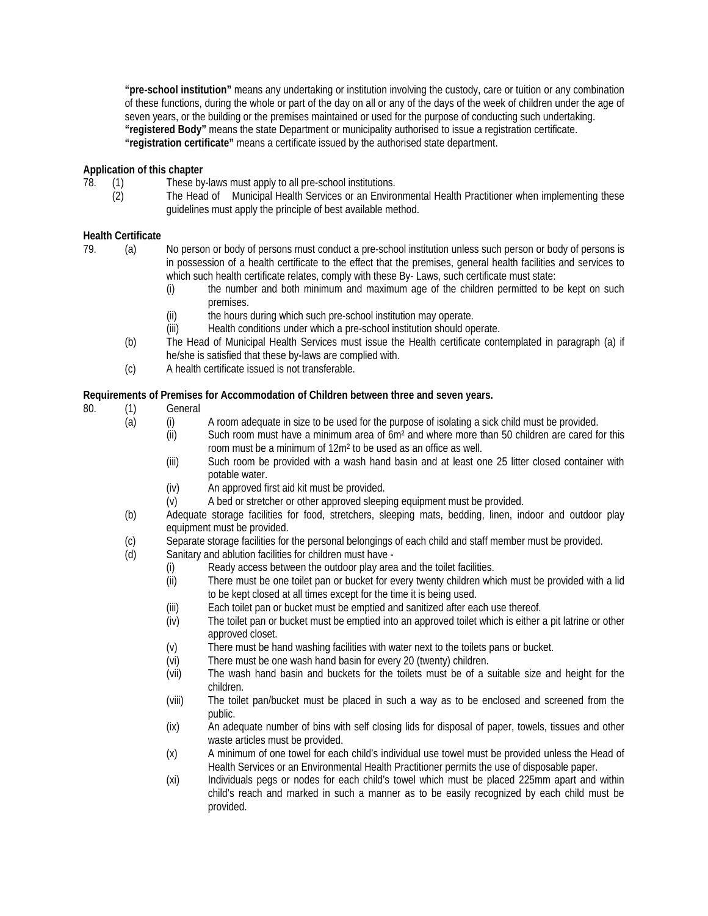**"pre-school institution"** means any undertaking or institution involving the custody, care or tuition or any combination of these functions, during the whole or part of the day on all or any of the days of the week of children under the age of seven years, or the building or the premises maintained or used for the purpose of conducting such undertaking. **"registered Body"** means the state Department or municipality authorised to issue a registration certificate. **"registration certificate"** means a certificate issued by the authorised state department.

## **Application of this chapter**

- 78. (1) These by-laws must apply to all pre-school institutions.
	- (2) The Head of Municipal Health Services or an Environmental Health Practitioner when implementing these guidelines must apply the principle of best available method.

### **Health Certificate**

- 79. (a) No person or body of persons must conduct a pre-school institution unless such person or body of persons is in possession of a health certificate to the effect that the premises, general health facilities and services to which such health certificate relates, comply with these By- Laws, such certificate must state:
	- (i) the number and both minimum and maximum age of the children permitted to be kept on such premises.
	- (ii) the hours during which such pre-school institution may operate.
	- (iii) Health conditions under which a pre-school institution should operate.
	- (b) The Head of Municipal Health Services must issue the Health certificate contemplated in paragraph (a) if he/she is satisfied that these by-laws are complied with.
	- (c) A health certificate issued is not transferable.

## **Requirements of Premises for Accommodation of Children between three and seven years.**

- 80. (1) General
	- (a) (i) A room adequate in size to be used for the purpose of isolating a sick child must be provided.
		- $(i)$  Such room must have a minimum area of  $6m<sup>2</sup>$  and where more than 50 children are cared for this room must be a minimum of 12m2 to be used as an office as well.
		- (iii) Such room be provided with a wash hand basin and at least one 25 litter closed container with potable water.
		- (iv) An approved first aid kit must be provided.
		- (v) A bed or stretcher or other approved sleeping equipment must be provided.
	- (b) Adequate storage facilities for food, stretchers, sleeping mats, bedding, linen, indoor and outdoor play equipment must be provided.
	- (c) Separate storage facilities for the personal belongings of each child and staff member must be provided.<br>(d) Sanitary and ablution facilities for children must have -
	- Sanitary and ablution facilities for children must have -
		- (i) Ready access between the outdoor play area and the toilet facilities.
			- (ii) There must be one toilet pan or bucket for every twenty children which must be provided with a lid to be kept closed at all times except for the time it is being used.
			- (iii) Each toilet pan or bucket must be emptied and sanitized after each use thereof.
			- (iv) The toilet pan or bucket must be emptied into an approved toilet which is either a pit latrine or other approved closet.
			- (v) There must be hand washing facilities with water next to the toilets pans or bucket.
			- (vi) There must be one wash hand basin for every 20 (twenty) children.
			- (vii) The wash hand basin and buckets for the toilets must be of a suitable size and height for the children.
			- (viii) The toilet pan/bucket must be placed in such a way as to be enclosed and screened from the public.
			- (ix) An adequate number of bins with self closing lids for disposal of paper, towels, tissues and other waste articles must be provided.
			- (x) A minimum of one towel for each child's individual use towel must be provided unless the Head of Health Services or an Environmental Health Practitioner permits the use of disposable paper.
			- (xi) Individuals pegs or nodes for each child's towel which must be placed 225mm apart and within child's reach and marked in such a manner as to be easily recognized by each child must be provided.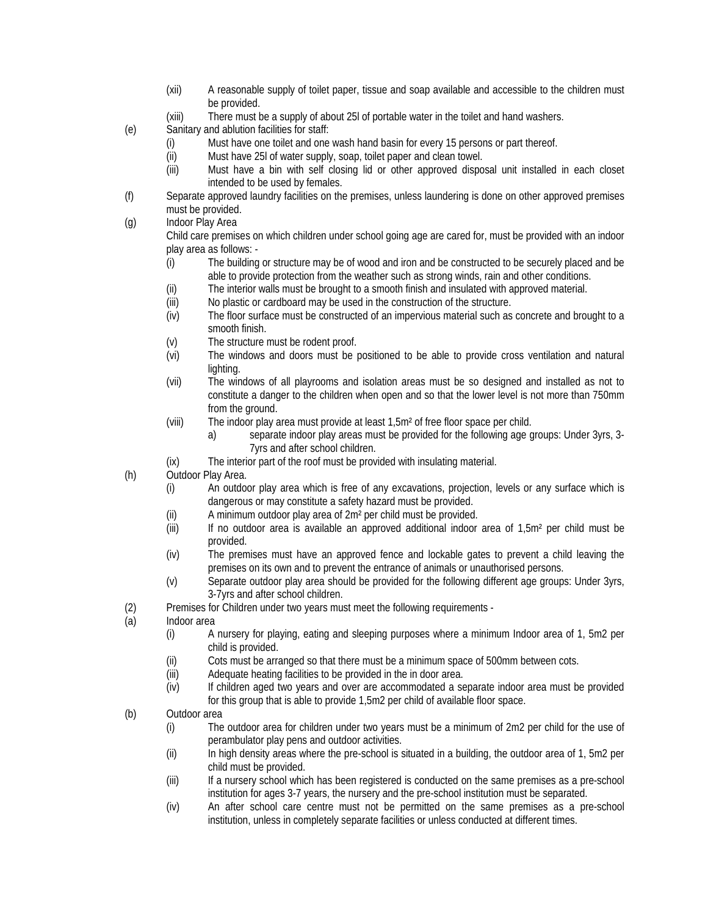- (xii) A reasonable supply of toilet paper, tissue and soap available and accessible to the children must be provided.
- (xiii) There must be a supply of about 25l of portable water in the toilet and hand washers.
- (e) Sanitary and ablution facilities for staff:
	- (i) Must have one toilet and one wash hand basin for every 15 persons or part thereof.
	- (ii) Must have 25l of water supply, soap, toilet paper and clean towel.
	- (iii) Must have a bin with self closing lid or other approved disposal unit installed in each closet intended to be used by females.
- (f) Separate approved laundry facilities on the premises, unless laundering is done on other approved premises must be provided.
- (g) Indoor Play Area

Child care premises on which children under school going age are cared for, must be provided with an indoor play area as follows: -

- (i) The building or structure may be of wood and iron and be constructed to be securely placed and be able to provide protection from the weather such as strong winds, rain and other conditions.
- (ii) The interior walls must be brought to a smooth finish and insulated with approved material.
- (iii) No plastic or cardboard may be used in the construction of the structure.
- (iv) The floor surface must be constructed of an impervious material such as concrete and brought to a smooth finish.
- (v) The structure must be rodent proof.
- (vi) The windows and doors must be positioned to be able to provide cross ventilation and natural lighting.
- (vii) The windows of all playrooms and isolation areas must be so designed and installed as not to constitute a danger to the children when open and so that the lower level is not more than 750mm from the ground.
- (viii) The indoor play area must provide at least 1,5m² of free floor space per child.
	- a) separate indoor play areas must be provided for the following age groups: Under 3yrs, 3- 7yrs and after school children.
- (ix) The interior part of the roof must be provided with insulating material.
- (h) Outdoor Play Area.
	- (i) An outdoor play area which is free of any excavations, projection, levels or any surface which is dangerous or may constitute a safety hazard must be provided.
	- (ii) A minimum outdoor play area of 2m² per child must be provided.
	- (iii) If no outdoor area is available an approved additional indoor area of  $1.5m<sup>2</sup>$  per child must be provided.
	- (iv) The premises must have an approved fence and lockable gates to prevent a child leaving the premises on its own and to prevent the entrance of animals or unauthorised persons.
	- (v) Separate outdoor play area should be provided for the following different age groups: Under 3yrs, 3-7yrs and after school children.
- (2) Premises for Children under two years must meet the following requirements -
- (a) Indoor area
	- (i) A nursery for playing, eating and sleeping purposes where a minimum Indoor area of 1, 5m2 per child is provided.
	- (ii) Cots must be arranged so that there must be a minimum space of 500mm between cots.
	- (iii) Adequate heating facilities to be provided in the in door area.
	- (iv) If children aged two years and over are accommodated a separate indoor area must be provided for this group that is able to provide 1,5m2 per child of available floor space.
- (b) Outdoor area
	- (i) The outdoor area for children under two years must be a minimum of 2m2 per child for the use of perambulator play pens and outdoor activities.
	- (ii) In high density areas where the pre-school is situated in a building, the outdoor area of 1, 5m2 per child must be provided.
	- (iii) If a nursery school which has been registered is conducted on the same premises as a pre-school institution for ages 3-7 years, the nursery and the pre-school institution must be separated.
	- (iv) An after school care centre must not be permitted on the same premises as a pre-school institution, unless in completely separate facilities or unless conducted at different times.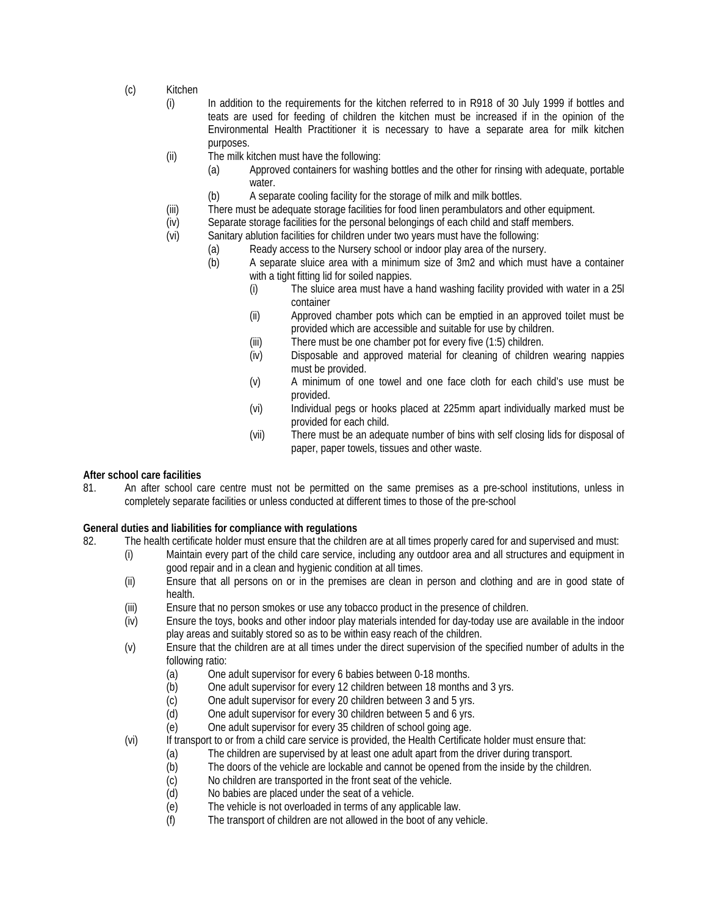## (c) Kitchen

- (i) In addition to the requirements for the kitchen referred to in R918 of 30 July 1999 if bottles and teats are used for feeding of children the kitchen must be increased if in the opinion of the Environmental Health Practitioner it is necessary to have a separate area for milk kitchen purposes.
- (ii) The milk kitchen must have the following:
	- (a) Approved containers for washing bottles and the other for rinsing with adequate, portable water.
	- (b) A separate cooling facility for the storage of milk and milk bottles.
- (iii) There must be adequate storage facilities for food linen perambulators and other equipment.
- (iv) Separate storage facilities for the personal belongings of each child and staff members.
- (vi) Sanitary ablution facilities for children under two years must have the following:
	- (a) Ready access to the Nursery school or indoor play area of the nursery.
		- (b) A separate sluice area with a minimum size of 3m2 and which must have a container with a tight fitting lid for soiled nappies.
			- (i) The sluice area must have a hand washing facility provided with water in a 25l container
			- (ii) Approved chamber pots which can be emptied in an approved toilet must be provided which are accessible and suitable for use by children.
			- (iii) There must be one chamber pot for every five (1:5) children.
			- (iv) Disposable and approved material for cleaning of children wearing nappies must be provided.
			- (v) A minimum of one towel and one face cloth for each child's use must be provided.
			- (vi) Individual pegs or hooks placed at 225mm apart individually marked must be provided for each child.
			- (vii) There must be an adequate number of bins with self closing lids for disposal of paper, paper towels, tissues and other waste.

### **After school care facilities**

81. An after school care centre must not be permitted on the same premises as a pre-school institutions, unless in completely separate facilities or unless conducted at different times to those of the pre-school

# **General duties and liabilities for compliance with regulations**

- The health certificate holder must ensure that the children are at all times properly cared for and supervised and must:
	- (i) Maintain every part of the child care service, including any outdoor area and all structures and equipment in good repair and in a clean and hygienic condition at all times.
	- (ii) Ensure that all persons on or in the premises are clean in person and clothing and are in good state of health.
	- (iii) Ensure that no person smokes or use any tobacco product in the presence of children.
	- (iv) Ensure the toys, books and other indoor play materials intended for day-today use are available in the indoor play areas and suitably stored so as to be within easy reach of the children.
	- (v) Ensure that the children are at all times under the direct supervision of the specified number of adults in the following ratio:
		- (a) One adult supervisor for every 6 babies between 0-18 months.
		- (b) One adult supervisor for every 12 children between 18 months and 3 yrs.
		- (c) One adult supervisor for every 20 children between 3 and 5 yrs.<br>(d) One adult supervisor for every 30 children between 5 and 6 yrs.
		- One adult supervisor for every 30 children between 5 and 6 yrs.
		- (e) One adult supervisor for every 35 children of school going age.
	- (vi) If transport to or from a child care service is provided, the Health Certificate holder must ensure that:
		- (a) The children are supervised by at least one adult apart from the driver during transport.
		- (b) The doors of the vehicle are lockable and cannot be opened from the inside by the children.
		- (c) No children are transported in the front seat of the vehicle.
		- (d) No babies are placed under the seat of a vehicle.
		- (e) The vehicle is not overloaded in terms of any applicable law.
		- (f) The transport of children are not allowed in the boot of any vehicle.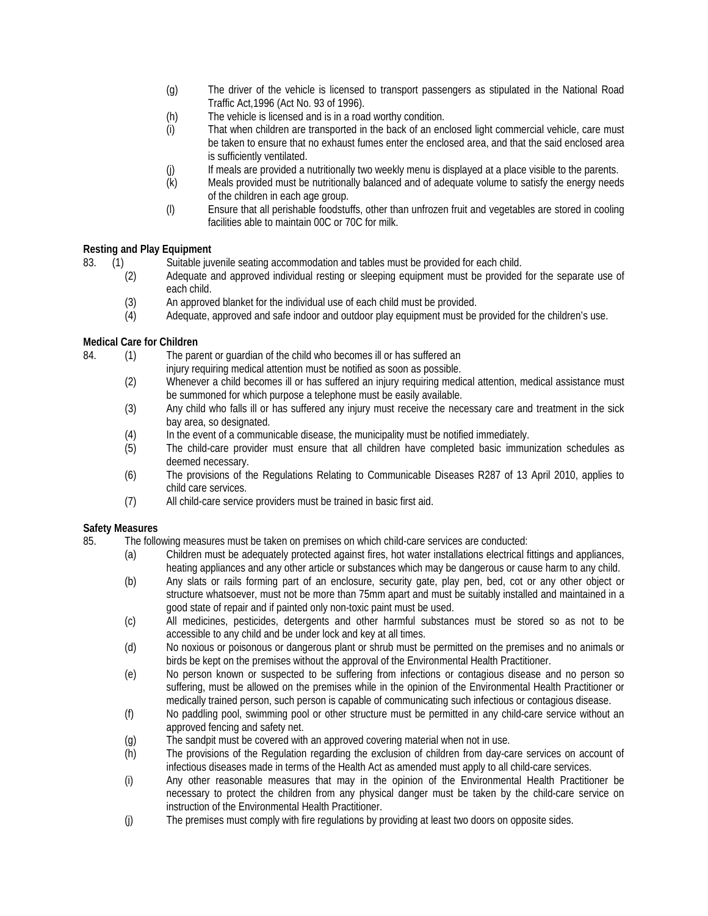- (g) The driver of the vehicle is licensed to transport passengers as stipulated in the National Road Traffic Act,1996 (Act No. 93 of 1996).
- (h) The vehicle is licensed and is in a road worthy condition.
- (i) That when children are transported in the back of an enclosed light commercial vehicle, care must be taken to ensure that no exhaust fumes enter the enclosed area, and that the said enclosed area is sufficiently ventilated.
- (j) If meals are provided a nutritionally two weekly menu is displayed at a place visible to the parents.
- (k) Meals provided must be nutritionally balanced and of adequate volume to satisfy the energy needs of the children in each age group.
- (l) Ensure that all perishable foodstuffs, other than unfrozen fruit and vegetables are stored in cooling facilities able to maintain 00C or 70C for milk.

# **Resting and Play Equipment**

83. (1) Suitable juvenile seating accommodation and tables must be provided for each child.

- (2) Adequate and approved individual resting or sleeping equipment must be provided for the separate use of each child.
	- (3) An approved blanket for the individual use of each child must be provided.
	- (4) Adequate, approved and safe indoor and outdoor play equipment must be provided for the children's use.

## **Medical Care for Children**

- 84. (1) The parent or guardian of the child who becomes ill or has suffered an
	- injury requiring medical attention must be notified as soon as possible.
	- (2) Whenever a child becomes ill or has suffered an injury requiring medical attention, medical assistance must be summoned for which purpose a telephone must be easily available.
	- (3) Any child who falls ill or has suffered any injury must receive the necessary care and treatment in the sick bay area, so designated.
	- (4) In the event of a communicable disease, the municipality must be notified immediately.
	- (5) The child-care provider must ensure that all children have completed basic immunization schedules as deemed necessary.
	- (6) The provisions of the Regulations Relating to Communicable Diseases R287 of 13 April 2010, applies to child care services.
	- (7) All child-care service providers must be trained in basic first aid.

# **Safety Measures**<br>85. The follo

- The following measures must be taken on premises on which child-care services are conducted:
	- (a) Children must be adequately protected against fires, hot water installations electrical fittings and appliances, heating appliances and any other article or substances which may be dangerous or cause harm to any child.
	- (b) Any slats or rails forming part of an enclosure, security gate, play pen, bed, cot or any other object or structure whatsoever, must not be more than 75mm apart and must be suitably installed and maintained in a good state of repair and if painted only non-toxic paint must be used.
	- (c) All medicines, pesticides, detergents and other harmful substances must be stored so as not to be accessible to any child and be under lock and key at all times.
	- (d) No noxious or poisonous or dangerous plant or shrub must be permitted on the premises and no animals or birds be kept on the premises without the approval of the Environmental Health Practitioner.
	- (e) No person known or suspected to be suffering from infections or contagious disease and no person so suffering, must be allowed on the premises while in the opinion of the Environmental Health Practitioner or medically trained person, such person is capable of communicating such infectious or contagious disease.
	- (f) No paddling pool, swimming pool or other structure must be permitted in any child-care service without an approved fencing and safety net.
	- (g) The sandpit must be covered with an approved covering material when not in use.
	- (h) The provisions of the Regulation regarding the exclusion of children from day-care services on account of infectious diseases made in terms of the Health Act as amended must apply to all child-care services.
	- (i) Any other reasonable measures that may in the opinion of the Environmental Health Practitioner be necessary to protect the children from any physical danger must be taken by the child-care service on instruction of the Environmental Health Practitioner.
	- (j) The premises must comply with fire regulations by providing at least two doors on opposite sides.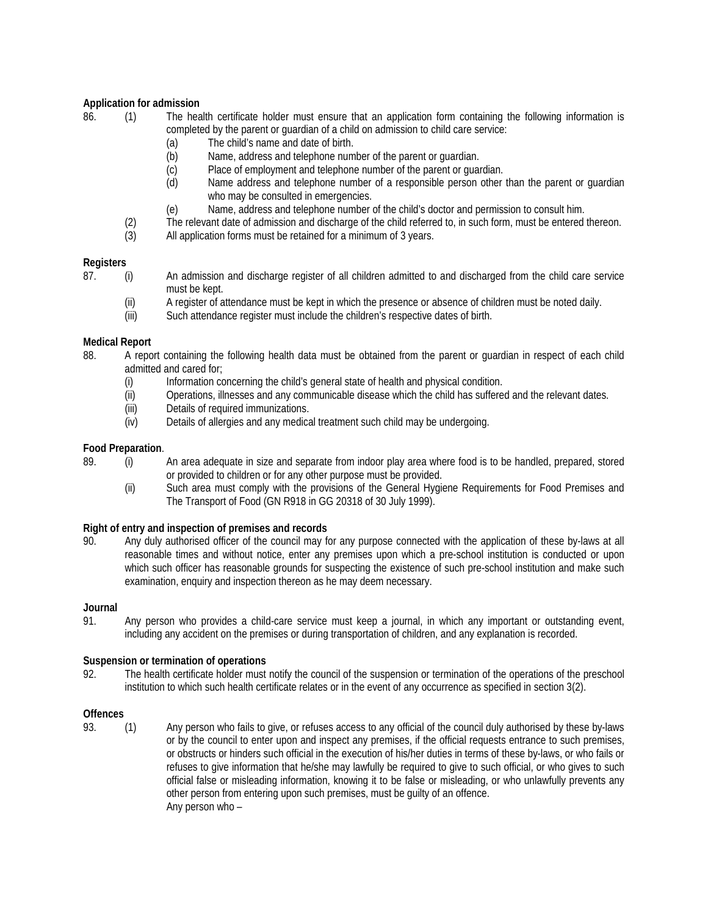## **Application for admission**

86. (1) The health certificate holder must ensure that an application form containing the following information is

- completed by the parent or guardian of a child on admission to child care service:
	- (a) The child's name and date of birth.
	- (b) Name, address and telephone number of the parent or guardian.
	- (c) Place of employment and telephone number of the parent or guardian.
	- (d) Name address and telephone number of a responsible person other than the parent or guardian who may be consulted in emergencies.
	- (e) Name, address and telephone number of the child's doctor and permission to consult him.
- (2) The relevant date of admission and discharge of the child referred to, in such form, must be entered thereon.
- (3) All application forms must be retained for a minimum of 3 years.

### **Registers**

- 87. (i) An admission and discharge register of all children admitted to and discharged from the child care service must be kept.
	- (ii) A register of attendance must be kept in which the presence or absence of children must be noted daily.
	- (iii) Such attendance register must include the children's respective dates of birth.

## **Medical Report**

- 88. A report containing the following health data must be obtained from the parent or guardian in respect of each child admitted and cared for;
	- (i) Information concerning the child's general state of health and physical condition.
	- (ii) Operations, illnesses and any communicable disease which the child has suffered and the relevant dates.<br>(iii) Details of required immunizations.
	- Details of required immunizations.
	- (iv) Details of allergies and any medical treatment such child may be undergoing.

## **Food Preparation**.

- 89. (i) An area adequate in size and separate from indoor play area where food is to be handled, prepared, stored or provided to children or for any other purpose must be provided.
	- (ii) Such area must comply with the provisions of the General Hygiene Requirements for Food Premises and The Transport of Food (GN R918 in GG 20318 of 30 July 1999).

# **Right of entry and inspection of premises and records**<br>90. Any duly authorised officer of the council may for

Any duly authorised officer of the council may for any purpose connected with the application of these by-laws at all reasonable times and without notice, enter any premises upon which a pre-school institution is conducted or upon which such officer has reasonable grounds for suspecting the existence of such pre-school institution and make such examination, enquiry and inspection thereon as he may deem necessary.

### **Journal**

91. Any person who provides a child-care service must keep a journal, in which any important or outstanding event, including any accident on the premises or during transportation of children, and any explanation is recorded.

# **Suspension or termination of operations**

92. The health certificate holder must notify the council of the suspension or termination of the operations of the preschool institution to which such health certificate relates or in the event of any occurrence as specified in section 3(2).

### **Offences**

93. (1) Any person who fails to give, or refuses access to any official of the council duly authorised by these by-laws or by the council to enter upon and inspect any premises, if the official requests entrance to such premises, or obstructs or hinders such official in the execution of his/her duties in terms of these by-laws, or who fails or refuses to give information that he/she may lawfully be required to give to such official, or who gives to such official false or misleading information, knowing it to be false or misleading, or who unlawfully prevents any other person from entering upon such premises, must be guilty of an offence. Any person who –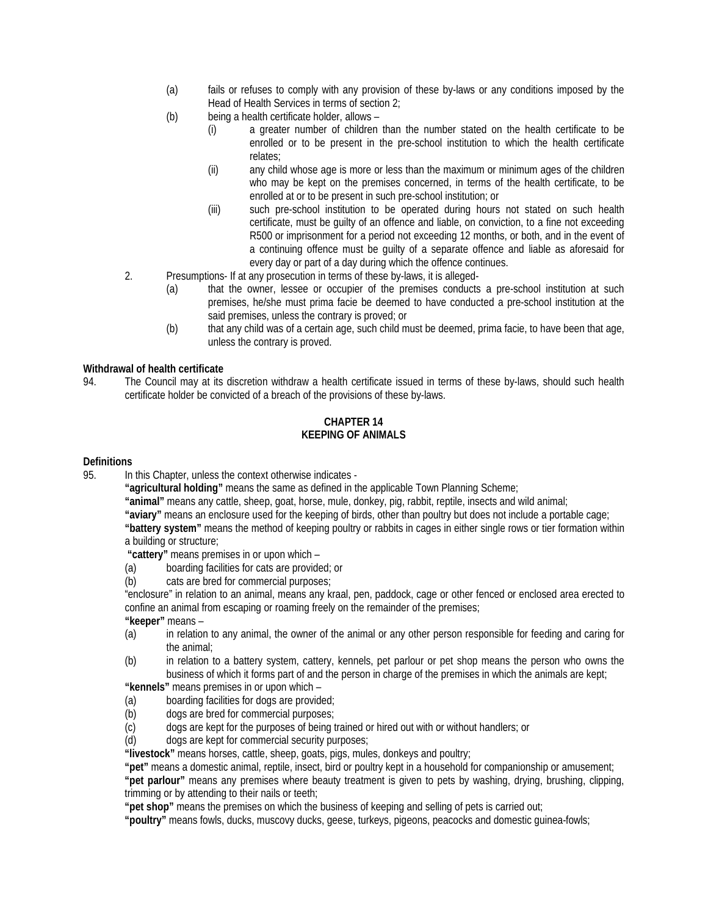- (a) fails or refuses to comply with any provision of these by-laws or any conditions imposed by the Head of Health Services in terms of section 2;
- (b) being a health certificate holder, allows
	- (i) a greater number of children than the number stated on the health certificate to be enrolled or to be present in the pre-school institution to which the health certificate relates;
	- (ii) any child whose age is more or less than the maximum or minimum ages of the children who may be kept on the premises concerned, in terms of the health certificate, to be enrolled at or to be present in such pre-school institution; or
	- (iii) such pre-school institution to be operated during hours not stated on such health certificate, must be guilty of an offence and liable, on conviction, to a fine not exceeding R500 or imprisonment for a period not exceeding 12 months, or both, and in the event of a continuing offence must be guilty of a separate offence and liable as aforesaid for every day or part of a day during which the offence continues.
- 2. Presumptions- If at any prosecution in terms of these by-laws, it is alleged-
	- (a) that the owner, lessee or occupier of the premises conducts a pre-school institution at such premises, he/she must prima facie be deemed to have conducted a pre-school institution at the said premises, unless the contrary is proved; or
	- (b) that any child was of a certain age, such child must be deemed, prima facie, to have been that age, unless the contrary is proved.

## **Withdrawal of health certificate**

94. The Council may at its discretion withdraw a health certificate issued in terms of these by-laws, should such health certificate holder be convicted of a breach of the provisions of these by-laws.

### **CHAPTER 14 KEEPING OF ANIMALS**

### **Definitions**

95. In this Chapter, unless the context otherwise indicates -

**"agricultural holding"** means the same as defined in the applicable Town Planning Scheme;

**"animal"** means any cattle, sheep, goat, horse, mule, donkey, pig, rabbit, reptile, insects and wild animal; **"aviary"** means an enclosure used for the keeping of birds, other than poultry but does not include a portable cage; **"battery system"** means the method of keeping poultry or rabbits in cages in either single rows or tier formation within a building or structure;

**"cattery"** means premises in or upon which –

- (a) boarding facilities for cats are provided; or
- (b) cats are bred for commercial purposes;

"enclosure" in relation to an animal, means any kraal, pen, paddock, cage or other fenced or enclosed area erected to confine an animal from escaping or roaming freely on the remainder of the premises;

- **"keeper"** means –
- (a) in relation to any animal, the owner of the animal or any other person responsible for feeding and caring for the animal;
- (b) in relation to a battery system, cattery, kennels, pet parlour or pet shop means the person who owns the business of which it forms part of and the person in charge of the premises in which the animals are kept;

**"kennels"** means premises in or upon which –

- (a) boarding facilities for dogs are provided;<br>(b) dogs are bred for commercial purposes;
- dogs are bred for commercial purposes;
- (c) dogs are kept for the purposes of being trained or hired out with or without handlers; or
- (d) dogs are kept for commercial security purposes;

**"livestock"** means horses, cattle, sheep, goats, pigs, mules, donkeys and poultry;

**"pet"** means a domestic animal, reptile, insect, bird or poultry kept in a household for companionship or amusement; **"pet parlour"** means any premises where beauty treatment is given to pets by washing, drying, brushing, clipping, trimming or by attending to their nails or teeth;

**"pet shop"** means the premises on which the business of keeping and selling of pets is carried out;

**"poultry"** means fowls, ducks, muscovy ducks, geese, turkeys, pigeons, peacocks and domestic guinea-fowls;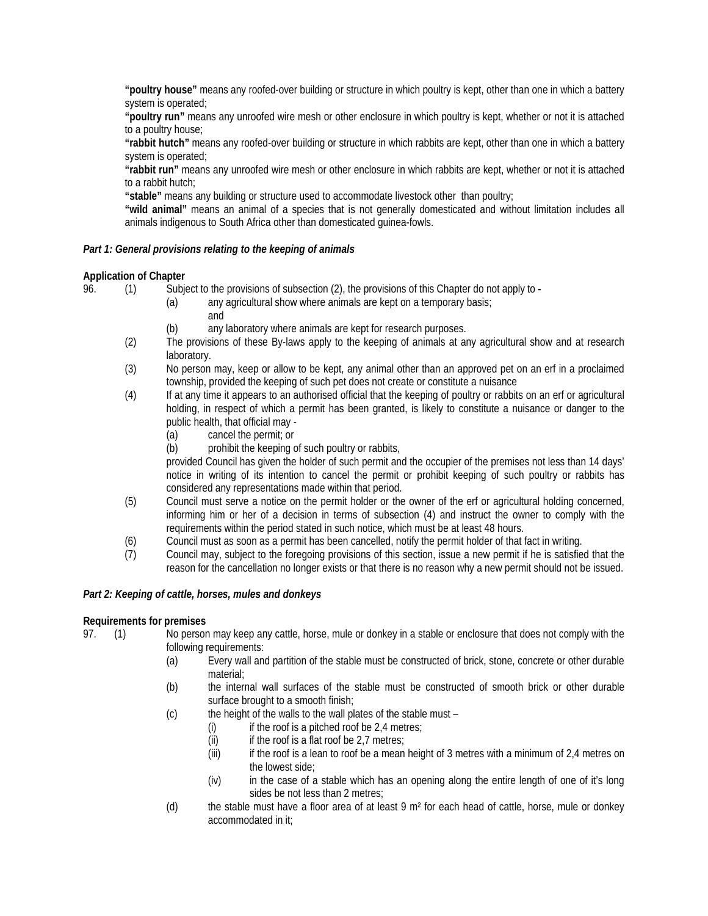**"poultry house"** means any roofed-over building or structure in which poultry is kept, other than one in which a battery system is operated;

**"poultry run"** means any unroofed wire mesh or other enclosure in which poultry is kept, whether or not it is attached to a poultry house;

**"rabbit hutch"** means any roofed-over building or structure in which rabbits are kept, other than one in which a battery system is operated;

**"rabbit run"** means any unroofed wire mesh or other enclosure in which rabbits are kept, whether or not it is attached to a rabbit hutch;

**"stable"** means any building or structure used to accommodate livestock other than poultry;

**"wild animal"** means an animal of a species that is not generally domesticated and without limitation includes all animals indigenous to South Africa other than domesticated guinea-fowls.

### *Part 1: General provisions relating to the keeping of animals*

### **Application of Chapter**

96. (1) Subject to the provisions of subsection (2), the provisions of this Chapter do not apply to **-**

- (a) any agricultural show where animals are kept on a temporary basis;
	- and
- (b) any laboratory where animals are kept for research purposes.
- (2) The provisions of these By-laws apply to the keeping of animals at any agricultural show and at research laboratory.
- (3) No person may, keep or allow to be kept, any animal other than an approved pet on an erf in a proclaimed township, provided the keeping of such pet does not create or constitute a nuisance
- (4) If at any time it appears to an authorised official that the keeping of poultry or rabbits on an erf or agricultural holding, in respect of which a permit has been granted, is likely to constitute a nuisance or danger to the public health, that official may -
	- (a) cancel the permit; or
	- (b) prohibit the keeping of such poultry or rabbits,

provided Council has given the holder of such permit and the occupier of the premises not less than 14 days' notice in writing of its intention to cancel the permit or prohibit keeping of such poultry or rabbits has considered any representations made within that period.

- (5) Council must serve a notice on the permit holder or the owner of the erf or agricultural holding concerned, informing him or her of a decision in terms of subsection (4) and instruct the owner to comply with the requirements within the period stated in such notice, which must be at least 48 hours.
- (6) Council must as soon as a permit has been cancelled, notify the permit holder of that fact in writing.
- (7) Council may, subject to the foregoing provisions of this section, issue a new permit if he is satisfied that the reason for the cancellation no longer exists or that there is no reason why a new permit should not be issued.

### *Part 2: Keeping of cattle, horses, mules and donkeys*

### **Requirements for premises**

97. (1) No person may keep any cattle, horse, mule or donkey in a stable or enclosure that does not comply with the following requirements:

- (a) Every wall and partition of the stable must be constructed of brick, stone, concrete or other durable material;
- (b) the internal wall surfaces of the stable must be constructed of smooth brick or other durable surface brought to a smooth finish;
- (c) the height of the walls to the wall plates of the stable must
	- $(i)$  if the roof is a pitched roof be 2,4 metres;
	- $(ii)$  if the roof is a flat roof be 2,7 metres;
	- (iii) if the roof is a lean to roof be a mean height of 3 metres with a minimum of 2,4 metres on the lowest side;
	- (iv) in the case of a stable which has an opening along the entire length of one of it's long sides be not less than 2 metres;
- (d) the stable must have a floor area of at least 9 m² for each head of cattle, horse, mule or donkey accommodated in it;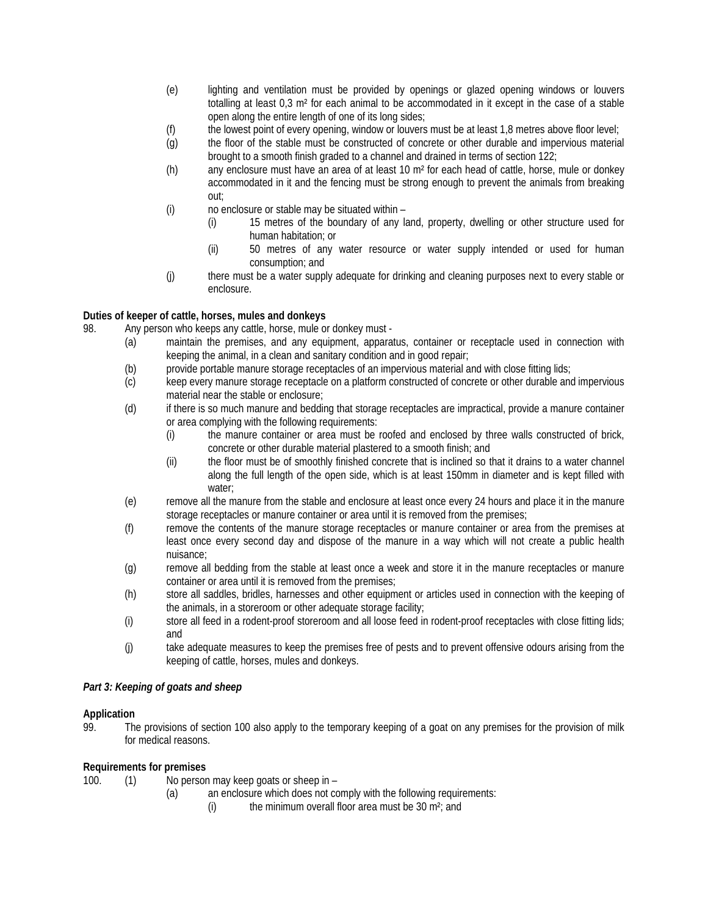- (e) lighting and ventilation must be provided by openings or glazed opening windows or louvers totalling at least 0,3 m² for each animal to be accommodated in it except in the case of a stable open along the entire length of one of its long sides;
- (f) the lowest point of every opening, window or louvers must be at least 1,8 metres above floor level;
- (g) the floor of the stable must be constructed of concrete or other durable and impervious material brought to a smooth finish graded to a channel and drained in terms of section 122;
- (h) any enclosure must have an area of at least 10  $m<sup>2</sup>$  for each head of cattle, horse, mule or donkey accommodated in it and the fencing must be strong enough to prevent the animals from breaking out;
- (i) no enclosure or stable may be situated within
	- (i) 15 metres of the boundary of any land, property, dwelling or other structure used for human habitation; or
	- (ii) 50 metres of any water resource or water supply intended or used for human consumption; and
- (j) there must be a water supply adequate for drinking and cleaning purposes next to every stable or enclosure.

## **Duties of keeper of cattle, horses, mules and donkeys**

98. Any person who keeps any cattle, horse, mule or donkey must -

- (a) maintain the premises, and any equipment, apparatus, container or receptacle used in connection with keeping the animal, in a clean and sanitary condition and in good repair;
- (b) provide portable manure storage receptacles of an impervious material and with close fitting lids;
- (c) keep every manure storage receptacle on a platform constructed of concrete or other durable and impervious material near the stable or enclosure;
- (d) if there is so much manure and bedding that storage receptacles are impractical, provide a manure container or area complying with the following requirements:
	- (i) the manure container or area must be roofed and enclosed by three walls constructed of brick, concrete or other durable material plastered to a smooth finish; and
	- (ii) the floor must be of smoothly finished concrete that is inclined so that it drains to a water channel along the full length of the open side, which is at least 150mm in diameter and is kept filled with water;
- (e) remove all the manure from the stable and enclosure at least once every 24 hours and place it in the manure storage receptacles or manure container or area until it is removed from the premises;
- (f) remove the contents of the manure storage receptacles or manure container or area from the premises at least once every second day and dispose of the manure in a way which will not create a public health nuisance;
- (g) remove all bedding from the stable at least once a week and store it in the manure receptacles or manure container or area until it is removed from the premises;
- (h) store all saddles, bridles, harnesses and other equipment or articles used in connection with the keeping of the animals, in a storeroom or other adequate storage facility;
- (i) store all feed in a rodent-proof storeroom and all loose feed in rodent-proof receptacles with close fitting lids; and
- (j) take adequate measures to keep the premises free of pests and to prevent offensive odours arising from the keeping of cattle, horses, mules and donkeys.

### *Part 3: Keeping of goats and sheep*

### **Application**

99. The provisions of section 100 also apply to the temporary keeping of a goat on any premises for the provision of milk for medical reasons.

# **Requirements for premises**

100. (1) No person may keep goats or sheep in –

- (a) an enclosure which does not comply with the following requirements:
	- (i) the minimum overall floor area must be 30  $m<sup>2</sup>$ ; and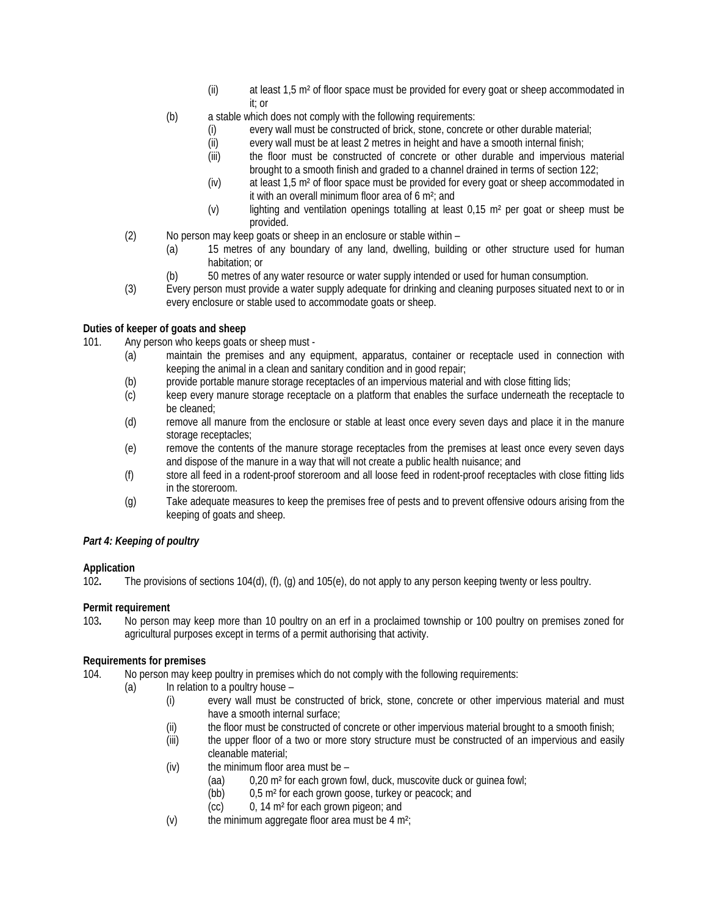- (ii) at least 1,5 m² of floor space must be provided for every goat or sheep accommodated in it; or
- (b) a stable which does not comply with the following requirements:
	- (i) every wall must be constructed of brick, stone, concrete or other durable material;
	- (ii) every wall must be at least 2 metres in height and have a smooth internal finish;
	- (iii) the floor must be constructed of concrete or other durable and impervious material brought to a smooth finish and graded to a channel drained in terms of section 122;
	- (iv) at least 1,5 m² of floor space must be provided for every goat or sheep accommodated in it with an overall minimum floor area of 6  $m^2$ ; and
	- (v) lighting and ventilation openings totalling at least 0,15 m² per goat or sheep must be provided.
- (2) No person may keep goats or sheep in an enclosure or stable within
	- (a) 15 metres of any boundary of any land, dwelling, building or other structure used for human habitation; or
	- (b) 50 metres of any water resource or water supply intended or used for human consumption.
- (3) Every person must provide a water supply adequate for drinking and cleaning purposes situated next to or in every enclosure or stable used to accommodate goats or sheep.

## **Duties of keeper of goats and sheep**

101. Any person who keeps goats or sheep must -

- (a) maintain the premises and any equipment, apparatus, container or receptacle used in connection with keeping the animal in a clean and sanitary condition and in good repair;
- (b) provide portable manure storage receptacles of an impervious material and with close fitting lids;
- (c) keep every manure storage receptacle on a platform that enables the surface underneath the receptacle to be cleaned;
- (d) remove all manure from the enclosure or stable at least once every seven days and place it in the manure storage receptacles;
- (e) remove the contents of the manure storage receptacles from the premises at least once every seven days and dispose of the manure in a way that will not create a public health nuisance; and
- (f) store all feed in a rodent-proof storeroom and all loose feed in rodent-proof receptacles with close fitting lids in the storeroom.
- (g) Take adequate measures to keep the premises free of pests and to prevent offensive odours arising from the keeping of goats and sheep.

# *Part 4: Keeping of poultry*

# **Application**

102**.** The provisions of sections 104(d), (f), (g) and 105(e), do not apply to any person keeping twenty or less poultry.

# **Permit requirement**

103**.** No person may keep more than 10 poultry on an erf in a proclaimed township or 100 poultry on premises zoned for agricultural purposes except in terms of a permit authorising that activity.

# **Requirements for premises**

- 104. No person may keep poultry in premises which do not comply with the following requirements:
	- (a) In relation to a poultry house
		- (i) every wall must be constructed of brick, stone, concrete or other impervious material and must have a smooth internal surface;
		- (ii) the floor must be constructed of concrete or other impervious material brought to a smooth finish;
		- (iii) the upper floor of a two or more story structure must be constructed of an impervious and easily cleanable material;
		- (iv) the minimum floor area must be
			- (aa) 0,20 m² for each grown fowl, duck, muscovite duck or guinea fowl;
			- (bb) 0,5 m² for each grown goose, turkey or peacock; and
			- (cc) 0, 14 m² for each grown pigeon; and
		- (v) the minimum aggregate floor area must be  $4 \, \text{m}^2$ ;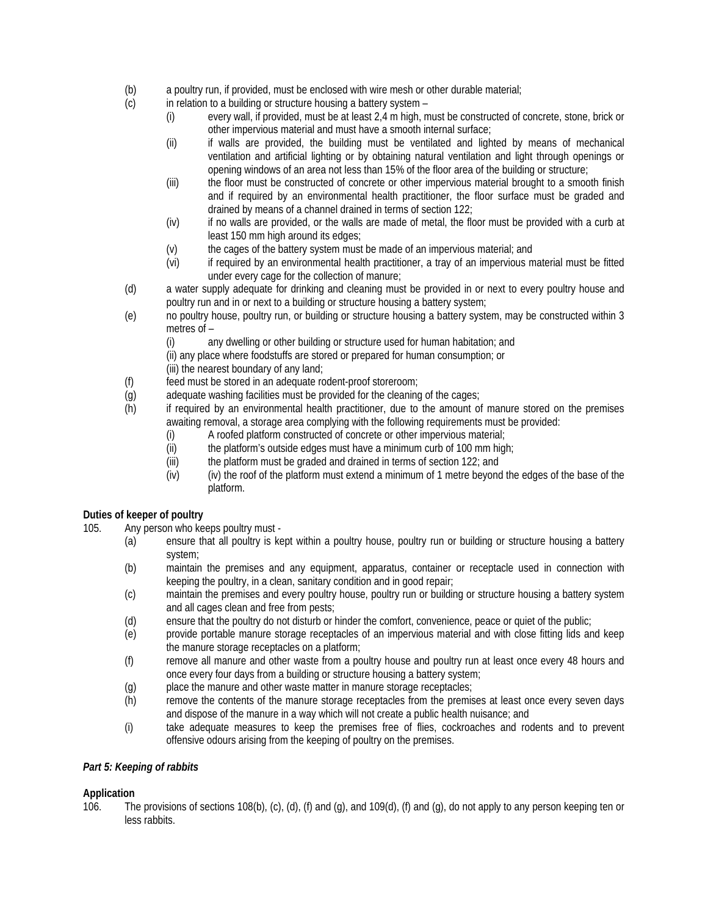- (b) a poultry run, if provided, must be enclosed with wire mesh or other durable material;
- (c) in relation to a building or structure housing a battery system
	- (i) every wall, if provided, must be at least 2,4 m high, must be constructed of concrete, stone, brick or other impervious material and must have a smooth internal surface;
	- (ii) if walls are provided, the building must be ventilated and lighted by means of mechanical ventilation and artificial lighting or by obtaining natural ventilation and light through openings or opening windows of an area not less than 15% of the floor area of the building or structure;
	- (iii) the floor must be constructed of concrete or other impervious material brought to a smooth finish and if required by an environmental health practitioner, the floor surface must be graded and drained by means of a channel drained in terms of section 122;
	- (iv) if no walls are provided, or the walls are made of metal, the floor must be provided with a curb at least 150 mm high around its edges;
	- (v) the cages of the battery system must be made of an impervious material; and
	- (vi) if required by an environmental health practitioner, a tray of an impervious material must be fitted under every cage for the collection of manure;
- (d) a water supply adequate for drinking and cleaning must be provided in or next to every poultry house and poultry run and in or next to a building or structure housing a battery system;
- (e) no poultry house, poultry run, or building or structure housing a battery system, may be constructed within 3 metres of –
	- (i) any dwelling or other building or structure used for human habitation; and

(ii) any place where foodstuffs are stored or prepared for human consumption; or

(iii) the nearest boundary of any land;

- (f) feed must be stored in an adequate rodent-proof storeroom;
- (g) adequate washing facilities must be provided for the cleaning of the cages;<br>(h) if required by an environmental health practitioner, due to the amount of
- If required by an environmental health practitioner, due to the amount of manure stored on the premises awaiting removal, a storage area complying with the following requirements must be provided:
	- (i) A roofed platform constructed of concrete or other impervious material;
	- (ii) the platform's outside edges must have a minimum curb of 100 mm high;
	- (iii) the platform must be graded and drained in terms of section 122; and
	- (iv) (iv) the roof of the platform must extend a minimum of 1 metre beyond the edges of the base of the platform.

### **Duties of keeper of poultry**

- 105. Any person who keeps poultry must
	- (a) ensure that all poultry is kept within a poultry house, poultry run or building or structure housing a battery system;
	- (b) maintain the premises and any equipment, apparatus, container or receptacle used in connection with keeping the poultry, in a clean, sanitary condition and in good repair;
	- (c) maintain the premises and every poultry house, poultry run or building or structure housing a battery system and all cages clean and free from pests;
	- (d) ensure that the poultry do not disturb or hinder the comfort, convenience, peace or quiet of the public;
	- (e) provide portable manure storage receptacles of an impervious material and with close fitting lids and keep the manure storage receptacles on a platform;
	- (f) remove all manure and other waste from a poultry house and poultry run at least once every 48 hours and once every four days from a building or structure housing a battery system;
	- (g) place the manure and other waste matter in manure storage receptacles;
	- (h) remove the contents of the manure storage receptacles from the premises at least once every seven days and dispose of the manure in a way which will not create a public health nuisance; and
	- (i) take adequate measures to keep the premises free of flies, cockroaches and rodents and to prevent offensive odours arising from the keeping of poultry on the premises.

### *Part 5: Keeping of rabbits*

### **Application**

106. The provisions of sections 108(b), (c), (d), (f) and (g), and 109(d), (f) and (g), do not apply to any person keeping ten or less rabbits.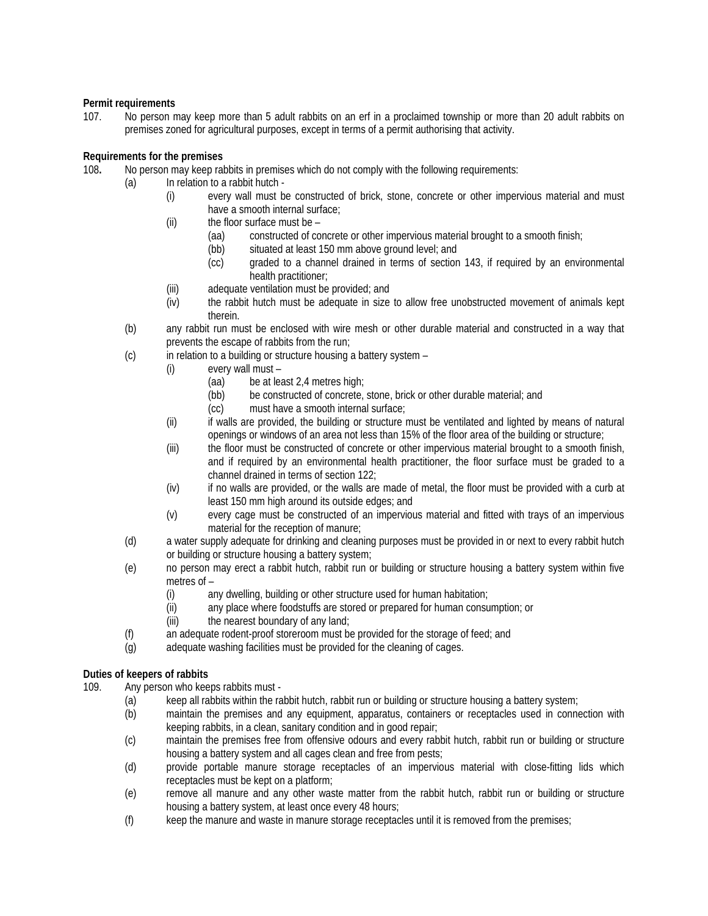### **Permit requirements**

107. No person may keep more than 5 adult rabbits on an erf in a proclaimed township or more than 20 adult rabbits on premises zoned for agricultural purposes, except in terms of a permit authorising that activity.

### **Requirements for the premises**

108**.** No person may keep rabbits in premises which do not comply with the following requirements:

- (a) In relation to a rabbit hutch
	- (i) every wall must be constructed of brick, stone, concrete or other impervious material and must have a smooth internal surface;
	- (ii) the floor surface must be
		- (aa) constructed of concrete or other impervious material brought to a smooth finish;
		- (bb) situated at least 150 mm above ground level; and
		- (cc) graded to a channel drained in terms of section 143, if required by an environmental health practitioner;
	- (iii) adequate ventilation must be provided; and
	- (iv) the rabbit hutch must be adequate in size to allow free unobstructed movement of animals kept therein.
- (b) any rabbit run must be enclosed with wire mesh or other durable material and constructed in a way that prevents the escape of rabbits from the run;
- (c) in relation to a building or structure housing a battery system
	- (i) every wall must
		- (aa) be at least 2,4 metres high;
		- (bb) be constructed of concrete, stone, brick or other durable material; and (cc) must have a smooth internal surface;
		- must have a smooth internal surface;
	- (ii) if walls are provided, the building or structure must be ventilated and lighted by means of natural openings or windows of an area not less than 15% of the floor area of the building or structure;
	- (iii) the floor must be constructed of concrete or other impervious material brought to a smooth finish, and if required by an environmental health practitioner, the floor surface must be graded to a channel drained in terms of section 122;
	- (iv) if no walls are provided, or the walls are made of metal, the floor must be provided with a curb at least 150 mm high around its outside edges; and
	- (v) every cage must be constructed of an impervious material and fitted with trays of an impervious material for the reception of manure;
- (d) a water supply adequate for drinking and cleaning purposes must be provided in or next to every rabbit hutch or building or structure housing a battery system;
- (e) no person may erect a rabbit hutch, rabbit run or building or structure housing a battery system within five metres of –
	- (i) any dwelling, building or other structure used for human habitation;
	- (ii) any place where foodstuffs are stored or prepared for human consumption; or
		- (iii) the nearest boundary of any land;
- (f) an adequate rodent-proof storeroom must be provided for the storage of feed; and
- (g) adequate washing facilities must be provided for the cleaning of cages.

# **Duties of keepers of rabbits**

109. Any person who keeps rabbits must -

- (a) keep all rabbits within the rabbit hutch, rabbit run or building or structure housing a battery system;<br>(b) maintain the premises and any equipment, apparatus, containers or receptacles used in conne
- maintain the premises and any equipment, apparatus, containers or receptacles used in connection with keeping rabbits, in a clean, sanitary condition and in good repair;
- (c) maintain the premises free from offensive odours and every rabbit hutch, rabbit run or building or structure housing a battery system and all cages clean and free from pests;
- (d) provide portable manure storage receptacles of an impervious material with close-fitting lids which receptacles must be kept on a platform;
- (e) remove all manure and any other waste matter from the rabbit hutch, rabbit run or building or structure housing a battery system, at least once every 48 hours;
- (f) keep the manure and waste in manure storage receptacles until it is removed from the premises;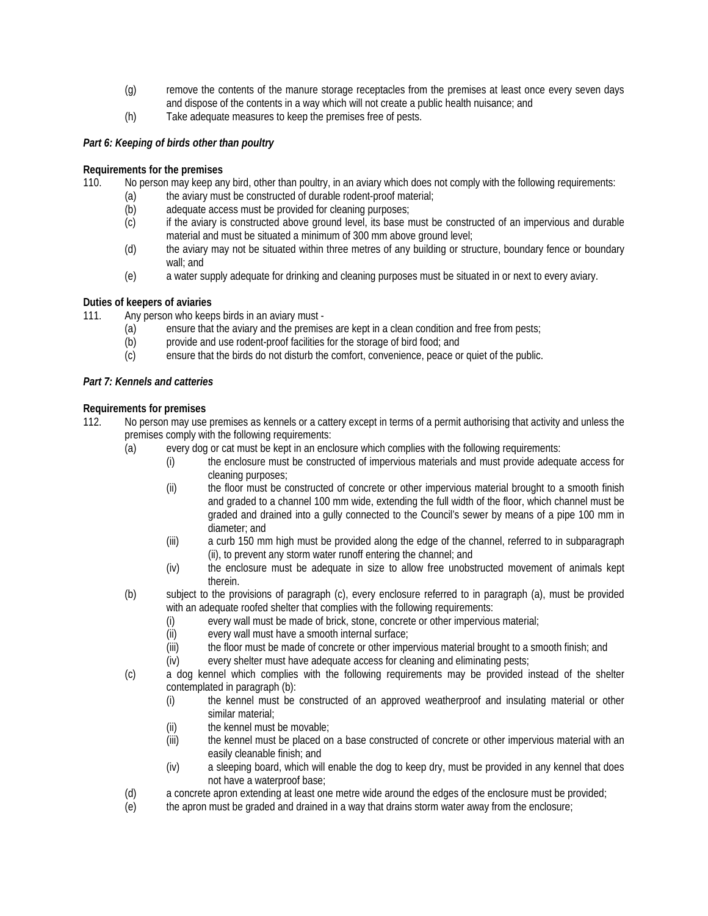- (g) remove the contents of the manure storage receptacles from the premises at least once every seven days and dispose of the contents in a way which will not create a public health nuisance; and
- (h) Take adequate measures to keep the premises free of pests.

## *Part 6: Keeping of birds other than poultry*

### **Requirements for the premises**

- 110. No person may keep any bird, other than poultry, in an aviary which does not comply with the following requirements:
	- (a) the aviary must be constructed of durable rodent-proof material;
	- (b) adequate access must be provided for cleaning purposes;
	- (c) if the aviary is constructed above ground level, its base must be constructed of an impervious and durable material and must be situated a minimum of 300 mm above ground level;
	- (d) the aviary may not be situated within three metres of any building or structure, boundary fence or boundary wall; and
	- (e) a water supply adequate for drinking and cleaning purposes must be situated in or next to every aviary.

## **Duties of keepers of aviaries**

- 111. Any person who keeps birds in an aviary must
	- (a) ensure that the aviary and the premises are kept in a clean condition and free from pests;
	- (b) provide and use rodent-proof facilities for the storage of bird food; and
	- (c) ensure that the birds do not disturb the comfort, convenience, peace or quiet of the public.

## *Part 7: Kennels and catteries*

### **Requirements for premises**

- 112. No person may use premises as kennels or a cattery except in terms of a permit authorising that activity and unless the premises comply with the following requirements:
	- (a) every dog or cat must be kept in an enclosure which complies with the following requirements:
		- (i) the enclosure must be constructed of impervious materials and must provide adequate access for cleaning purposes;
		- (ii) the floor must be constructed of concrete or other impervious material brought to a smooth finish and graded to a channel 100 mm wide, extending the full width of the floor, which channel must be graded and drained into a gully connected to the Council's sewer by means of a pipe 100 mm in diameter; and
		- (iii) a curb 150 mm high must be provided along the edge of the channel, referred to in subparagraph (ii), to prevent any storm water runoff entering the channel; and
		- (iv) the enclosure must be adequate in size to allow free unobstructed movement of animals kept therein.
	- (b) subject to the provisions of paragraph (c), every enclosure referred to in paragraph (a), must be provided with an adequate roofed shelter that complies with the following requirements:
		- (i) every wall must be made of brick, stone, concrete or other impervious material;
		- (ii) every wall must have a smooth internal surface;
		- (iii) the floor must be made of concrete or other impervious material brought to a smooth finish; and
		- (iv) every shelter must have adequate access for cleaning and eliminating pests;
	- (c) a dog kennel which complies with the following requirements may be provided instead of the shelter contemplated in paragraph (b):
		- (i) the kennel must be constructed of an approved weatherproof and insulating material or other similar material;
		- (ii) the kennel must be movable;
		- (iii) the kennel must be placed on a base constructed of concrete or other impervious material with an easily cleanable finish; and
		- (iv) a sleeping board, which will enable the dog to keep dry, must be provided in any kennel that does not have a waterproof base;
	- (d) a concrete apron extending at least one metre wide around the edges of the enclosure must be provided;
	- (e) the apron must be graded and drained in a way that drains storm water away from the enclosure;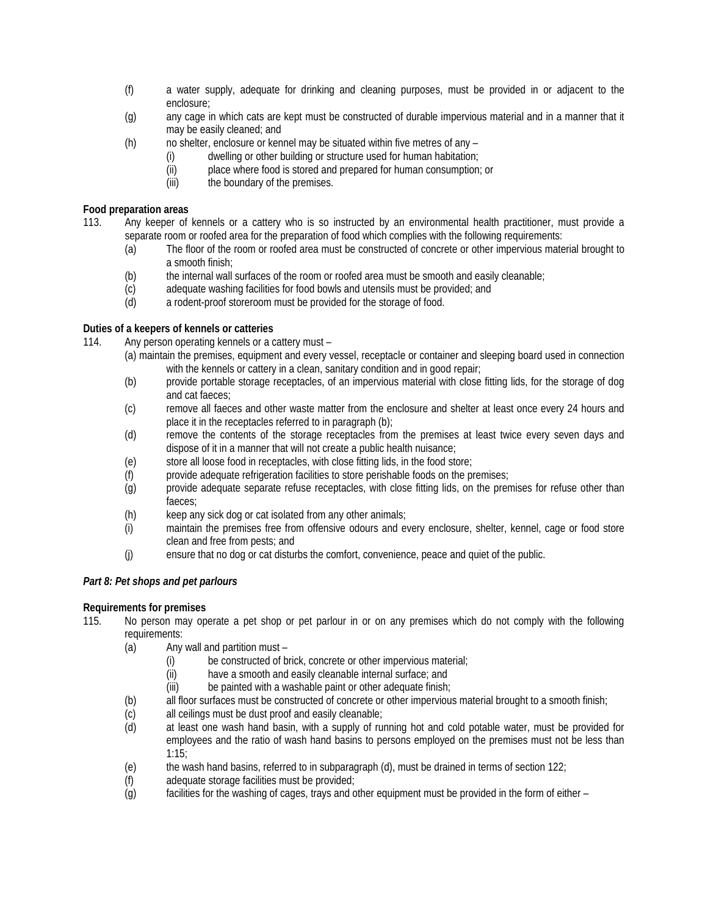- (f) a water supply, adequate for drinking and cleaning purposes, must be provided in or adjacent to the enclosure;
- (g) any cage in which cats are kept must be constructed of durable impervious material and in a manner that it may be easily cleaned; and
- (h) no shelter, enclosure or kennel may be situated within five metres of any
	- (i) dwelling or other building or structure used for human habitation;
	- (ii) place where food is stored and prepared for human consumption; or
	- (iii) the boundary of the premises.

## **Food preparation areas**

- 113. Any keeper of kennels or a cattery who is so instructed by an environmental health practitioner, must provide a separate room or roofed area for the preparation of food which complies with the following requirements:
	- (a) The floor of the room or roofed area must be constructed of concrete or other impervious material brought to a smooth finish;
	- (b) the internal wall surfaces of the room or roofed area must be smooth and easily cleanable;
	- (c) adequate washing facilities for food bowls and utensils must be provided; and
	- (d) a rodent-proof storeroom must be provided for the storage of food.

## **Duties of a keepers of kennels or catteries**

114. Any person operating kennels or a cattery must –

- (a) maintain the premises, equipment and every vessel, receptacle or container and sleeping board used in connection with the kennels or cattery in a clean, sanitary condition and in good repair;
- (b) provide portable storage receptacles, of an impervious material with close fitting lids, for the storage of dog and cat faeces;
- (c) remove all faeces and other waste matter from the enclosure and shelter at least once every 24 hours and place it in the receptacles referred to in paragraph (b);
- (d) remove the contents of the storage receptacles from the premises at least twice every seven days and dispose of it in a manner that will not create a public health nuisance;
- (e) store all loose food in receptacles, with close fitting lids, in the food store;
- (f) provide adequate refrigeration facilities to store perishable foods on the premises;
- (g) provide adequate separate refuse receptacles, with close fitting lids, on the premises for refuse other than faeces;
- (h) keep any sick dog or cat isolated from any other animals;
- (i) maintain the premises free from offensive odours and every enclosure, shelter, kennel, cage or food store clean and free from pests; and
- (j) ensure that no dog or cat disturbs the comfort, convenience, peace and quiet of the public.

# *Part 8: Pet shops and pet parlours*

### **Requirements for premises**

- 115. No person may operate a pet shop or pet parlour in or on any premises which do not comply with the following requirements:
	- (a) Any wall and partition must
		- (i) be constructed of brick, concrete or other impervious material;
		- (ii) have a smooth and easily cleanable internal surface; and
		- (iii) be painted with a washable paint or other adequate finish;
	- (b) all floor surfaces must be constructed of concrete or other impervious material brought to a smooth finish;<br>(c) all ceilings must be dust proof and easily cleanable;
	- all ceilings must be dust proof and easily cleanable;
	- (d) at least one wash hand basin, with a supply of running hot and cold potable water, must be provided for employees and the ratio of wash hand basins to persons employed on the premises must not be less than 1:15;
	- (e) the wash hand basins, referred to in subparagraph (d), must be drained in terms of section 122;
	- (f) adequate storage facilities must be provided;
	- (g) facilities for the washing of cages, trays and other equipment must be provided in the form of either –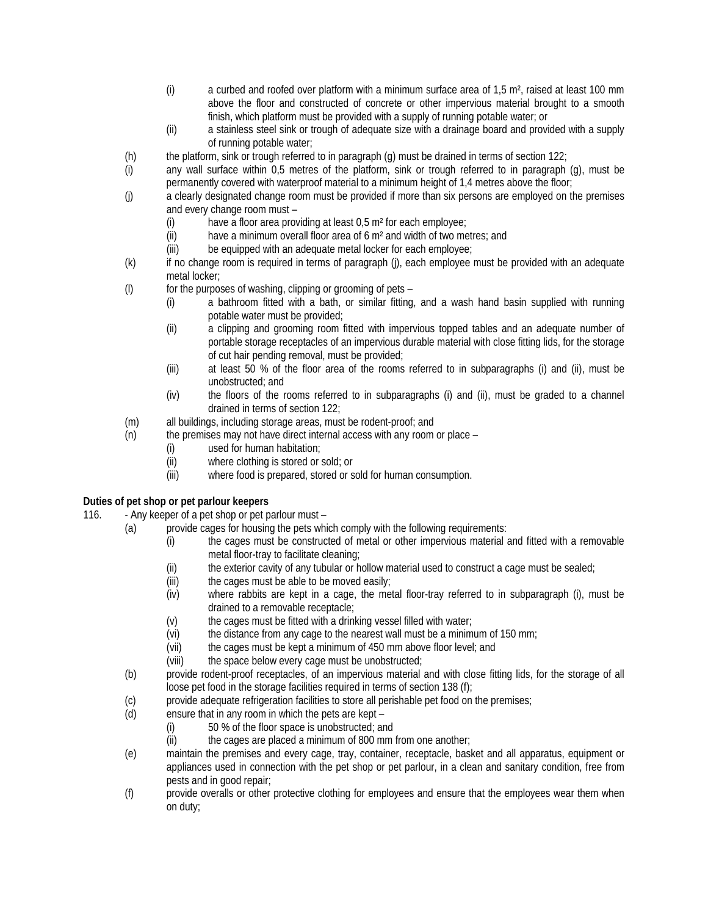- (i) a curbed and roofed over platform with a minimum surface area of 1,5  $m<sup>2</sup>$ , raised at least 100 mm above the floor and constructed of concrete or other impervious material brought to a smooth finish, which platform must be provided with a supply of running potable water; or
- (ii) a stainless steel sink or trough of adequate size with a drainage board and provided with a supply of running potable water;
- (h) the platform, sink or trough referred to in paragraph (g) must be drained in terms of section 122;
- (i) any wall surface within 0,5 metres of the platform, sink or trough referred to in paragraph (g), must be permanently covered with waterproof material to a minimum height of 1,4 metres above the floor;
- (j) a clearly designated change room must be provided if more than six persons are employed on the premises and every change room must –
	- (i) have a floor area providing at least  $0.5$  m<sup>2</sup> for each employee;
	- (ii) have a minimum overall floor area of 6 m² and width of two metres; and
	- (iii) be equipped with an adequate metal locker for each employee;
- (k) if no change room is required in terms of paragraph (j), each employee must be provided with an adequate metal locker;
- (l) for the purposes of washing, clipping or grooming of pets
	- (i) a bathroom fitted with a bath, or similar fitting, and a wash hand basin supplied with running potable water must be provided;
	- (ii) a clipping and grooming room fitted with impervious topped tables and an adequate number of portable storage receptacles of an impervious durable material with close fitting lids, for the storage of cut hair pending removal, must be provided;
	- (iii) at least 50 % of the floor area of the rooms referred to in subparagraphs (i) and (ii), must be unobstructed; and
	- (iv) the floors of the rooms referred to in subparagraphs (i) and (ii), must be graded to a channel drained in terms of section 122;
- (m) all buildings, including storage areas, must be rodent-proof; and
- (n) the premises may not have direct internal access with any room or place
	- (i) used for human habitation;
	- (ii) where clothing is stored or sold; or
	- (iii) where food is prepared, stored or sold for human consumption.

# **Duties of pet shop or pet parlour keepers**

- 116. Any keeper of a pet shop or pet parlour must
	- (a) provide cages for housing the pets which comply with the following requirements:
		- (i) the cages must be constructed of metal or other impervious material and fitted with a removable metal floor-tray to facilitate cleaning;
		- (ii) the exterior cavity of any tubular or hollow material used to construct a cage must be sealed;
		- (iii) the cages must be able to be moved easily;
		- (iv) where rabbits are kept in a cage, the metal floor-tray referred to in subparagraph (i), must be drained to a removable receptacle;
		- (v) the cages must be fitted with a drinking vessel filled with water;
		- (vi) the distance from any cage to the nearest wall must be a minimum of 150 mm;
		- (vii) the cages must be kept a minimum of 450 mm above floor level; and
		- (viii) the space below every cage must be unobstructed;
		- (b) provide rodent-proof receptacles, of an impervious material and with close fitting lids, for the storage of all loose pet food in the storage facilities required in terms of section 138 (f);
		- (c) provide adequate refrigeration facilities to store all perishable pet food on the premises;<br>(d) ensure that in any room in which the pets are kept –
		- ensure that in any room in which the pets are kept
			- (i) 50 % of the floor space is unobstructed; and
			- (ii) the cages are placed a minimum of 800 mm from one another;
		- (e) maintain the premises and every cage, tray, container, receptacle, basket and all apparatus, equipment or appliances used in connection with the pet shop or pet parlour, in a clean and sanitary condition, free from pests and in good repair;
		- (f) provide overalls or other protective clothing for employees and ensure that the employees wear them when on duty;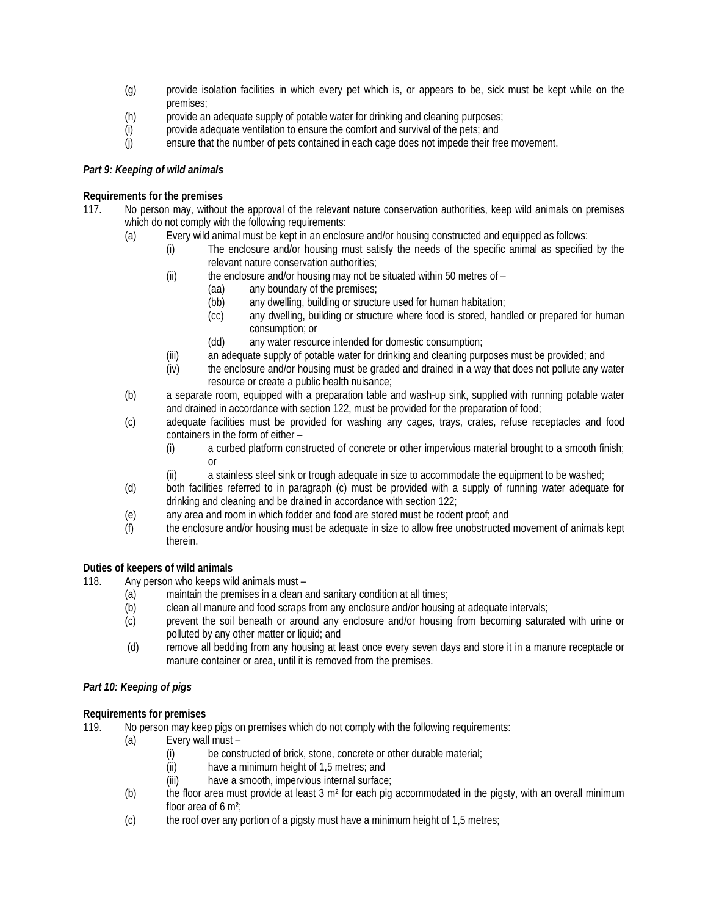- (g) provide isolation facilities in which every pet which is, or appears to be, sick must be kept while on the premises;
- (h) provide an adequate supply of potable water for drinking and cleaning purposes;
- (i) provide adequate ventilation to ensure the comfort and survival of the pets; and (i) ensure that the number of pets contained in each cage does not impede their fre
- ensure that the number of pets contained in each cage does not impede their free movement.

# *Part 9: Keeping of wild animals*

# **Requirements for the premises**

- 117. No person may, without the approval of the relevant nature conservation authorities, keep wild animals on premises which do not comply with the following requirements:
	- (a) Every wild animal must be kept in an enclosure and/or housing constructed and equipped as follows:
		- (i) The enclosure and/or housing must satisfy the needs of the specific animal as specified by the relevant nature conservation authorities;
		- (ii) the enclosure and/or housing may not be situated within 50 metres of
			- (aa) any boundary of the premises;
			- (bb) any dwelling, building or structure used for human habitation;
			- (cc) any dwelling, building or structure where food is stored, handled or prepared for human consumption; or
			- (dd) any water resource intended for domestic consumption;
		- (iii) an adequate supply of potable water for drinking and cleaning purposes must be provided; and
		- (iv) the enclosure and/or housing must be graded and drained in a way that does not pollute any water resource or create a public health nuisance;
	- (b) a separate room, equipped with a preparation table and wash-up sink, supplied with running potable water and drained in accordance with section 122, must be provided for the preparation of food;
	- (c) adequate facilities must be provided for washing any cages, trays, crates, refuse receptacles and food containers in the form of either –
		- (i) a curbed platform constructed of concrete or other impervious material brought to a smooth finish; or
		- (ii) a stainless steel sink or trough adequate in size to accommodate the equipment to be washed;
	- (d) both facilities referred to in paragraph (c) must be provided with a supply of running water adequate for drinking and cleaning and be drained in accordance with section 122;
	- (e) any area and room in which fodder and food are stored must be rodent proof; and
	- (f) the enclosure and/or housing must be adequate in size to allow free unobstructed movement of animals kept therein.

# **Duties of keepers of wild animals**

- 118. Any person who keeps wild animals must
	- (a) maintain the premises in a clean and sanitary condition at all times;
	- (b) clean all manure and food scraps from any enclosure and/or housing at adequate intervals;
	- (c) prevent the soil beneath or around any enclosure and/or housing from becoming saturated with urine or polluted by any other matter or liquid; and
	- (d) remove all bedding from any housing at least once every seven days and store it in a manure receptacle or manure container or area, until it is removed from the premises.

# *Part 10: Keeping of pigs*

# **Requirements for premises**

- 119. No person may keep pigs on premises which do not comply with the following requirements:
	- (a) Every wall must
		- (i) be constructed of brick, stone, concrete or other durable material;
		- (ii) have a minimum height of 1,5 metres; and
		- (iii) have a smooth, impervious internal surface;
	- (b) the floor area must provide at least  $3 \text{ m}^2$  for each pig accommodated in the pigsty, with an overall minimum floor area of 6 m<sup>2</sup>:
	- (c) the roof over any portion of a pigsty must have a minimum height of 1,5 metres;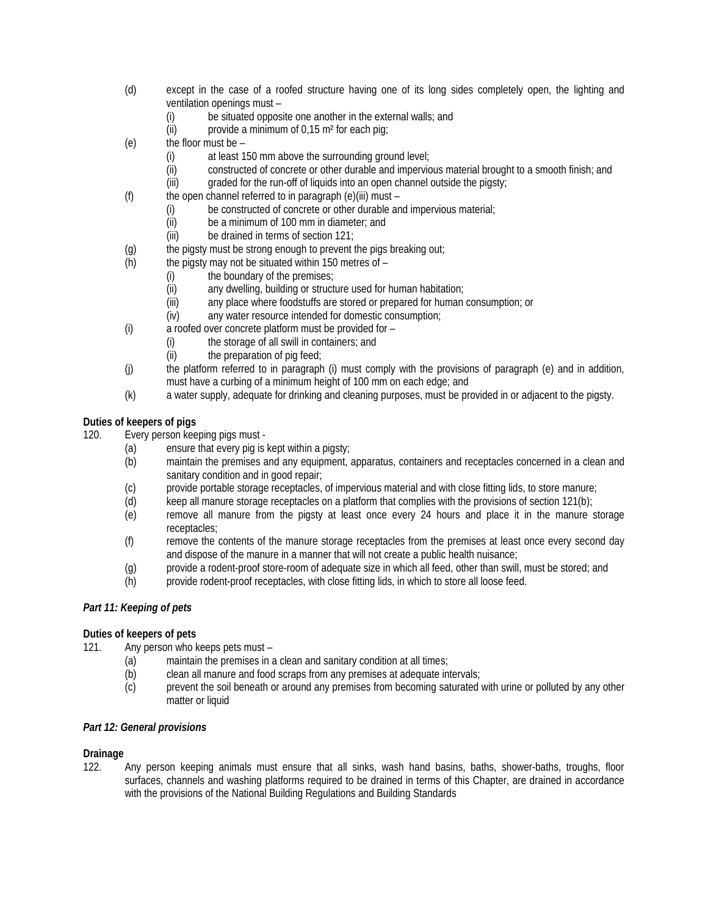- (d) except in the case of a roofed structure having one of its long sides completely open, the lighting and ventilation openings must –
	- (i) be situated opposite one another in the external walls; and
	- (ii) provide a minimum of  $0.15$  m<sup>2</sup> for each pig;
- (e) the floor must be
	- (i) at least 150 mm above the surrounding ground level;
	- (ii) constructed of concrete or other durable and impervious material brought to a smooth finish; and
	- (iii) graded for the run-off of liquids into an open channel outside the pigsty;
- (f) the open channel referred to in paragraph (e)(iii) must
	- (i) be constructed of concrete or other durable and impervious material;
	- (ii) be a minimum of 100 mm in diameter; and
	- (iii) be drained in terms of section 121;
- (g) the pigsty must be strong enough to prevent the pigs breaking out;
- (h) the pigsty may not be situated within 150 metres of  $-$ 
	- (i) the boundary of the premises;
	- (ii) any dwelling, building or structure used for human habitation;
	- (iii) any place where foodstuffs are stored or prepared for human consumption; or
	- (iv) any water resource intended for domestic consumption;
- (i) a roofed over concrete platform must be provided for
	- (i) the storage of all swill in containers; and
	- (ii) the preparation of pig feed;
- (j) the platform referred to in paragraph (i) must comply with the provisions of paragraph (e) and in addition, must have a curbing of a minimum height of 100 mm on each edge; and
- (k) a water supply, adequate for drinking and cleaning purposes, must be provided in or adjacent to the pigsty.

## **Duties of keepers of pigs**

120. Every person keeping pigs must -

- (a) ensure that every pig is kept within a pigsty;
- (b) maintain the premises and any equipment, apparatus, containers and receptacles concerned in a clean and sanitary condition and in good repair;
- (c) provide portable storage receptacles, of impervious material and with close fitting lids, to store manure;
- (d) keep all manure storage receptacles on a platform that complies with the provisions of section 121(b);
- (e) remove all manure from the pigsty at least once every 24 hours and place it in the manure storage receptacles;
- (f) remove the contents of the manure storage receptacles from the premises at least once every second day and dispose of the manure in a manner that will not create a public health nuisance;
- (g) provide a rodent-proof store-room of adequate size in which all feed, other than swill, must be stored; and
- (h) provide rodent-proof receptacles, with close fitting lids, in which to store all loose feed.

# *Part 11: Keeping of pets*

### **Duties of keepers of pets**

121. Any person who keeps pets must –

- (a) maintain the premises in a clean and sanitary condition at all times;
- (b) clean all manure and food scraps from any premises at adequate intervals;
- (c) prevent the soil beneath or around any premises from becoming saturated with urine or polluted by any other matter or liquid

### *Part 12: General provisions*

### **Drainage**

122. Any person keeping animals must ensure that all sinks, wash hand basins, baths, shower-baths, troughs, floor surfaces, channels and washing platforms required to be drained in terms of this Chapter, are drained in accordance with the provisions of the National Building Regulations and Building Standards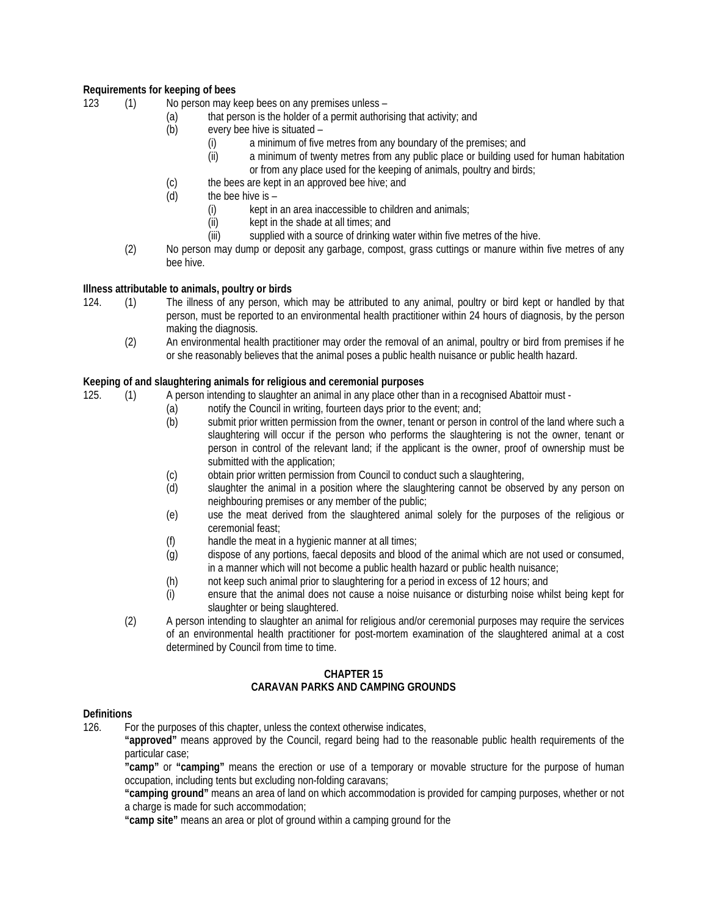## **Requirements for keeping of bees**

- 123 (1) No person may keep bees on any premises unless
	- (a) that person is the holder of a permit authorising that activity; and
	- (b) every bee hive is situated
		- (i) a minimum of five metres from any boundary of the premises; and
		- (ii) a minimum of twenty metres from any public place or building used for human habitation or from any place used for the keeping of animals, poultry and birds;
	- (c) the bees are kept in an approved bee hive; and
	- (d) the bee hive is  $-$ 
		- (i) kept in an area inaccessible to children and animals;
		- (ii) kept in the shade at all times; and
		- (iii) supplied with a source of drinking water within five metres of the hive.
	- (2) No person may dump or deposit any garbage, compost, grass cuttings or manure within five metres of any bee hive.

### **Illness attributable to animals, poultry or birds**

- 124. (1) The illness of any person, which may be attributed to any animal, poultry or bird kept or handled by that person, must be reported to an environmental health practitioner within 24 hours of diagnosis, by the person making the diagnosis.
	- (2) An environmental health practitioner may order the removal of an animal, poultry or bird from premises if he or she reasonably believes that the animal poses a public health nuisance or public health hazard.

### **Keeping of and slaughtering animals for religious and ceremonial purposes**

- 125. (1) A person intending to slaughter an animal in any place other than in a recognised Abattoir must
	- (a) notify the Council in writing, fourteen days prior to the event; and;
		- (b) submit prior written permission from the owner, tenant or person in control of the land where such a slaughtering will occur if the person who performs the slaughtering is not the owner, tenant or person in control of the relevant land; if the applicant is the owner, proof of ownership must be submitted with the application;
		- (c) obtain prior written permission from Council to conduct such a slaughtering,
		- (d) slaughter the animal in a position where the slaughtering cannot be observed by any person on neighbouring premises or any member of the public;
		- (e) use the meat derived from the slaughtered animal solely for the purposes of the religious or ceremonial feast;
		- (f) handle the meat in a hygienic manner at all times;
		- (g) dispose of any portions, faecal deposits and blood of the animal which are not used or consumed, in a manner which will not become a public health hazard or public health nuisance;
		- (h) not keep such animal prior to slaughtering for a period in excess of 12 hours; and
		- (i) ensure that the animal does not cause a noise nuisance or disturbing noise whilst being kept for slaughter or being slaughtered.
	- (2) A person intending to slaughter an animal for religious and/or ceremonial purposes may require the services of an environmental health practitioner for post-mortem examination of the slaughtered animal at a cost determined by Council from time to time.

### **CHAPTER 15 CARAVAN PARKS AND CAMPING GROUNDS**

### **Definitions**

126. For the purposes of this chapter, unless the context otherwise indicates,

**"approved"** means approved by the Council, regard being had to the reasonable public health requirements of the particular case;

**"camp"** or **"camping"** means the erection or use of a temporary or movable structure for the purpose of human occupation, including tents but excluding non-folding caravans;

**"camping ground"** means an area of land on which accommodation is provided for camping purposes, whether or not a charge is made for such accommodation;

**"camp site"** means an area or plot of ground within a camping ground for the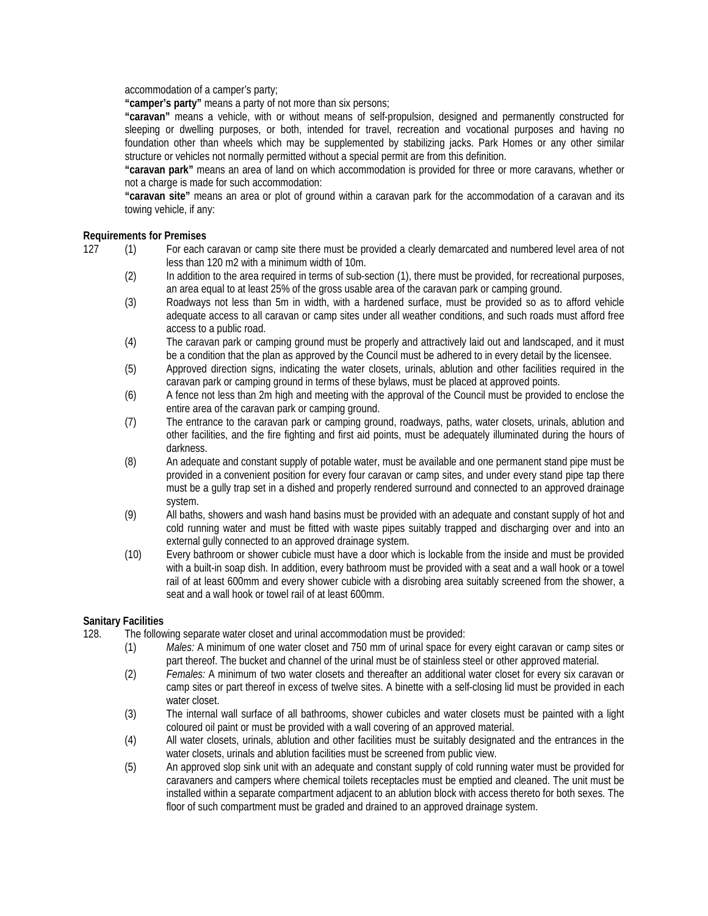accommodation of a camper's party;

**"camper's party"** means a party of not more than six persons;

**"caravan"** means a vehicle, with or without means of self-propulsion, designed and permanently constructed for sleeping or dwelling purposes, or both, intended for travel, recreation and vocational purposes and having no foundation other than wheels which may be supplemented by stabilizing jacks. Park Homes or any other similar structure or vehicles not normally permitted without a special permit are from this definition.

**"caravan park"** means an area of land on which accommodation is provided for three or more caravans, whether or not a charge is made for such accommodation:

**"caravan site"** means an area or plot of ground within a caravan park for the accommodation of a caravan and its towing vehicle, if any:

# **Requirements for Premises**<br>127 (1) For each

- 127 (1) For each caravan or camp site there must be provided a clearly demarcated and numbered level area of not less than 120 m2 with a minimum width of 10m.
	- (2) In addition to the area required in terms of sub-section (1), there must be provided, for recreational purposes, an area equal to at least 25% of the gross usable area of the caravan park or camping ground.
	- (3) Roadways not less than 5m in width, with a hardened surface, must be provided so as to afford vehicle adequate access to all caravan or camp sites under all weather conditions, and such roads must afford free access to a public road.
	- (4) The caravan park or camping ground must be properly and attractively laid out and landscaped, and it must be a condition that the plan as approved by the Council must be adhered to in every detail by the licensee.
	- (5) Approved direction signs, indicating the water closets, urinals, ablution and other facilities required in the caravan park or camping ground in terms of these bylaws, must be placed at approved points.
	- (6) A fence not less than 2m high and meeting with the approval of the Council must be provided to enclose the entire area of the caravan park or camping ground.
	- (7) The entrance to the caravan park or camping ground, roadways, paths, water closets, urinals, ablution and other facilities, and the fire fighting and first aid points, must be adequately illuminated during the hours of darkness.
	- (8) An adequate and constant supply of potable water, must be available and one permanent stand pipe must be provided in a convenient position for every four caravan or camp sites, and under every stand pipe tap there must be a gully trap set in a dished and properly rendered surround and connected to an approved drainage system.
	- (9) All baths, showers and wash hand basins must be provided with an adequate and constant supply of hot and cold running water and must be fitted with waste pipes suitably trapped and discharging over and into an external gully connected to an approved drainage system.
	- (10) Every bathroom or shower cubicle must have a door which is lockable from the inside and must be provided with a built-in soap dish. In addition, every bathroom must be provided with a seat and a wall hook or a towel rail of at least 600mm and every shower cubicle with a disrobing area suitably screened from the shower, a seat and a wall hook or towel rail of at least 600mm.

### **Sanitary Facilities**

- 128. The following separate water closet and urinal accommodation must be provided:
	- (1) *Males:* A minimum of one water closet and 750 mm of urinal space for every eight caravan or camp sites or part thereof. The bucket and channel of the urinal must be of stainless steel or other approved material.
	- (2) *Females:* A minimum of two water closets and thereafter an additional water closet for every six caravan or camp sites or part thereof in excess of twelve sites. A binette with a self-closing lid must be provided in each water closet.
	- (3) The internal wall surface of all bathrooms, shower cubicles and water closets must be painted with a light coloured oil paint or must be provided with a wall covering of an approved material.
	- (4) All water closets, urinals, ablution and other facilities must be suitably designated and the entrances in the water closets, urinals and ablution facilities must be screened from public view.
	- (5) An approved slop sink unit with an adequate and constant supply of cold running water must be provided for caravaners and campers where chemical toilets receptacles must be emptied and cleaned. The unit must be installed within a separate compartment adjacent to an ablution block with access thereto for both sexes. The floor of such compartment must be graded and drained to an approved drainage system.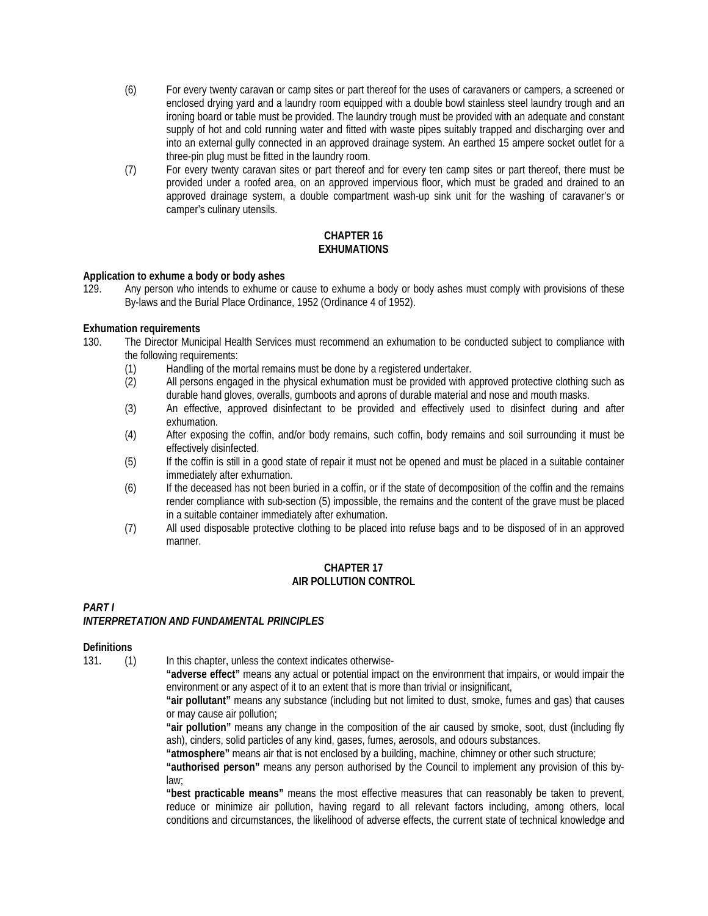- (6) For every twenty caravan or camp sites or part thereof for the uses of caravaners or campers, a screened or enclosed drying yard and a laundry room equipped with a double bowl stainless steel laundry trough and an ironing board or table must be provided. The laundry trough must be provided with an adequate and constant supply of hot and cold running water and fitted with waste pipes suitably trapped and discharging over and into an external gully connected in an approved drainage system. An earthed 15 ampere socket outlet for a three-pin plug must be fitted in the laundry room.
- (7) For every twenty caravan sites or part thereof and for every ten camp sites or part thereof, there must be provided under a roofed area, on an approved impervious floor, which must be graded and drained to an approved drainage system, a double compartment wash-up sink unit for the washing of caravaner's or camper's culinary utensils.

### **CHAPTER 16 EXHUMATIONS**

### **Application to exhume a body or body ashes**

129. Any person who intends to exhume or cause to exhume a body or body ashes must comply with provisions of these By-laws and the Burial Place Ordinance, 1952 (Ordinance 4 of 1952).

### **Exhumation requirements**

- 130. The Director Municipal Health Services must recommend an exhumation to be conducted subject to compliance with the following requirements:
	- (1) Handling of the mortal remains must be done by a registered undertaker.
	- (2) All persons engaged in the physical exhumation must be provided with approved protective clothing such as durable hand gloves, overalls, gumboots and aprons of durable material and nose and mouth masks.
	- (3) An effective, approved disinfectant to be provided and effectively used to disinfect during and after exhumation.
	- (4) After exposing the coffin, and/or body remains, such coffin, body remains and soil surrounding it must be effectively disinfected.
	- (5) If the coffin is still in a good state of repair it must not be opened and must be placed in a suitable container immediately after exhumation.
	- (6) If the deceased has not been buried in a coffin, or if the state of decomposition of the coffin and the remains render compliance with sub-section (5) impossible, the remains and the content of the grave must be placed in a suitable container immediately after exhumation.
	- (7) All used disposable protective clothing to be placed into refuse bags and to be disposed of in an approved manner.

### **CHAPTER 17 AIR POLLUTION CONTROL**

#### *PART I INTERPRETATION AND FUNDAMENTAL PRINCIPLES*

### **Definitions**

131. (1) In this chapter, unless the context indicates otherwise-

**"adverse effect"** means any actual or potential impact on the environment that impairs, or would impair the environment or any aspect of it to an extent that is more than trivial or insignificant,

**"air pollutant"** means any substance (including but not limited to dust, smoke, fumes and gas) that causes or may cause air pollution;

**"air pollution"** means any change in the composition of the air caused by smoke, soot, dust (including fly ash), cinders, solid particles of any kind, gases, fumes, aerosols, and odours substances.

**"atmosphere"** means air that is not enclosed by a building, machine, chimney or other such structure;

**"authorised person"** means any person authorised by the Council to implement any provision of this bylaw;

**"best practicable means"** means the most effective measures that can reasonably be taken to prevent, reduce or minimize air pollution, having regard to all relevant factors including, among others, local conditions and circumstances, the likelihood of adverse effects, the current state of technical knowledge and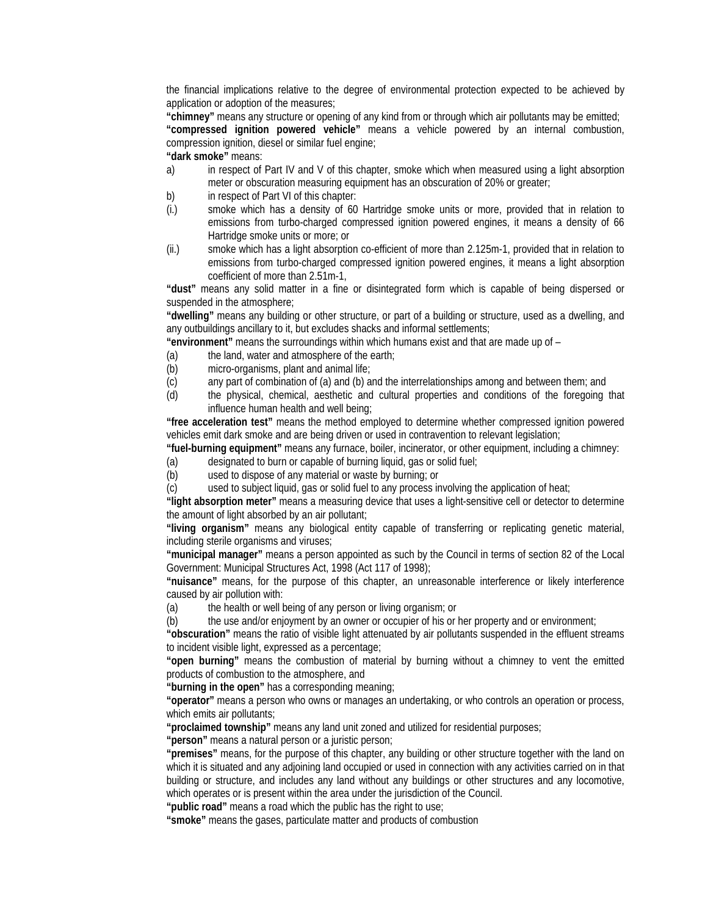the financial implications relative to the degree of environmental protection expected to be achieved by application or adoption of the measures;

**"chimney"** means any structure or opening of any kind from or through which air pollutants may be emitted; **"compressed ignition powered vehicle"** means a vehicle powered by an internal combustion, compression ignition, diesel or similar fuel engine;

**"dark smoke"** means:

- a) in respect of Part IV and V of this chapter, smoke which when measured using a light absorption meter or obscuration measuring equipment has an obscuration of 20% or greater;
- b) in respect of Part VI of this chapter:
- (i.) smoke which has a density of 60 Hartridge smoke units or more, provided that in relation to emissions from turbo-charged compressed ignition powered engines, it means a density of 66 Hartridge smoke units or more; or
- (ii.) smoke which has a light absorption co-efficient of more than 2.125m-1, provided that in relation to emissions from turbo-charged compressed ignition powered engines, it means a light absorption coefficient of more than 2.51m-1,

**"dust"** means any solid matter in a fine or disintegrated form which is capable of being dispersed or suspended in the atmosphere;

**"dwelling"** means any building or other structure, or part of a building or structure, used as a dwelling, and any outbuildings ancillary to it, but excludes shacks and informal settlements;

**"environment"** means the surroundings within which humans exist and that are made up of –

- (a) the land, water and atmosphere of the earth;
- (b) micro-organisms, plant and animal life;
- (c) any part of combination of (a) and (b) and the interrelationships among and between them; and
- (d) the physical, chemical, aesthetic and cultural properties and conditions of the foregoing that influence human health and well being;

**"free acceleration test"** means the method employed to determine whether compressed ignition powered vehicles emit dark smoke and are being driven or used in contravention to relevant legislation;

**"fuel-burning equipment"** means any furnace, boiler, incinerator, or other equipment, including a chimney:

(a) designated to burn or capable of burning liquid, gas or solid fuel;

(b) used to dispose of any material or waste by burning; or

(c) used to subject liquid, gas or solid fuel to any process involving the application of heat;

**"light absorption meter"** means a measuring device that uses a light-sensitive cell or detector to determine the amount of light absorbed by an air pollutant;

**"living organism"** means any biological entity capable of transferring or replicating genetic material, including sterile organisms and viruses;

**"municipal manager"** means a person appointed as such by the Council in terms of section 82 of the Local Government: Municipal Structures Act, 1998 (Act 117 of 1998);

**"nuisance"** means, for the purpose of this chapter, an unreasonable interference or likely interference caused by air pollution with:

(a) the health or well being of any person or living organism; or

(b) the use and/or enjoyment by an owner or occupier of his or her property and or environment;

**"obscuration"** means the ratio of visible light attenuated by air pollutants suspended in the effluent streams to incident visible light, expressed as a percentage;

**"open burning"** means the combustion of material by burning without a chimney to vent the emitted products of combustion to the atmosphere, and

**"burning in the open"** has a corresponding meaning;

**"operator"** means a person who owns or manages an undertaking, or who controls an operation or process, which emits air pollutants;

**"proclaimed township"** means any land unit zoned and utilized for residential purposes;

**"person"** means a natural person or a juristic person;

**"premises"** means, for the purpose of this chapter, any building or other structure together with the land on which it is situated and any adjoining land occupied or used in connection with any activities carried on in that building or structure, and includes any land without any buildings or other structures and any locomotive, which operates or is present within the area under the jurisdiction of the Council.

**"public road"** means a road which the public has the right to use;

**"smoke"** means the gases, particulate matter and products of combustion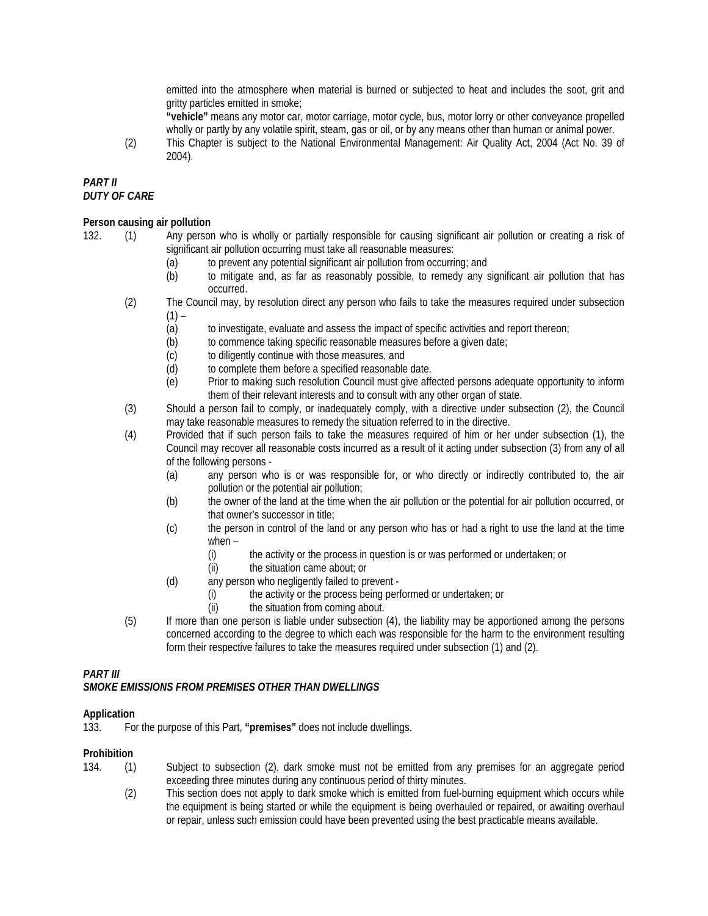emitted into the atmosphere when material is burned or subjected to heat and includes the soot, grit and gritty particles emitted in smoke;

**"vehicle"** means any motor car, motor carriage, motor cycle, bus, motor lorry or other conveyance propelled wholly or partly by any volatile spirit, steam, gas or oil, or by any means other than human or animal power.

(2) This Chapter is subject to the National Environmental Management: Air Quality Act, 2004 (Act No. 39 of 2004).

# *PART II DUTY OF CARE*

## **Person causing air pollution**

- 132. (1) Any person who is wholly or partially responsible for causing significant air pollution or creating a risk of significant air pollution occurring must take all reasonable measures:
	- (a) to prevent any potential significant air pollution from occurring; and<br>(b) to mitigate and, as far as reasonably possible, to remedy any s
	- to mitigate and, as far as reasonably possible, to remedy any significant air pollution that has occurred.
	- (2) The Council may, by resolution direct any person who fails to take the measures required under subsection  $(1) -$ 
		- (a) to investigate, evaluate and assess the impact of specific activities and report thereon;
		- (b) to commence taking specific reasonable measures before a given date;
		- (c) to diligently continue with those measures, and
		- (d) to complete them before a specified reasonable date.
		- (e) Prior to making such resolution Council must give affected persons adequate opportunity to inform them of their relevant interests and to consult with any other organ of state.
	- (3) Should a person fail to comply, or inadequately comply, with a directive under subsection (2), the Council may take reasonable measures to remedy the situation referred to in the directive.
	- (4) Provided that if such person fails to take the measures required of him or her under subsection (1), the Council may recover all reasonable costs incurred as a result of it acting under subsection (3) from any of all of the following persons -
		- (a) any person who is or was responsible for, or who directly or indirectly contributed to, the air pollution or the potential air pollution;
		- (b) the owner of the land at the time when the air pollution or the potential for air pollution occurred, or that owner's successor in title;
		- (c) the person in control of the land or any person who has or had a right to use the land at the time when  $-$ 
			- (i) the activity or the process in question is or was performed or undertaken; or
			- (ii) the situation came about; or
		- (d) any person who negligently failed to prevent
			- (i) the activity or the process being performed or undertaken; or
			- (ii) the situation from coming about.
	- (5) If more than one person is liable under subsection (4), the liability may be apportioned among the persons concerned according to the degree to which each was responsible for the harm to the environment resulting form their respective failures to take the measures required under subsection (1) and (2).

### *PART III*

### *SMOKE EMISSIONS FROM PREMISES OTHER THAN DWELLINGS*

### **Application**

133. For the purpose of this Part, **"premises"** does not include dwellings.

### **Prohibition**

- 134. (1) Subject to subsection (2), dark smoke must not be emitted from any premises for an aggregate period exceeding three minutes during any continuous period of thirty minutes.
	- (2) This section does not apply to dark smoke which is emitted from fuel-burning equipment which occurs while the equipment is being started or while the equipment is being overhauled or repaired, or awaiting overhaul or repair, unless such emission could have been prevented using the best practicable means available.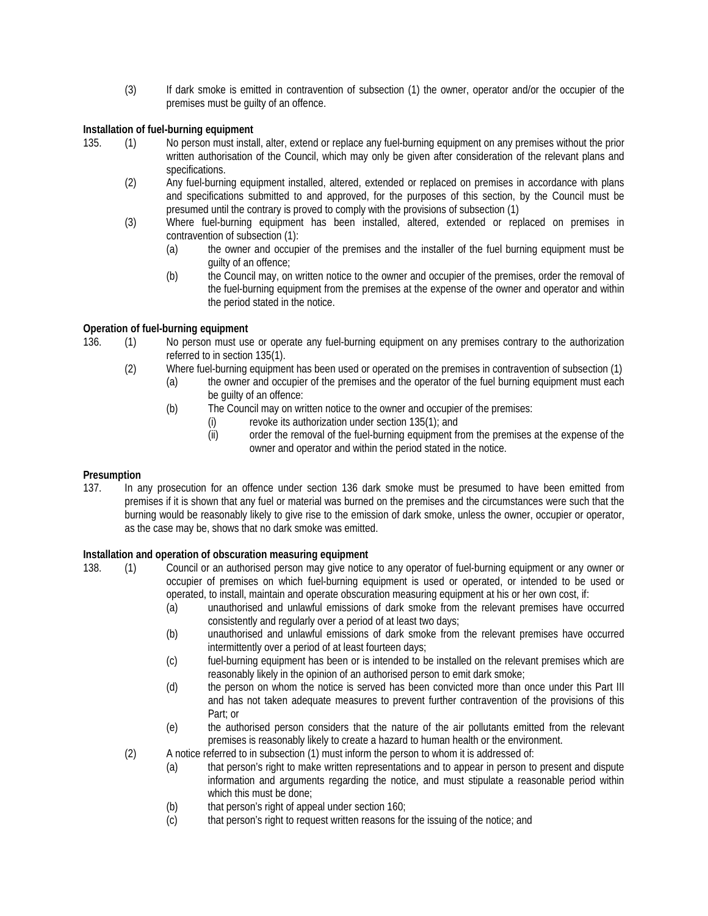(3) If dark smoke is emitted in contravention of subsection (1) the owner, operator and/or the occupier of the premises must be guilty of an offence.

# **Installation of fuel-burning equipment**

- 135. (1) No person must install, alter, extend or replace any fuel-burning equipment on any premises without the prior written authorisation of the Council, which may only be given after consideration of the relevant plans and specifications.
	- (2) Any fuel-burning equipment installed, altered, extended or replaced on premises in accordance with plans and specifications submitted to and approved, for the purposes of this section, by the Council must be presumed until the contrary is proved to comply with the provisions of subsection (1)
	- (3) Where fuel-burning equipment has been installed, altered, extended or replaced on premises in contravention of subsection (1):
		- (a) the owner and occupier of the premises and the installer of the fuel burning equipment must be guilty of an offence;
		- (b) the Council may, on written notice to the owner and occupier of the premises, order the removal of the fuel-burning equipment from the premises at the expense of the owner and operator and within the period stated in the notice.

### **Operation of fuel-burning equipment**

- 136. (1) No person must use or operate any fuel-burning equipment on any premises contrary to the authorization referred to in section 135(1).
	- (2) Where fuel-burning equipment has been used or operated on the premises in contravention of subsection (1)
		- (a) the owner and occupier of the premises and the operator of the fuel burning equipment must each be guilty of an offence:
		- (b) The Council may on written notice to the owner and occupier of the premises:
			- (i) revoke its authorization under section  $135(1)$ ; and
			- (ii) order the removal of the fuel-burning equipment from the premises at the expense of the owner and operator and within the period stated in the notice.

### **Presumption**

137. In any prosecution for an offence under section 136 dark smoke must be presumed to have been emitted from premises if it is shown that any fuel or material was burned on the premises and the circumstances were such that the burning would be reasonably likely to give rise to the emission of dark smoke, unless the owner, occupier or operator, as the case may be, shows that no dark smoke was emitted.

### **Installation and operation of obscuration measuring equipment**

- 138. (1) Council or an authorised person may give notice to any operator of fuel-burning equipment or any owner or occupier of premises on which fuel-burning equipment is used or operated, or intended to be used or operated, to install, maintain and operate obscuration measuring equipment at his or her own cost, if:
	- (a) unauthorised and unlawful emissions of dark smoke from the relevant premises have occurred consistently and regularly over a period of at least two days;
	- (b) unauthorised and unlawful emissions of dark smoke from the relevant premises have occurred intermittently over a period of at least fourteen days;
	- (c) fuel-burning equipment has been or is intended to be installed on the relevant premises which are reasonably likely in the opinion of an authorised person to emit dark smoke;
	- (d) the person on whom the notice is served has been convicted more than once under this Part III and has not taken adequate measures to prevent further contravention of the provisions of this Part; or
	- (e) the authorised person considers that the nature of the air pollutants emitted from the relevant premises is reasonably likely to create a hazard to human health or the environment.
	- (2) A notice referred to in subsection (1) must inform the person to whom it is addressed of:
		- (a) that person's right to make written representations and to appear in person to present and dispute information and arguments regarding the notice, and must stipulate a reasonable period within which this must be done;
		- (b) that person's right of appeal under section 160;
		- (c) that person's right to request written reasons for the issuing of the notice; and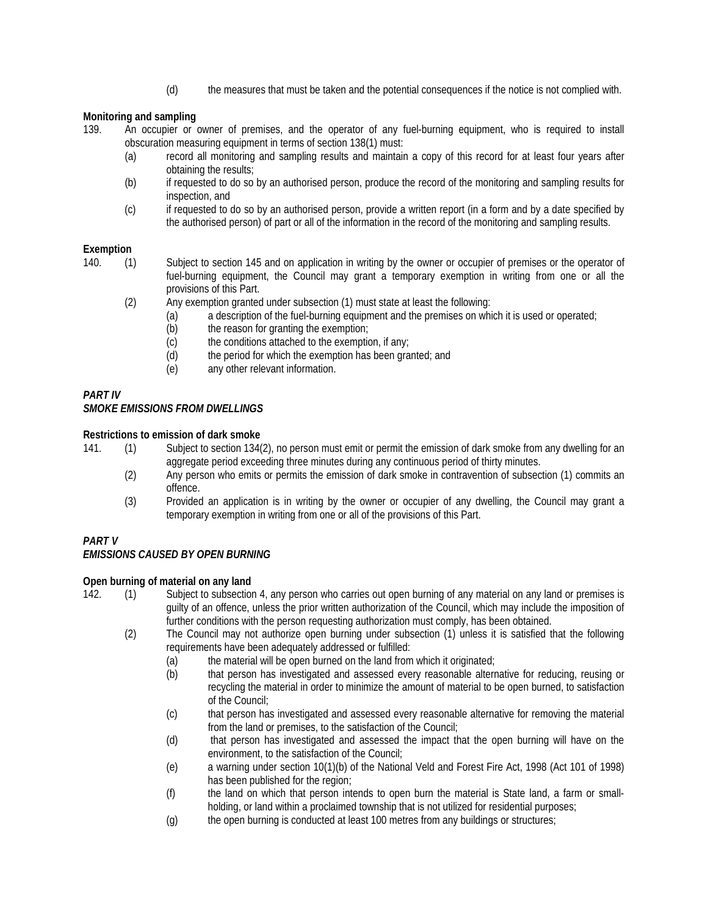(d) the measures that must be taken and the potential consequences if the notice is not complied with.

### **Monitoring and sampling**

- 139. An occupier or owner of premises, and the operator of any fuel-burning equipment, who is required to install obscuration measuring equipment in terms of section 138(1) must:
	- (a) record all monitoring and sampling results and maintain a copy of this record for at least four years after obtaining the results;
	- (b) if requested to do so by an authorised person, produce the record of the monitoring and sampling results for inspection, and
	- (c) if requested to do so by an authorised person, provide a written report (in a form and by a date specified by the authorised person) of part or all of the information in the record of the monitoring and sampling results.

### **Exemption**

- 140. (1) Subject to section 145 and on application in writing by the owner or occupier of premises or the operator of fuel-burning equipment, the Council may grant a temporary exemption in writing from one or all the provisions of this Part.
	- (2) Any exemption granted under subsection (1) must state at least the following:
		- (a) a description of the fuel-burning equipment and the premises on which it is used or operated;
			- (b) the reason for granting the exemption;
			- (c) the conditions attached to the exemption, if any;
			- (d) the period for which the exemption has been granted; and
			- (e) any other relevant information.

### *PART IV SMOKE EMISSIONS FROM DWELLINGS*

### **Restrictions to emission of dark smoke**

- 141. (1) Subject to section 134(2), no person must emit or permit the emission of dark smoke from any dwelling for an aggregate period exceeding three minutes during any continuous period of thirty minutes.
	- (2) Any person who emits or permits the emission of dark smoke in contravention of subsection (1) commits an offence.
	- (3) Provided an application is in writing by the owner or occupier of any dwelling, the Council may grant a temporary exemption in writing from one or all of the provisions of this Part.

### *PART V*

### *EMISSIONS CAUSED BY OPEN BURNING*

### **Open burning of material on any land**

- 142. (1) Subject to subsection 4, any person who carries out open burning of any material on any land or premises is guilty of an offence, unless the prior written authorization of the Council, which may include the imposition of further conditions with the person requesting authorization must comply, has been obtained.
	- (2) The Council may not authorize open burning under subsection (1) unless it is satisfied that the following requirements have been adequately addressed or fulfilled:
		- (a) the material will be open burned on the land from which it originated;
		- (b) that person has investigated and assessed every reasonable alternative for reducing, reusing or recycling the material in order to minimize the amount of material to be open burned, to satisfaction of the Council;
		- (c) that person has investigated and assessed every reasonable alternative for removing the material from the land or premises, to the satisfaction of the Council;
		- (d) that person has investigated and assessed the impact that the open burning will have on the environment, to the satisfaction of the Council;
		- (e) a warning under section 10(1)(b) of the National Veld and Forest Fire Act, 1998 (Act 101 of 1998) has been published for the region;
		- (f) the land on which that person intends to open burn the material is State land, a farm or smallholding, or land within a proclaimed township that is not utilized for residential purposes;
		- (g) the open burning is conducted at least 100 metres from any buildings or structures;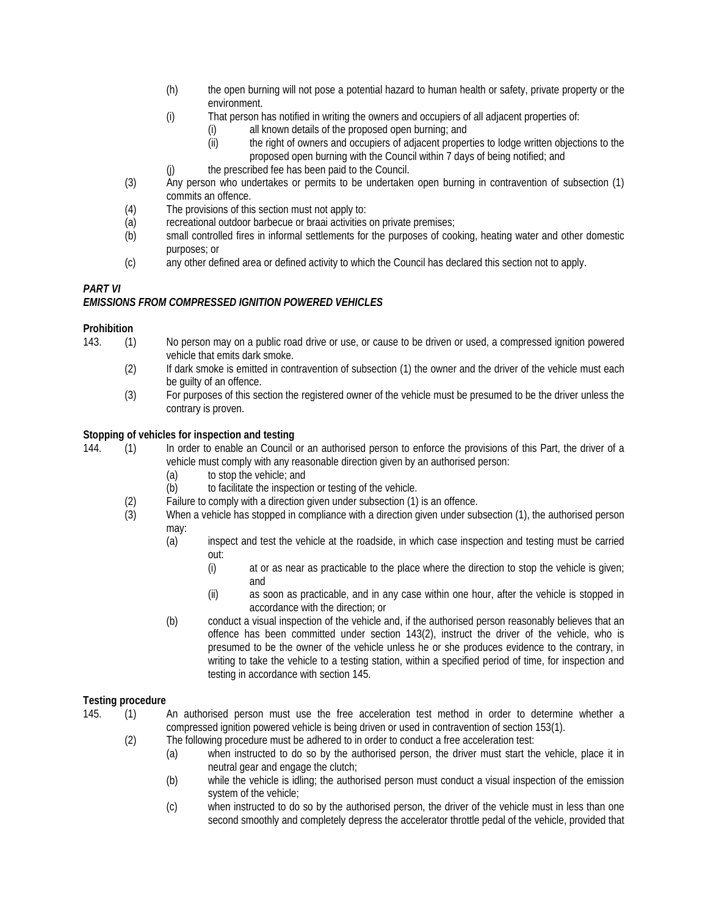- (h) the open burning will not pose a potential hazard to human health or safety, private property or the environment.
- (i) That person has notified in writing the owners and occupiers of all adjacent properties of:
	- (i) all known details of the proposed open burning; and
	- (ii) the right of owners and occupiers of adjacent properties to lodge written objections to the proposed open burning with the Council within 7 days of being notified; and
- (j) the prescribed fee has been paid to the Council.
- (3) Any person who undertakes or permits to be undertaken open burning in contravention of subsection (1) commits an offence.
- (4) The provisions of this section must not apply to:
- (a) recreational outdoor barbecue or braai activities on private premises;
- (b) small controlled fires in informal settlements for the purposes of cooking, heating water and other domestic purposes; or
- (c) any other defined area or defined activity to which the Council has declared this section not to apply.

# *PART VI*

# *EMISSIONS FROM COMPRESSED IGNITION POWERED VEHICLES*

### **Prohibition**

- 143. (1) No person may on a public road drive or use, or cause to be driven or used, a compressed ignition powered vehicle that emits dark smoke.
	- (2) If dark smoke is emitted in contravention of subsection (1) the owner and the driver of the vehicle must each be guilty of an offence.
	- (3) For purposes of this section the registered owner of the vehicle must be presumed to be the driver unless the contrary is proven.

### **Stopping of vehicles for inspection and testing**

- 144. (1) In order to enable an Council or an authorised person to enforce the provisions of this Part, the driver of a vehicle must comply with any reasonable direction given by an authorised person:
	- (a) to stop the vehicle; and
	- (b) to facilitate the inspection or testing of the vehicle.
	- (2) Failure to comply with a direction given under subsection (1) is an offence.
	- (3) When a vehicle has stopped in compliance with a direction given under subsection (1), the authorised person may:<br>(a)
		- inspect and test the vehicle at the roadside, in which case inspection and testing must be carried out:
			- (i) at or as near as practicable to the place where the direction to stop the vehicle is given; and
			- (ii) as soon as practicable, and in any case within one hour, after the vehicle is stopped in accordance with the direction; or
		- (b) conduct a visual inspection of the vehicle and, if the authorised person reasonably believes that an offence has been committed under section 143(2), instruct the driver of the vehicle, who is presumed to be the owner of the vehicle unless he or she produces evidence to the contrary, in writing to take the vehicle to a testing station, within a specified period of time, for inspection and testing in accordance with section 145.

# **Testing procedure**

- 145. (1) An authorised person must use the free acceleration test method in order to determine whether a compressed ignition powered vehicle is being driven or used in contravention of section 153(1).
	- (2) The following procedure must be adhered to in order to conduct a free acceleration test:
		- (a) when instructed to do so by the authorised person, the driver must start the vehicle, place it in neutral gear and engage the clutch;
		- (b) while the vehicle is idling; the authorised person must conduct a visual inspection of the emission system of the vehicle;
		- (c) when instructed to do so by the authorised person, the driver of the vehicle must in less than one second smoothly and completely depress the accelerator throttle pedal of the vehicle, provided that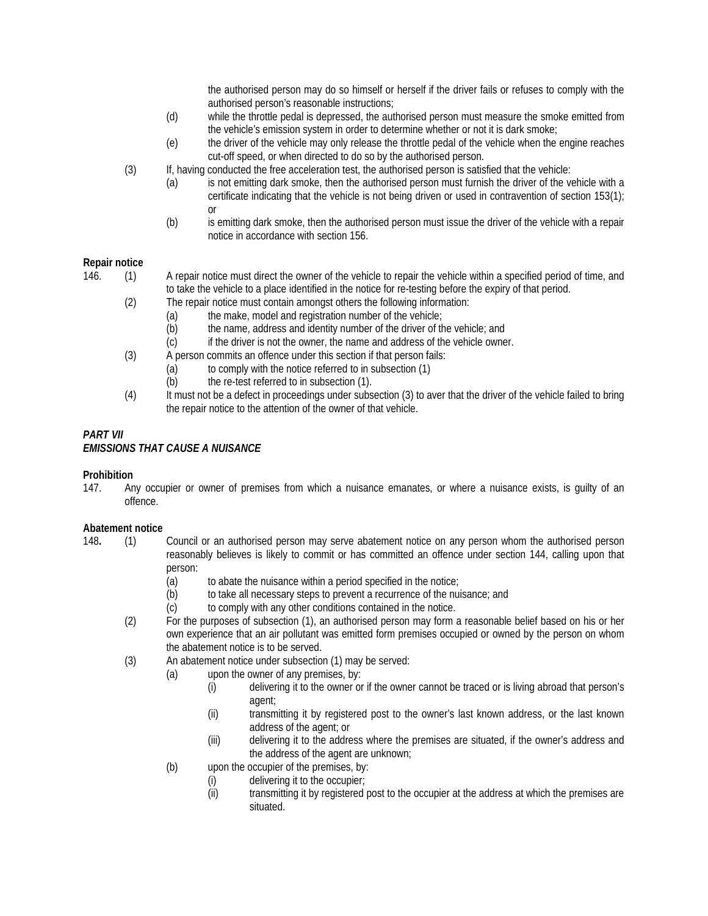the authorised person may do so himself or herself if the driver fails or refuses to comply with the authorised person's reasonable instructions;

- (d) while the throttle pedal is depressed, the authorised person must measure the smoke emitted from the vehicle's emission system in order to determine whether or not it is dark smoke;
- (e) the driver of the vehicle may only release the throttle pedal of the vehicle when the engine reaches cut-off speed, or when directed to do so by the authorised person.
- (3) If, having conducted the free acceleration test, the authorised person is satisfied that the vehicle:
	- (a) is not emitting dark smoke, then the authorised person must furnish the driver of the vehicle with a certificate indicating that the vehicle is not being driven or used in contravention of section 153(1); or
	- (b) is emitting dark smoke, then the authorised person must issue the driver of the vehicle with a repair notice in accordance with section 156.

# **Repair notice**<br>146. (1)

- 146. (1) A repair notice must direct the owner of the vehicle to repair the vehicle within a specified period of time, and to take the vehicle to a place identified in the notice for re-testing before the expiry of that period.
	- (2) The repair notice must contain amongst others the following information:
		- (a) the make, model and registration number of the vehicle;
			- (b) the name, address and identity number of the driver of the vehicle; and
		- (c) if the driver is not the owner, the name and address of the vehicle owner.
	- (3) A person commits an offence under this section if that person fails:
		- (a) to comply with the notice referred to in subsection (1)
		- (b) the re-test referred to in subsection (1).
	- (4) It must not be a defect in proceedings under subsection (3) to aver that the driver of the vehicle failed to bring the repair notice to the attention of the owner of that vehicle.

# *PART VII*

# *EMISSIONS THAT CAUSE A NUISANCE*

### **Prohibition**

147. Any occupier or owner of premises from which a nuisance emanates, or where a nuisance exists, is guilty of an offence.

# Abatement notice<br>148. (1)

- 148**.** (1) Council or an authorised person may serve abatement notice on any person whom the authorised person reasonably believes is likely to commit or has committed an offence under section 144, calling upon that person:
	- (a) to abate the nuisance within a period specified in the notice;
	- (b) to take all necessary steps to prevent a recurrence of the nuisance; and
	- (c) to comply with any other conditions contained in the notice.
	- (2) For the purposes of subsection (1), an authorised person may form a reasonable belief based on his or her own experience that an air pollutant was emitted form premises occupied or owned by the person on whom the abatement notice is to be served.
	- (3) An abatement notice under subsection (1) may be served:
		- (a) upon the owner of any premises, by:
			- (i) delivering it to the owner or if the owner cannot be traced or is living abroad that person's agent;
			- (ii) transmitting it by registered post to the owner's last known address, or the last known address of the agent; or
			- (iii) delivering it to the address where the premises are situated, if the owner's address and the address of the agent are unknown;
		- (b) upon the occupier of the premises, by:
			- (i) delivering it to the occupier;
			- (ii) transmitting it by registered post to the occupier at the address at which the premises are situated.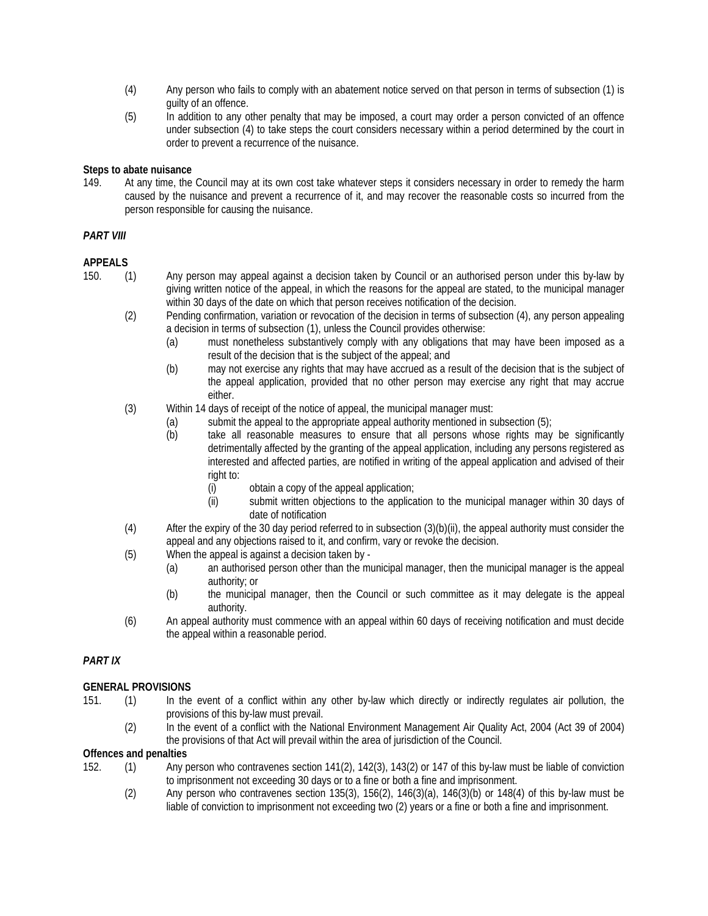- (4) Any person who fails to comply with an abatement notice served on that person in terms of subsection (1) is guilty of an offence.
- (5) In addition to any other penalty that may be imposed, a court may order a person convicted of an offence under subsection (4) to take steps the court considers necessary within a period determined by the court in order to prevent a recurrence of the nuisance.

## **Steps to abate nuisance**

149. At any time, the Council may at its own cost take whatever steps it considers necessary in order to remedy the harm caused by the nuisance and prevent a recurrence of it, and may recover the reasonable costs so incurred from the person responsible for causing the nuisance.

### *PART VIII*

# **APPEALS**

- 150. (1) Any person may appeal against a decision taken by Council or an authorised person under this by-law by giving written notice of the appeal, in which the reasons for the appeal are stated, to the municipal manager within 30 days of the date on which that person receives notification of the decision.
	- (2) Pending confirmation, variation or revocation of the decision in terms of subsection (4), any person appealing a decision in terms of subsection (1), unless the Council provides otherwise:
		- (a) must nonetheless substantively comply with any obligations that may have been imposed as a result of the decision that is the subject of the appeal; and
		- (b) may not exercise any rights that may have accrued as a result of the decision that is the subject of the appeal application, provided that no other person may exercise any right that may accrue either.
	- (3) Within 14 days of receipt of the notice of appeal, the municipal manager must:
		- (a) submit the appeal to the appropriate appeal authority mentioned in subsection  $(5)$ :
		- (b) take all reasonable measures to ensure that all persons whose rights may be significantly detrimentally affected by the granting of the appeal application, including any persons registered as interested and affected parties, are notified in writing of the appeal application and advised of their right to:
			- (i) obtain a copy of the appeal application;
			- (ii) submit written objections to the application to the municipal manager within 30 days of date of notification
	- (4) After the expiry of the 30 day period referred to in subsection (3)(b)(ii), the appeal authority must consider the appeal and any objections raised to it, and confirm, vary or revoke the decision.
	- (5) When the appeal is against a decision taken by
		- (a) an authorised person other than the municipal manager, then the municipal manager is the appeal authority; or
		- (b) the municipal manager, then the Council or such committee as it may delegate is the appeal authority.
	- (6) An appeal authority must commence with an appeal within 60 days of receiving notification and must decide the appeal within a reasonable period.

### *PART IX*

# **GENERAL PROVISIONS**

- 151. (1) In the event of a conflict within any other by-law which directly or indirectly regulates air pollution, the provisions of this by-law must prevail.
	- (2) In the event of a conflict with the National Environment Management Air Quality Act, 2004 (Act 39 of 2004) the provisions of that Act will prevail within the area of jurisdiction of the Council.

### **Offences and penalties**

- 152. (1) Any person who contravenes section 141(2), 142(3), 143(2) or 147 of this by-law must be liable of conviction to imprisonment not exceeding 30 days or to a fine or both a fine and imprisonment.
	- (2) Any person who contravenes section 135(3), 156(2), 146(3)(a), 146(3)(b) or 148(4) of this by-law must be liable of conviction to imprisonment not exceeding two (2) years or a fine or both a fine and imprisonment.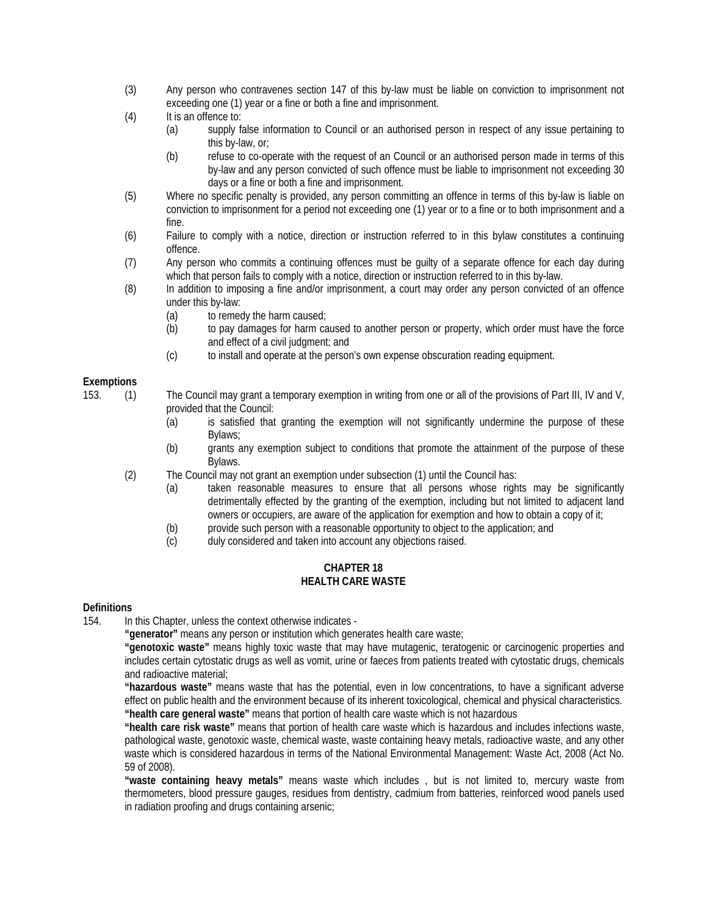- (3) Any person who contravenes section 147 of this by-law must be liable on conviction to imprisonment not exceeding one (1) year or a fine or both a fine and imprisonment.
- (4) It is an offence to:
	- (a) supply false information to Council or an authorised person in respect of any issue pertaining to this by-law, or;
	- (b) refuse to co-operate with the request of an Council or an authorised person made in terms of this by-law and any person convicted of such offence must be liable to imprisonment not exceeding 30 days or a fine or both a fine and imprisonment.
- (5) Where no specific penalty is provided, any person committing an offence in terms of this by-law is liable on conviction to imprisonment for a period not exceeding one (1) year or to a fine or to both imprisonment and a fine.
- (6) Failure to comply with a notice, direction or instruction referred to in this bylaw constitutes a continuing offence.
- (7) Any person who commits a continuing offences must be guilty of a separate offence for each day during which that person fails to comply with a notice, direction or instruction referred to in this by-law.
- (8) In addition to imposing a fine and/or imprisonment, a court may order any person convicted of an offence under this by-law:
	- (a) to remedy the harm caused;
	- (b) to pay damages for harm caused to another person or property, which order must have the force and effect of a civil judgment; and
	- (c) to install and operate at the person's own expense obscuration reading equipment.

## **Exemptions**

- 153. (1) The Council may grant a temporary exemption in writing from one or all of the provisions of Part III, IV and V, provided that the Council:
	- (a) is satisfied that granting the exemption will not significantly undermine the purpose of these Bylaws;
	- (b) grants any exemption subject to conditions that promote the attainment of the purpose of these Bylaws.
	- (2) The Council may not grant an exemption under subsection (1) until the Council has:
		- (a) taken reasonable measures to ensure that all persons whose rights may be significantly detrimentally effected by the granting of the exemption, including but not limited to adjacent land owners or occupiers, are aware of the application for exemption and how to obtain a copy of it;
		- (b) provide such person with a reasonable opportunity to object to the application; and (c) duly considered and taken into account any objections raised.
		- duly considered and taken into account any objections raised.

### **CHAPTER 18 HEALTH CARE WASTE**

# **Definitions**

154. In this Chapter, unless the context otherwise indicates -

**"generator"** means any person or institution which generates health care waste;

**"genotoxic waste"** means highly toxic waste that may have mutagenic, teratogenic or carcinogenic properties and includes certain cytostatic drugs as well as vomit, urine or faeces from patients treated with cytostatic drugs, chemicals and radioactive material;

**"hazardous waste"** means waste that has the potential, even in low concentrations, to have a significant adverse effect on public health and the environment because of its inherent toxicological, chemical and physical characteristics. **"health care general waste"** means that portion of health care waste which is not hazardous

**"health care risk waste"** means that portion of health care waste which is hazardous and includes infections waste, pathological waste, genotoxic waste, chemical waste, waste containing heavy metals, radioactive waste, and any other waste which is considered hazardous in terms of the National Environmental Management: Waste Act, 2008 (Act No. 59 of 2008).

**"waste containing heavy metals"** means waste which includes , but is not limited to, mercury waste from thermometers, blood pressure gauges, residues from dentistry, cadmium from batteries, reinforced wood panels used in radiation proofing and drugs containing arsenic;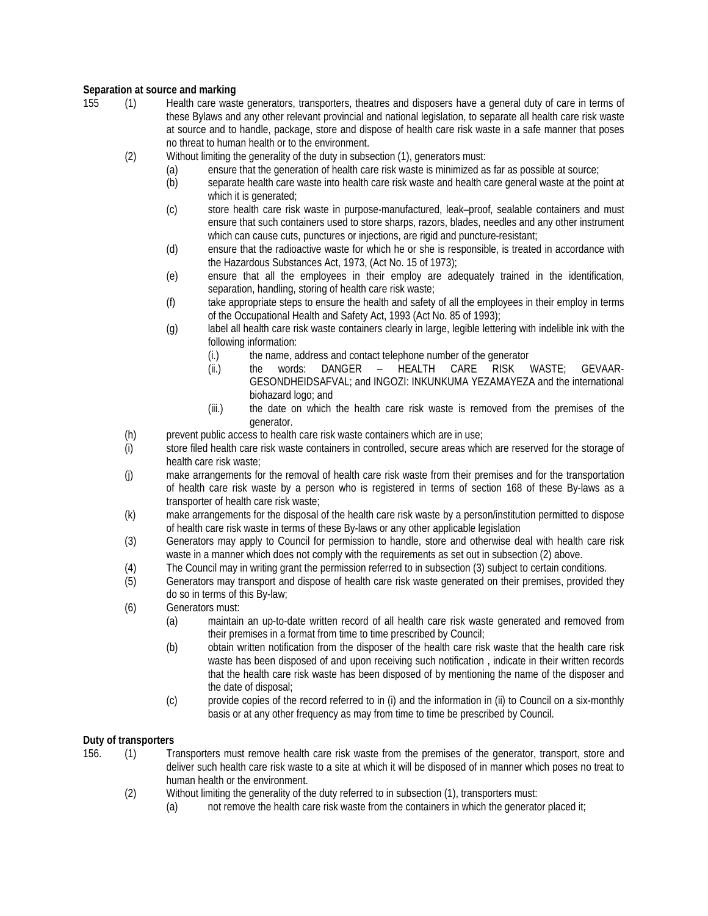## **Separation at source and marking**

- 155 (1) Health care waste generators, transporters, theatres and disposers have a general duty of care in terms of these Bylaws and any other relevant provincial and national legislation, to separate all health care risk waste at source and to handle, package, store and dispose of health care risk waste in a safe manner that poses no threat to human health or to the environment.
	- (2) Without limiting the generality of the duty in subsection (1), generators must:
		- (a) ensure that the generation of health care risk waste is minimized as far as possible at source;
		- (b) separate health care waste into health care risk waste and health care general waste at the point at which it is generated;
		- (c) store health care risk waste in purpose-manufactured, leak–proof, sealable containers and must ensure that such containers used to store sharps, razors, blades, needles and any other instrument which can cause cuts, punctures or injections, are rigid and puncture-resistant;
		- (d) ensure that the radioactive waste for which he or she is responsible, is treated in accordance with the Hazardous Substances Act, 1973, (Act No. 15 of 1973);
		- (e) ensure that all the employees in their employ are adequately trained in the identification, separation, handling, storing of health care risk waste;
		- (f) take appropriate steps to ensure the health and safety of all the employees in their employ in terms of the Occupational Health and Safety Act, 1993 (Act No. 85 of 1993);
		- (g) label all health care risk waste containers clearly in large, legible lettering with indelible ink with the following information:
			- (i.) the name, address and contact telephone number of the generator
			- (ii.) the words: DANGER HEALTH CARE RISK WASTE; GEVAAR-GESONDHEIDSAFVAL; and INGOZI: INKUNKUMA YEZAMAYEZA and the international biohazard logo; and
			- (iii.) the date on which the health care risk waste is removed from the premises of the generator.
	- (h) prevent public access to health care risk waste containers which are in use;
	- (i) store filed health care risk waste containers in controlled, secure areas which are reserved for the storage of health care risk waste;
	- (j) make arrangements for the removal of health care risk waste from their premises and for the transportation of health care risk waste by a person who is registered in terms of section 168 of these By-laws as a transporter of health care risk waste;
	- (k) make arrangements for the disposal of the health care risk waste by a person/institution permitted to dispose of health care risk waste in terms of these By-laws or any other applicable legislation
	- (3) Generators may apply to Council for permission to handle, store and otherwise deal with health care risk waste in a manner which does not comply with the requirements as set out in subsection (2) above.
	- (4) The Council may in writing grant the permission referred to in subsection (3) subject to certain conditions.
	- (5) Generators may transport and dispose of health care risk waste generated on their premises, provided they do so in terms of this By-law;
	- (6) Generators must:
		- (a) maintain an up-to-date written record of all health care risk waste generated and removed from their premises in a format from time to time prescribed by Council;
		- (b) obtain written notification from the disposer of the health care risk waste that the health care risk waste has been disposed of and upon receiving such notification , indicate in their written records that the health care risk waste has been disposed of by mentioning the name of the disposer and the date of disposal;
		- (c) provide copies of the record referred to in (i) and the information in (ii) to Council on a six-monthly basis or at any other frequency as may from time to time be prescribed by Council.

### **Duty of transporters**

- 156. (1) Transporters must remove health care risk waste from the premises of the generator, transport, store and deliver such health care risk waste to a site at which it will be disposed of in manner which poses no treat to human health or the environment.
	- (2) Without limiting the generality of the duty referred to in subsection (1), transporters must:
		- (a) not remove the health care risk waste from the containers in which the generator placed it;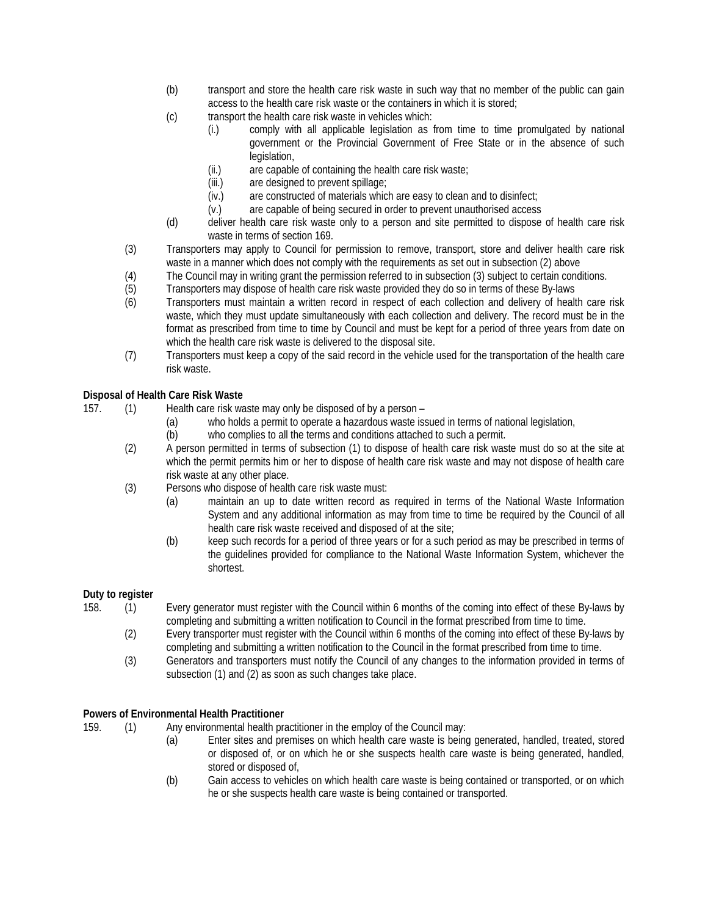- (b) transport and store the health care risk waste in such way that no member of the public can gain access to the health care risk waste or the containers in which it is stored;
- (c) transport the health care risk waste in vehicles which:
	- (i.) comply with all applicable legislation as from time to time promulgated by national government or the Provincial Government of Free State or in the absence of such legislation,
	- (ii.) are capable of containing the health care risk waste;
	- (iii.) are designed to prevent spillage;
	- (iv.) are constructed of materials which are easy to clean and to disinfect;
	- (v.) are capable of being secured in order to prevent unauthorised access
- (d) deliver health care risk waste only to a person and site permitted to dispose of health care risk waste in terms of section 169.
- (3) Transporters may apply to Council for permission to remove, transport, store and deliver health care risk waste in a manner which does not comply with the requirements as set out in subsection (2) above
- (4) The Council may in writing grant the permission referred to in subsection (3) subject to certain conditions.
- (5) Transporters may dispose of health care risk waste provided they do so in terms of these By-laws
- (6) Transporters must maintain a written record in respect of each collection and delivery of health care risk waste, which they must update simultaneously with each collection and delivery. The record must be in the format as prescribed from time to time by Council and must be kept for a period of three years from date on which the health care risk waste is delivered to the disposal site.
- (7) Transporters must keep a copy of the said record in the vehicle used for the transportation of the health care risk waste.

# **Disposal of Health Care Risk Waste**

- 157. (1) Health care risk waste may only be disposed of by a person
	- (a) who holds a permit to operate a hazardous waste issued in terms of national legislation,
	- (b) who complies to all the terms and conditions attached to such a permit.
	- (2) A person permitted in terms of subsection (1) to dispose of health care risk waste must do so at the site at which the permit permits him or her to dispose of health care risk waste and may not dispose of health care risk waste at any other place.
	- (3) Persons who dispose of health care risk waste must:
		- (a) maintain an up to date written record as required in terms of the National Waste Information System and any additional information as may from time to time be required by the Council of all health care risk waste received and disposed of at the site;
		- (b) keep such records for a period of three years or for a such period as may be prescribed in terms of the guidelines provided for compliance to the National Waste Information System, whichever the shortest.

### **Duty to register**

- 158. (1) Every generator must register with the Council within 6 months of the coming into effect of these By-laws by completing and submitting a written notification to Council in the format prescribed from time to time.
	- (2) Every transporter must register with the Council within 6 months of the coming into effect of these By-laws by completing and submitting a written notification to the Council in the format prescribed from time to time.
	- (3) Generators and transporters must notify the Council of any changes to the information provided in terms of subsection (1) and (2) as soon as such changes take place.

### **Powers of Environmental Health Practitioner**

- 159. (1) Any environmental health practitioner in the employ of the Council may:
	- (a) Enter sites and premises on which health care waste is being generated, handled, treated, stored or disposed of, or on which he or she suspects health care waste is being generated, handled, stored or disposed of,
	- (b) Gain access to vehicles on which health care waste is being contained or transported, or on which he or she suspects health care waste is being contained or transported.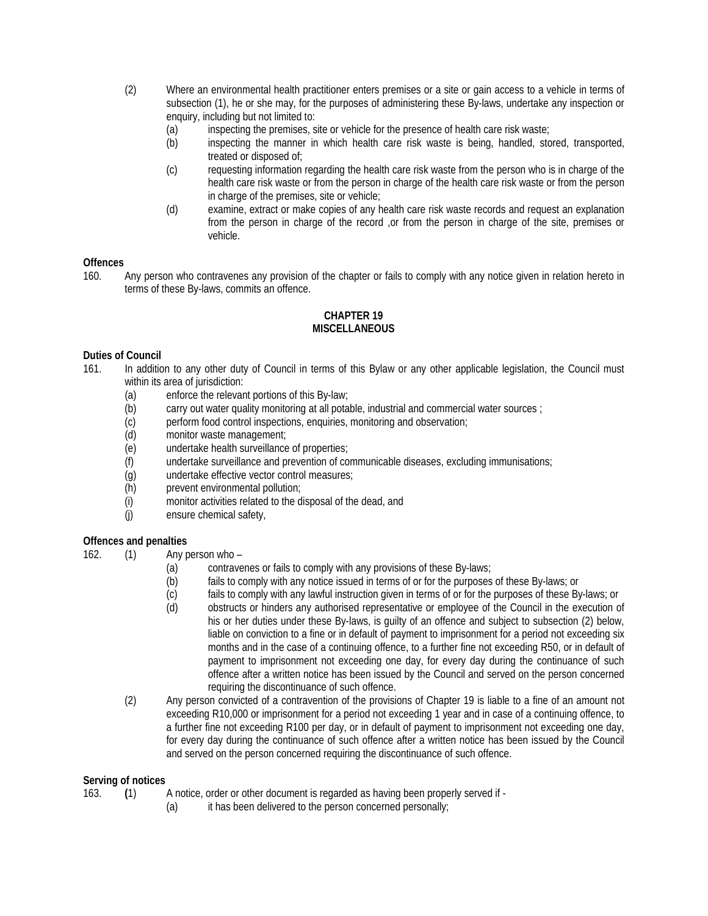- (2) Where an environmental health practitioner enters premises or a site or gain access to a vehicle in terms of subsection (1), he or she may, for the purposes of administering these By-laws, undertake any inspection or enquiry, including but not limited to:
	- (a) inspecting the premises, site or vehicle for the presence of health care risk waste;
	- (b) inspecting the manner in which health care risk waste is being, handled, stored, transported, treated or disposed of;
	- (c) requesting information regarding the health care risk waste from the person who is in charge of the health care risk waste or from the person in charge of the health care risk waste or from the person in charge of the premises, site or vehicle;
	- (d) examine, extract or make copies of any health care risk waste records and request an explanation from the person in charge of the record ,or from the person in charge of the site, premises or vehicle.

## **Offences**

160. Any person who contravenes any provision of the chapter or fails to comply with any notice given in relation hereto in terms of these By-laws, commits an offence.

# **CHAPTER 19 MISCELLANEOUS**

## **Duties of Council**

- 161. In addition to any other duty of Council in terms of this Bylaw or any other applicable legislation, the Council must within its area of jurisdiction:
	- (a) enforce the relevant portions of this By-law;<br>(b) carry out water quality monitoring at all pota
	- carry out water quality monitoring at all potable, industrial and commercial water sources ;
	- (c) perform food control inspections, enquiries, monitoring and observation;
	- (d) monitor waste management;
	- (e) undertake health surveillance of properties;
	- (f) undertake surveillance and prevention of communicable diseases, excluding immunisations;
	- (g) undertake effective vector control measures;
	- (h) prevent environmental pollution;
	- (i) monitor activities related to the disposal of the dead, and
	- (j) ensure chemical safety,

# **Offences and penalties**

- 162. (1) Any person who
	- (a) contravenes or fails to comply with any provisions of these By-laws;
	- (b) fails to comply with any notice issued in terms of or for the purposes of these By-laws; or <br>(c) fails to comply with any lawful instruction given in terms of or for the purposes of these By-
	- fails to comply with any lawful instruction given in terms of or for the purposes of these By-laws; or
	- (d) obstructs or hinders any authorised representative or employee of the Council in the execution of his or her duties under these By-laws, is guilty of an offence and subject to subsection (2) below, liable on conviction to a fine or in default of payment to imprisonment for a period not exceeding six months and in the case of a continuing offence, to a further fine not exceeding R50, or in default of payment to imprisonment not exceeding one day, for every day during the continuance of such offence after a written notice has been issued by the Council and served on the person concerned requiring the discontinuance of such offence.
	- (2) Any person convicted of a contravention of the provisions of Chapter 19 is liable to a fine of an amount not exceeding R10,000 or imprisonment for a period not exceeding 1 year and in case of a continuing offence, to a further fine not exceeding R100 per day, or in default of payment to imprisonment not exceeding one day, for every day during the continuance of such offence after a written notice has been issued by the Council and served on the person concerned requiring the discontinuance of such offence.

### **Serving of notices**

- 163. **(**1) A notice, order or other document is regarded as having been properly served if
	- (a) it has been delivered to the person concerned personally;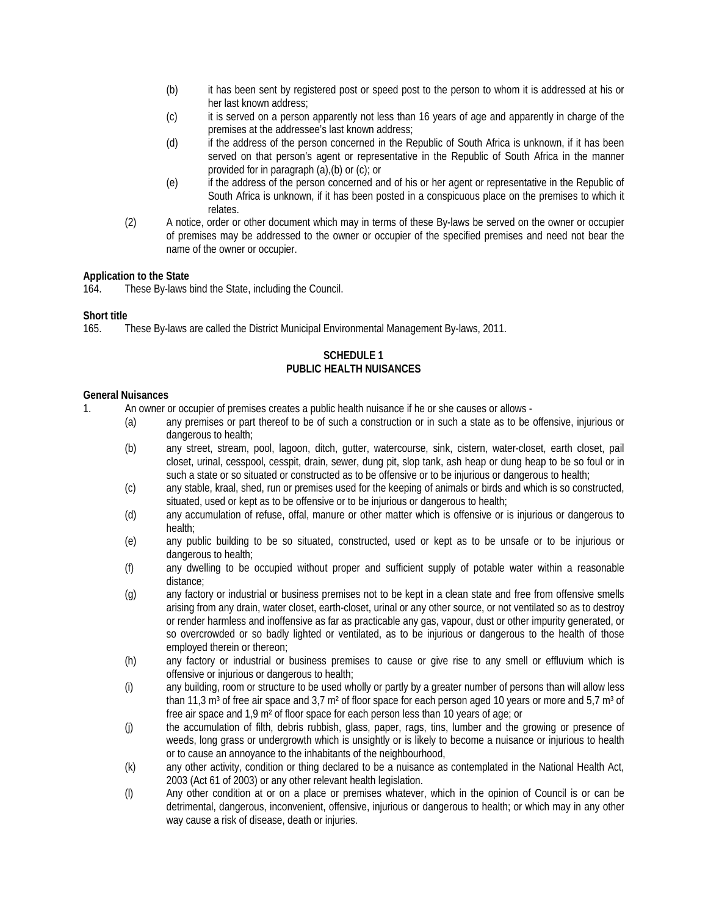- (b) it has been sent by registered post or speed post to the person to whom it is addressed at his or her last known address;
- (c) it is served on a person apparently not less than 16 years of age and apparently in charge of the premises at the addressee's last known address;
- (d) if the address of the person concerned in the Republic of South Africa is unknown, if it has been served on that person's agent or representative in the Republic of South Africa in the manner provided for in paragraph (a),(b) or (c); or
- (e) if the address of the person concerned and of his or her agent or representative in the Republic of South Africa is unknown, if it has been posted in a conspicuous place on the premises to which it relates.
- (2) A notice, order or other document which may in terms of these By-laws be served on the owner or occupier of premises may be addressed to the owner or occupier of the specified premises and need not bear the name of the owner or occupier.

## **Application to the State**

164. These By-laws bind the State, including the Council.

## **Short title**

165. These By-laws are called the District Municipal Environmental Management By-laws, 2011.

# **SCHEDULE 1 PUBLIC HEALTH NUISANCES**

### **General Nuisances**

- 1. An owner or occupier of premises creates a public health nuisance if he or she causes or allows
	- (a) any premises or part thereof to be of such a construction or in such a state as to be offensive, injurious or dangerous to health;
	- (b) any street, stream, pool, lagoon, ditch, gutter, watercourse, sink, cistern, water-closet, earth closet, pail closet, urinal, cesspool, cesspit, drain, sewer, dung pit, slop tank, ash heap or dung heap to be so foul or in such a state or so situated or constructed as to be offensive or to be injurious or dangerous to health;
	- (c) any stable, kraal, shed, run or premises used for the keeping of animals or birds and which is so constructed, situated, used or kept as to be offensive or to be injurious or dangerous to health;
	- (d) any accumulation of refuse, offal, manure or other matter which is offensive or is injurious or dangerous to health;
	- (e) any public building to be so situated, constructed, used or kept as to be unsafe or to be injurious or dangerous to health;
	- (f) any dwelling to be occupied without proper and sufficient supply of potable water within a reasonable distance;
	- (g) any factory or industrial or business premises not to be kept in a clean state and free from offensive smells arising from any drain, water closet, earth-closet, urinal or any other source, or not ventilated so as to destroy or render harmless and inoffensive as far as practicable any gas, vapour, dust or other impurity generated, or so overcrowded or so badly lighted or ventilated, as to be injurious or dangerous to the health of those employed therein or thereon;
	- (h) any factory or industrial or business premises to cause or give rise to any smell or effluvium which is offensive or injurious or dangerous to health;
	- (i) any building, room or structure to be used wholly or partly by a greater number of persons than will allow less than 11,3 m<sup>3</sup> of free air space and 3,7 m<sup>2</sup> of floor space for each person aged 10 years or more and 5,7 m<sup>3</sup> of free air space and 1,9 m² of floor space for each person less than 10 years of age; or
	- (j) the accumulation of filth, debris rubbish, glass, paper, rags, tins, lumber and the growing or presence of weeds, long grass or undergrowth which is unsightly or is likely to become a nuisance or injurious to health or to cause an annoyance to the inhabitants of the neighbourhood,
	- (k) any other activity, condition or thing declared to be a nuisance as contemplated in the National Health Act, 2003 (Act 61 of 2003) or any other relevant health legislation.
	- (l) Any other condition at or on a place or premises whatever, which in the opinion of Council is or can be detrimental, dangerous, inconvenient, offensive, injurious or dangerous to health; or which may in any other way cause a risk of disease, death or injuries.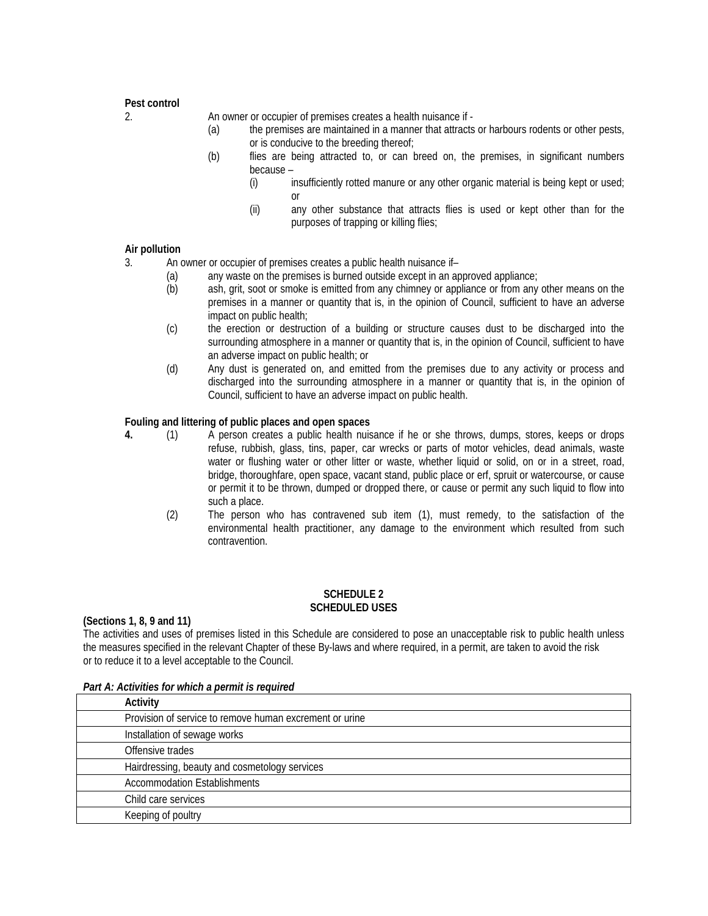### **Pest control**

2. An owner or occupier of premises creates a health nuisance if -

- (a) the premises are maintained in a manner that attracts or harbours rodents or other pests, or is conducive to the breeding thereof;
- (b) flies are being attracted to, or can breed on, the premises, in significant numbers because –
	- (i) insufficiently rotted manure or any other organic material is being kept or used; or
	- (ii) any other substance that attracts flies is used or kept other than for the purposes of trapping or killing flies;

### **Air pollution**

3. An owner or occupier of premises creates a public health nuisance if–

- (a) any waste on the premises is burned outside except in an approved appliance;
- (b) ash, grit, soot or smoke is emitted from any chimney or appliance or from any other means on the premises in a manner or quantity that is, in the opinion of Council, sufficient to have an adverse impact on public health;
- (c) the erection or destruction of a building or structure causes dust to be discharged into the surrounding atmosphere in a manner or quantity that is, in the opinion of Council, sufficient to have an adverse impact on public health; or
- (d) Any dust is generated on, and emitted from the premises due to any activity or process and discharged into the surrounding atmosphere in a manner or quantity that is, in the opinion of Council, sufficient to have an adverse impact on public health.

### **Fouling and littering of public places and open spaces**

- **4.** (1) A person creates a public health nuisance if he or she throws, dumps, stores, keeps or drops refuse, rubbish, glass, tins, paper, car wrecks or parts of motor vehicles, dead animals, waste water or flushing water or other litter or waste, whether liquid or solid, on or in a street, road, bridge, thoroughfare, open space, vacant stand, public place or erf, spruit or watercourse, or cause or permit it to be thrown, dumped or dropped there, or cause or permit any such liquid to flow into such a place.
	- (2) The person who has contravened sub item (1), must remedy, to the satisfaction of the environmental health practitioner, any damage to the environment which resulted from such contravention.

### **SCHEDULE 2 SCHEDULED USES**

### **(Sections 1, 8, 9 and 11)**

The activities and uses of premises listed in this Schedule are considered to pose an unacceptable risk to public health unless the measures specified in the relevant Chapter of these By-laws and where required, in a permit, are taken to avoid the risk or to reduce it to a level acceptable to the Council.

### *Part A: Activities for which a permit is required*

| Activity                                                |
|---------------------------------------------------------|
| Provision of service to remove human excrement or urine |
| Installation of sewage works                            |
| Offensive trades                                        |
| Hairdressing, beauty and cosmetology services           |
| <b>Accommodation Establishments</b>                     |
| Child care services                                     |
| Keeping of poultry                                      |